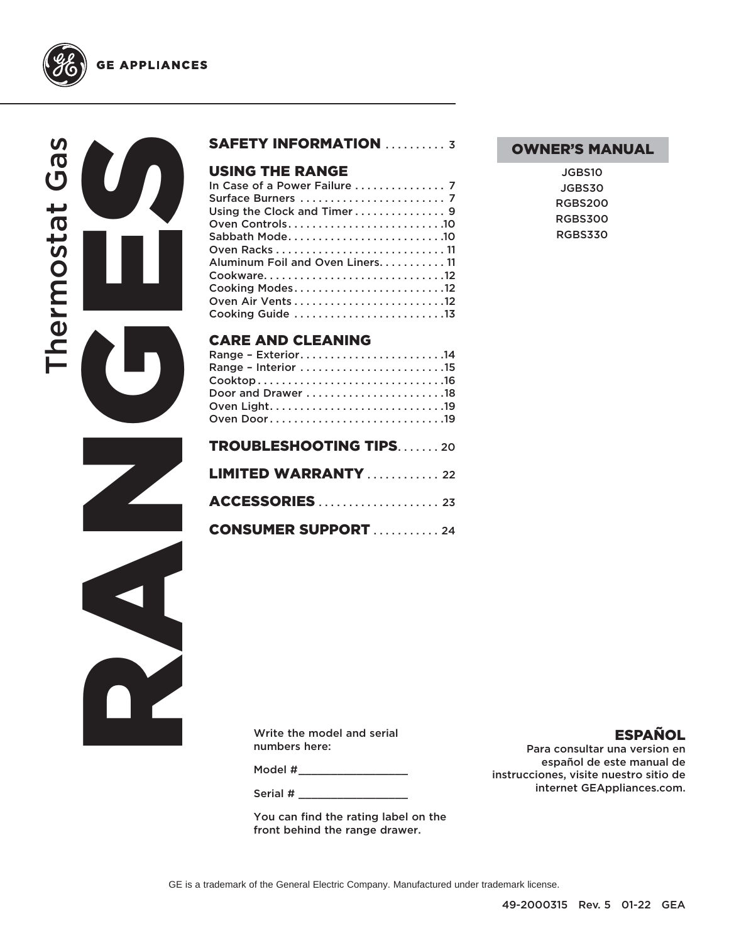



**GE APPLIANCES** 



#### SAFETY INFORMATION .......... 3

# **USING THE RANGE**<br>In Case of a Power Failure

#### CARE AND CLEANING

| Range - Exterior14            |
|-------------------------------|
|                               |
|                               |
|                               |
|                               |
| Oven Door19                   |
| <b>TROUBLESHOOTING TIPS20</b> |
| <b>LIMITED WARRANTY</b> 22    |
|                               |
| <b>CONSUMER SUPPORT</b> 24    |

## OWNER'S MANUAL

| JGBS10         |
|----------------|
| JGBS30         |
| RGBS200        |
| <b>RGBS300</b> |
| <b>RGBS330</b> |

Write the model and serial numbers here:

Model #\_\_\_\_\_\_\_\_\_\_\_\_\_\_\_\_\_\_\_\_\_\_\_

Serial #

You can find the rating label on the front behind the range drawer.

ESPAÑOL Para consultar una version en

español de este manual de instrucciones, visite nuestro sitio de internet GEAppliances.com.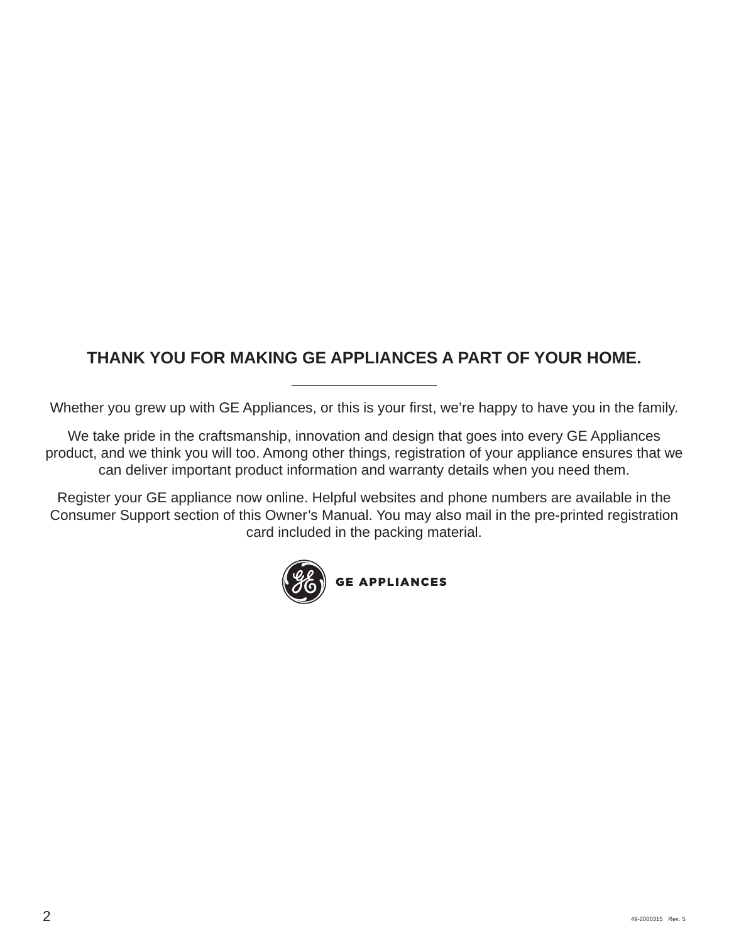# **THANK YOU FOR MAKING GE APPLIANCES A PART OF YOUR HOME.**

Whether you grew up with GE Appliances, or this is your first, we're happy to have you in the family.

We take pride in the craftsmanship, innovation and design that goes into every GE Appliances product, and we think you will too. Among other things, registration of your appliance ensures that we can deliver important product information and warranty details when you need them.

Register your GE appliance now online. Helpful websites and phone numbers are available in the Consumer Support section of this Owner's Manual. You may also mail in the pre-printed registration card included in the packing material.

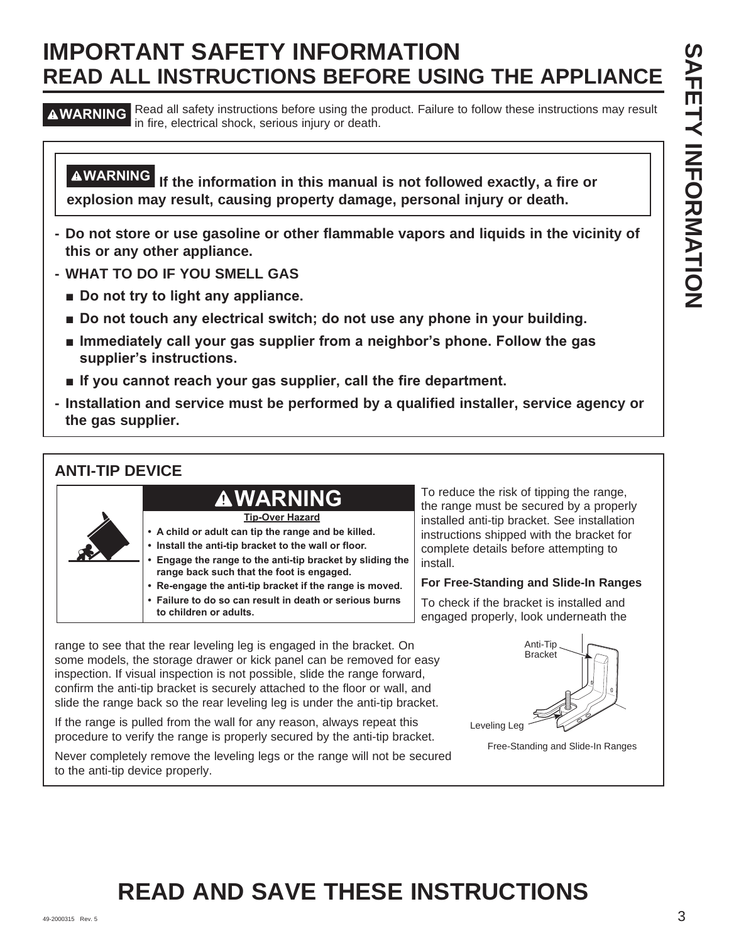# **IMPORTANT SAFETY INFORMATION READ ALL INSTRUCTIONS BEFORE USING THE APPLIANCE**

**A WARNING** Read all safety instructions before using the product. Failure to follow these instructions may result in fire, electrical shock, serious injury or death.

**WARNING If the information in this manual is not followed exactly, a fire or explosion may result, causing property damage, personal injury or death.**

- **Do not store or use gasoline or other flammable vapors and liquids in the vicinity of this or any other appliance.**
- **WHAT TO DO IF YOU SMELL GAS**
	- **E** Do not try to light any appliance.
	- $\blacksquare$  Do not touch any electrical switch; do not use any phone in your building.
	- **E** Immediately call your gas supplier from a neighbor's phone. Follow the gas supplier's instructions.
	- **If you cannot reach your gas supplier, call the fire department.**
- **Installation and service must be performed by a qualified installer, service agency or the gas supplier.**

# **ANTI-TIP DEVICE**



To reduce the risk of tipping the range, the range must be secured by a properly installed anti-tip bracket. See installation instructions shipped with the bracket for complete details before attempting to install.

#### **For Free-Standing and Slide-In Ranges**

To check if the bracket is installed and engaged properly, look underneath the

range to see that the rear leveling leg is engaged in the bracket. On some models, the storage drawer or kick panel can be removed for easy inspection. If visual inspection is not possible, slide the range forward, confirm the anti-tip bracket is securely attached to the floor or wall, and slide the range back so the rear leveling leg is under the anti-tip bracket.

If the range is pulled from the wall for any reason, always repeat this procedure to verify the range is properly secured by the anti-tip bracket.

Never completely remove the leveling legs or the range will not be secured to the anti-tip device properly.



Free-Standing and Slide-In Ranges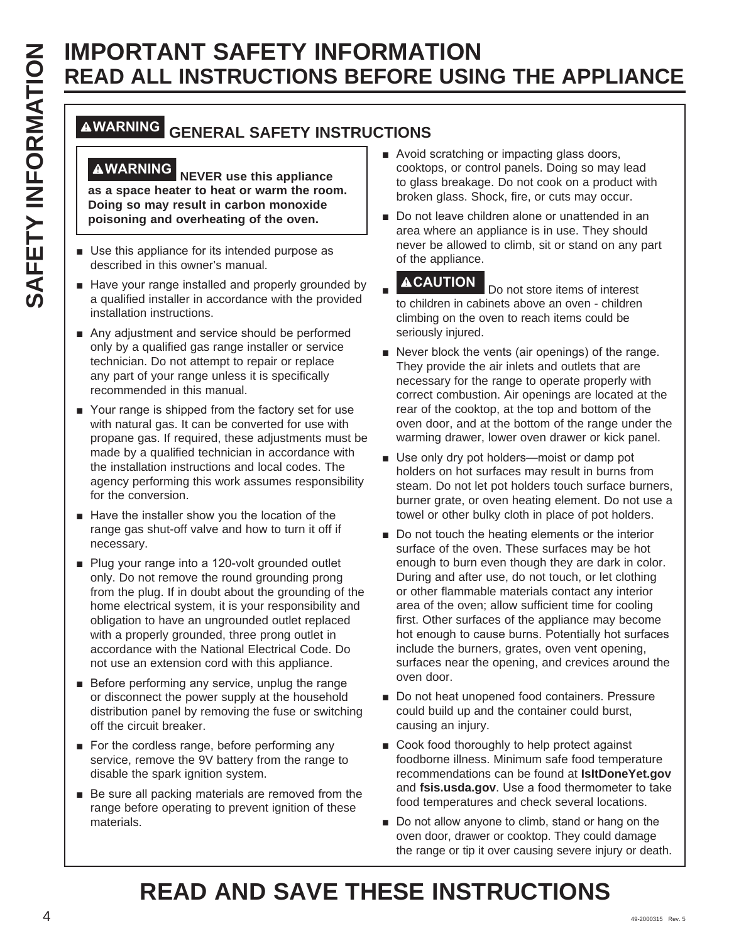# **IMPORTANT SAFETY INFORMATION READ ALL INSTRUCTIONS BEFORE USING THE APPLIANCE**

# **WARNING GENERAL SAFETY INSTRUCTIONS**

**WARNING NEVER use this appliance as a space heater to heat or warm the room. Doing so may result in carbon monoxide poisoning and overheating of the oven.**

- Use this appliance for its intended purpose as described in this owner's manual.
- Have your range installed and properly grounded by a qualified installer in accordance with the provided installation instructions.
- $\blacksquare$  Any adjustment and service should be performed only by a qualified gas range installer or service technician. Do not attempt to repair or replace any part of your range unless it is specifically recommended in this manual.
- Your range is shipped from the factory set for use with natural gas. It can be converted for use with propane gas. If required, these adjustments must be made by a qualified technician in accordance with the installation instructions and local codes. The agency performing this work assumes responsibility for the conversion.
- $\blacksquare$  Have the installer show you the location of the range gas shut-off valve and how to turn it off if necessary.
- Plug your range into a 120-volt grounded outlet only. Do not remove the round grounding prong from the plug. If in doubt about the grounding of the home electrical system, it is your responsibility and obligation to have an ungrounded outlet replaced with a properly grounded, three prong outlet in accordance with the National Electrical Code. Do not use an extension cord with this appliance.
- $\blacksquare$  Before performing any service, unplug the range or disconnect the power supply at the household distribution panel by removing the fuse or switching off the circuit breaker.
- For the cordless range, before performing any service, remove the 9V battery from the range to disable the spark ignition system.
- $\blacksquare$  Be sure all packing materials are removed from the range before operating to prevent ignition of these materials.
- Avoid scratching or impacting glass doors, cooktops, or control panels. Doing so may lead to glass breakage. Do not cook on a product with broken glass. Shock, fire, or cuts may occur.
- Do not leave children alone or unattended in an area where an appliance is in use. They should never be allowed to climb, sit or stand on any part of the appliance.

Ŷ **ACAUTION** Do not store items of interest to children in cabinets above an oven - children climbing on the oven to reach items could be seriously injured.

- Never block the vents (air openings) of the range. They provide the air inlets and outlets that are necessary for the range to operate properly with correct combustion. Air openings are located at the rear of the cooktop, at the top and bottom of the oven door, and at the bottom of the range under the warming drawer, lower oven drawer or kick panel.
- Use only dry pot holders-moist or damp pot holders on hot surfaces may result in burns from steam. Do not let pot holders touch surface burners, burner grate, or oven heating element. Do not use a towel or other bulky cloth in place of pot holders.
- **EXAMPLE AND INTERNATION SPECTIONS BEFORE USING THE APPLIANCE<br>
CONVERTING GENERAL SAFETY INSTRUCTIONS BEFORE USING THE APPLIANCE<br>
CONVERTING GENERAL SAFETY INSTRUCTIONS CONFIGURATIONS CONFIGURATIONS CONFIGURATIONS CONFIGU**  $\blacksquare$  Do not touch the heating elements or the interior surface of the oven. These surfaces may be hot enough to burn even though they are dark in color. During and after use, do not touch, or let clothing or other flammable materials contact any interior area of the oven; allow sufficient time for cooling first. Other surfaces of the appliance may become hot enough to cause burns. Potentially hot surfaces include the burners, grates, oven vent opening, surfaces near the opening, and crevices around the oven door.
	- Do not heat unopened food containers. Pressure could build up and the container could burst, causing an injury.
	- Cook food thoroughly to help protect against foodborne illness. Minimum safe food temperature recommendations can be found at **IsItDoneYet.gov** and **fsis.usda.gov**. Use a food thermometer to take food temperatures and check several locations.
	- $\blacksquare$  Do not allow anyone to climb, stand or hang on the oven door, drawer or cooktop. They could damage the range or tip it over causing severe injury or death.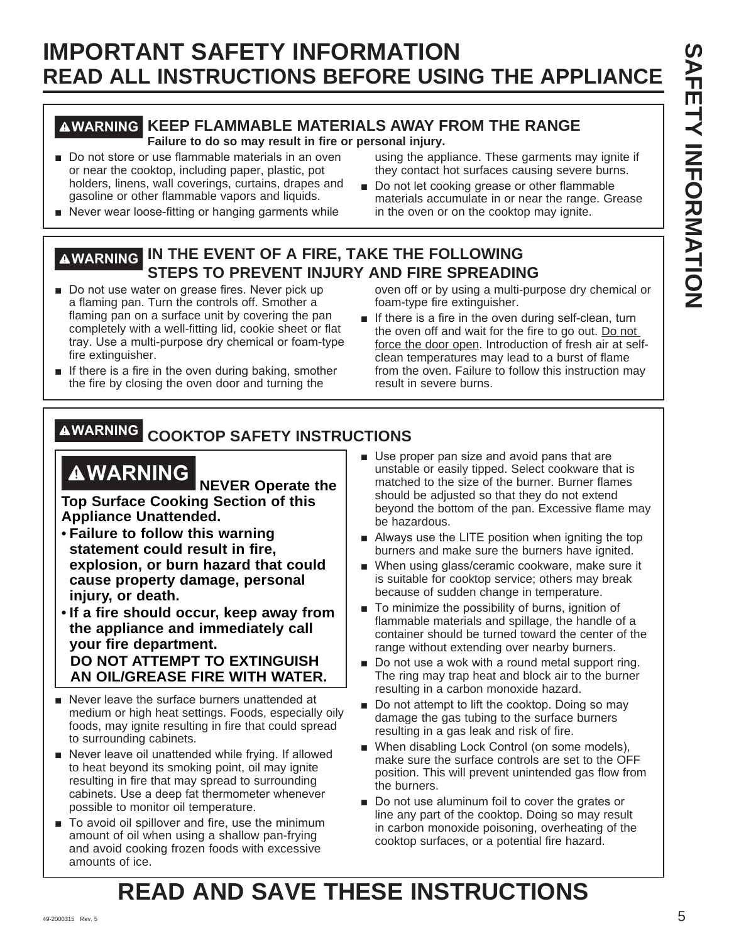# **IMPORTANT SAFETY INFORMATION READ ALL INSTRUCTIONS BEFORE USING THE APPLIANCE**

# **WARNING KEEP FLAMMABLE MATERIALS AWAY FROM THE RANGE**

**Failure to do so may result in fire or personal injury.**

Do not store or use flammable materials in an oven or near the cooktop, including paper, plastic, pot holders, linens, wall coverings, curtains, drapes and gasoline or other flammable vapors and liquids.

Never wear loose-fitting or hanging garments while

using the appliance. These garments may ignite if they contact hot surfaces causing severe burns.

Do not let cooking grease or other flammable materials accumulate in or near the range. Grease in the oven or on the cooktop may ignite.

# **WARNING IN THE EVENT OF A FIRE, TAKE THE FOLLOWING STEPS TO PREVENT INJURY AND FIRE SPREADING**

- Do not use water on grease fires. Never pick up a flaming pan. Turn the controls off. Smother a flaming pan on a surface unit by covering the pan completely with a well-fitting lid, cookie sheet or flat tray. Use a multi-purpose dry chemical or foam-type fire extinguisher.
- $\blacksquare$  If there is a fire in the oven during baking, smother the fire by closing the oven door and turning the

oven off or by using a multi-purpose dry chemical or foam-type fire extinguisher.

If there is a fire in the oven during self-clean, turn the oven off and wait for the fire to go out. Do not force the door open. Introduction of fresh air at selfclean temperatures may lead to a burst of flame from the oven. Failure to follow this instruction may result in severe burns.

# **WARNING COOKTOP SAFETY INSTRUCTIONS**

# **WARNING NEVER Operate the**

**Top Surface Cooking Section of this Appliance Unattended.**

- • **Failure to follow this warning statement could result in fire, explosion, or burn hazard that could cause property damage, personal injury, or death.**
- • **If a fire should occur, keep away from the appliance and immediately call your fire department. DO NOT ATTEMPT TO EXTINGUISH AN OIL/GREASE FIRE WITH WATER.**
- $\blacksquare$  Never leave the surface burners unattended at medium or high heat settings. Foods, especially oily foods, may ignite resulting in fire that could spread to surrounding cabinets.
- Never leave oil unattended while frying. If allowed to heat beyond its smoking point, oil may ignite resulting in fire that may spread to surrounding cabinets. Use a deep fat thermometer whenever possible to monitor oil temperature.
- $\blacksquare$  To avoid oil spillover and fire, use the minimum amount of oil when using a shallow pan-frying and avoid cooking frozen foods with excessive amounts of ice.
- Use proper pan size and avoid pans that are unstable or easily tipped. Select cookware that is matched to the size of the burner. Burner flames should be adjusted so that they do not extend beyond the bottom of the pan. Excessive flame may be hazardous.
- $\blacksquare$  Always use the LITE position when igniting the top burners and make sure the burners have ignited.
- When using glass/ceramic cookware, make sure it is suitable for cooktop service; others may break because of sudden change in temperature.
- $\blacksquare$  To minimize the possibility of burns, ignition of flammable materials and spillage, the handle of a container should be turned toward the center of the range without extending over nearby burners.
- Do not use a wok with a round metal support ring. The ring may trap heat and block air to the burner resulting in a carbon monoxide hazard.
- Do not attempt to lift the cooktop. Doing so may damage the gas tubing to the surface burners resulting in a gas leak and risk of fire.
- When disabling Lock Control (on some models), make sure the surface controls are set to the OFF position. This will prevent unintended gas flow from the burners.
- Do not use aluminum foil to cover the grates or line any part of the cooktop. Doing so may result in carbon monoxide poisoning, overheating of the cooktop surfaces, or a potential fire hazard.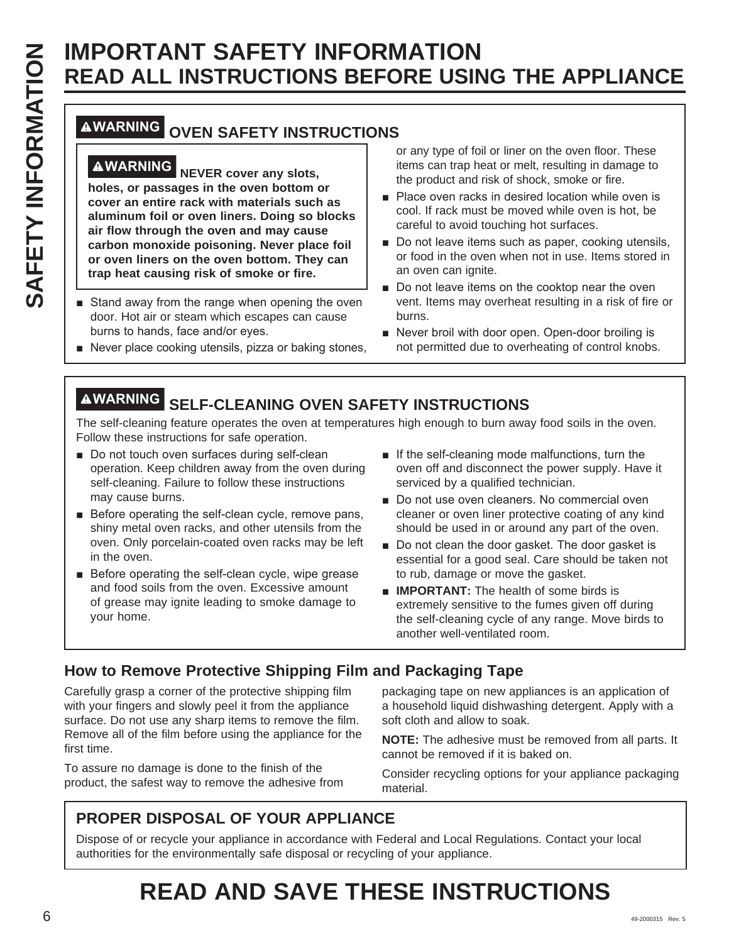# **READ ALL INSTRUCTIONS BEFORE USING THE APPLIANCE**

# **WARNING OVEN SAFETY INSTRUCTIONS**

**SAFETY INFORMATION<br>
SAFETY INSTRUCTIONS BEFORE USIN<br>
INFORMATING OVEN SAFETY INSTRUCTIONS<br>
INFORMATING OVEN SAFETY INSTRUCTIONS<br>
THE MORE OVER SAFETY INSTRUCTIONS<br>
THE MORE OVER SAFETY INSTRUCTIONS<br>
THE MORE OVER SAFETY I WARNING NEVER cover any slots, holes, or passages in the oven bottom or cover an entire rack with materials such as aluminum foil or oven liners. Doing so blocks air flow through the oven and may cause carbon monoxide poisoning. Never place foil or oven liners on the oven bottom. They can trap heat causing risk of smoke or fire.**

- Stand away from the range when opening the oven door. Hot air or steam which escapes can cause burns to hands, face and/or eyes.
- Never place cooking utensils, pizza or baking stones,

or any type of foil or liner on the oven floor. These items can trap heat or melt, resulting in damage to the product and risk of shock, smoke or fire.

- Place oven racks in desired location while oven is cool. If rack must be moved while oven is hot, be careful to avoid touching hot surfaces.
- Do not leave items such as paper, cooking utensils, or food in the oven when not in use. Items stored in an oven can ignite.
- Do not leave items on the cooktop near the oven vent. Items may overheat resulting in a risk of fire or burns.
- Never broil with door open. Open-door broiling is not permitted due to overheating of control knobs.

# **WARNING SELF-CLEANING OVEN SAFETY INSTRUCTIONS**

The self-cleaning feature operates the oven at temperatures high enough to burn away food soils in the oven. Follow these instructions for safe operation.

- Do not touch oven surfaces during self-clean operation. Keep children away from the oven during self-cleaning. Failure to follow these instructions may cause burns.
- $\blacksquare$  Before operating the self-clean cycle, remove pans, shiny metal oven racks, and other utensils from the oven. Only porcelain-coated oven racks may be left in the oven.
- $\blacksquare$  Before operating the self-clean cycle, wipe grease and food soils from the oven. Excessive amount of grease may ignite leading to smoke damage to your home.
- $\blacksquare$  If the self-cleaning mode malfunctions, turn the oven off and disconnect the power supply. Have it serviced by a qualified technician.
- Do not use oven cleaners. No commercial oven cleaner or oven liner protective coating of any kind should be used in or around any part of the oven.
- Do not clean the door gasket. The door gasket is essential for a good seal. Care should be taken not to rub, damage or move the gasket.
- **IMPORTANT:** The health of some birds is extremely sensitive to the fumes given off during the self-cleaning cycle of any range. Move birds to another well-ventilated room.

# **How to Remove Protective Shipping Film and Packaging Tape**

Carefully grasp a corner of the protective shipping film with your fingers and slowly peel it from the appliance surface. Do not use any sharp items to remove the film. Remove all of the film before using the appliance for the first time.

To assure no damage is done to the finish of the product, the safest way to remove the adhesive from

packaging tape on new appliances is an application of a household liquid dishwashing detergent. Apply with a soft cloth and allow to soak.

**NOTE:** The adhesive must be removed from all parts. It cannot be removed if it is baked on.

Consider recycling options for your appliance packaging material.

# **PROPER DISPOSAL OF YOUR APPLIANCE**

Dispose of or recycle your appliance in accordance with Federal and Local Regulations. Contact your local authorities for the environmentally safe disposal or recycling of your appliance.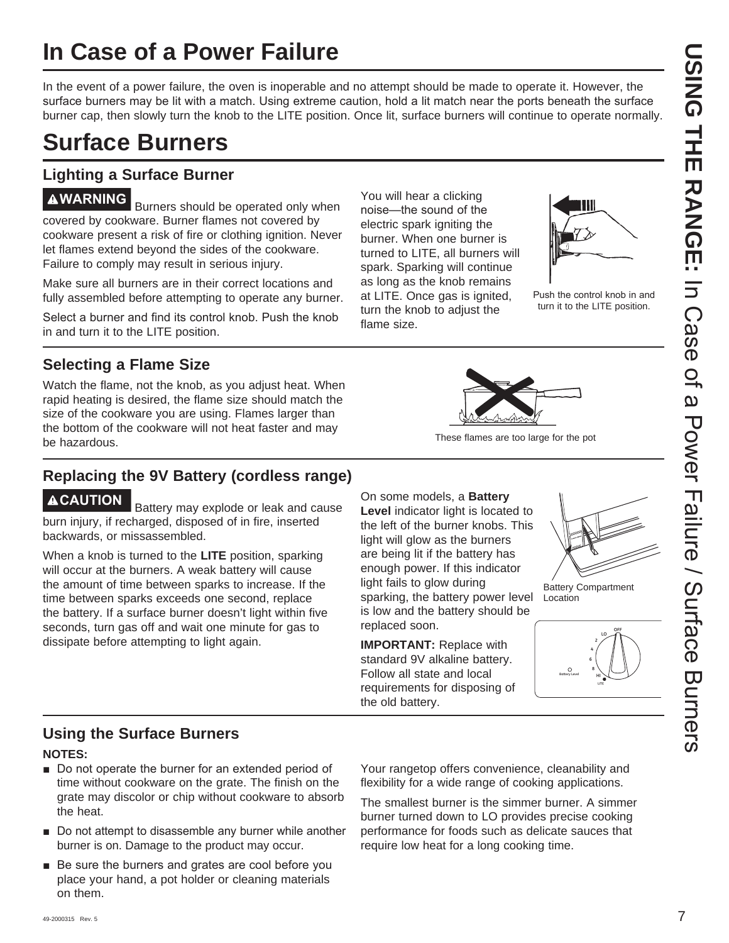# **In Case of a Power Failure**

In the event of a power failure, the oven is inoperable and no attempt should be made to operate it. However, the surface burners may be lit with a match. Using extreme caution, hold a lit match near the ports beneath the surface burner cap, then slowly turn the knob to the LITE position. Once lit, surface burners will continue to operate normally.

# **Surface Burners**

# **Lighting a Surface Burner**

**AWARNING** Burners should be operated only when covered by cookware. Burner flames not covered by cookware present a risk of fire or clothing ignition. Never let flames extend beyond the sides of the cookware. Failure to comply may result in serious injury.

Make sure all burners are in their correct locations and fully assembled before attempting to operate any burner.

Select a burner and find its control knob. Push the knob in and turn it to the LITE position.

# **Selecting a Flame Size**

Watch the flame, not the knob, as you adjust heat. When rapid heating is desired, the flame size should match the size of the cookware you are using. Flames larger than the bottom of the cookware will not heat faster and may be hazardous. These flames are too large for the pot

# **Replacing the 9V Battery (cordless range)**

**ACAUTION** Battery may explode or leak and cause burn injury, if recharged, disposed of in fire, inserted backwards, or missassembled.

When a knob is turned to the **LITE** position, sparking will occur at the burners. A weak battery will cause the amount of time between sparks to increase. If the time between sparks exceeds one second, replace the battery. If a surface burner doesn't light within five seconds, turn gas off and wait one minute for gas to dissipate before attempting to light again.

You will hear a clicking noise-the sound of the electric spark igniting the burner. When one burner is turned to LITE, all burners will spark. Sparking will continue as long as the knob remains at LITE. Once gas is ignited, turn the knob to adjust the flame size.



Push the control knob in and turn it to the LITE position.



On some models, a **Battery Level** indicator light is located to the left of the burner knobs. This light will glow as the burners are being lit if the battery has enough power. If this indicator light fails to glow during sparking, the battery power level is low and the battery should be replaced soon.

**IMPORTANT:** Replace with standard 9V alkaline battery. Follow all state and local requirements for disposing of the old battery.



Battery Compartment Location



# **Using the Surface Burners**

#### **NOTES:**

- Do not operate the burner for an extended period of time without cookware on the grate. The finish on the grate may discolor or chip without cookware to absorb the heat.
- Do not attempt to disassemble any burner while another burner is on. Damage to the product may occur.
- $\blacksquare$  Be sure the burners and grates are cool before you place your hand, a pot holder or cleaning materials on them.

Your rangetop offers convenience, cleanability and flexibility for a wide range of cooking applications.

The smallest burner is the simmer burner. A simmer burner turned down to LO provides precise cooking performance for foods such as delicate sauces that require low heat for a long cooking time.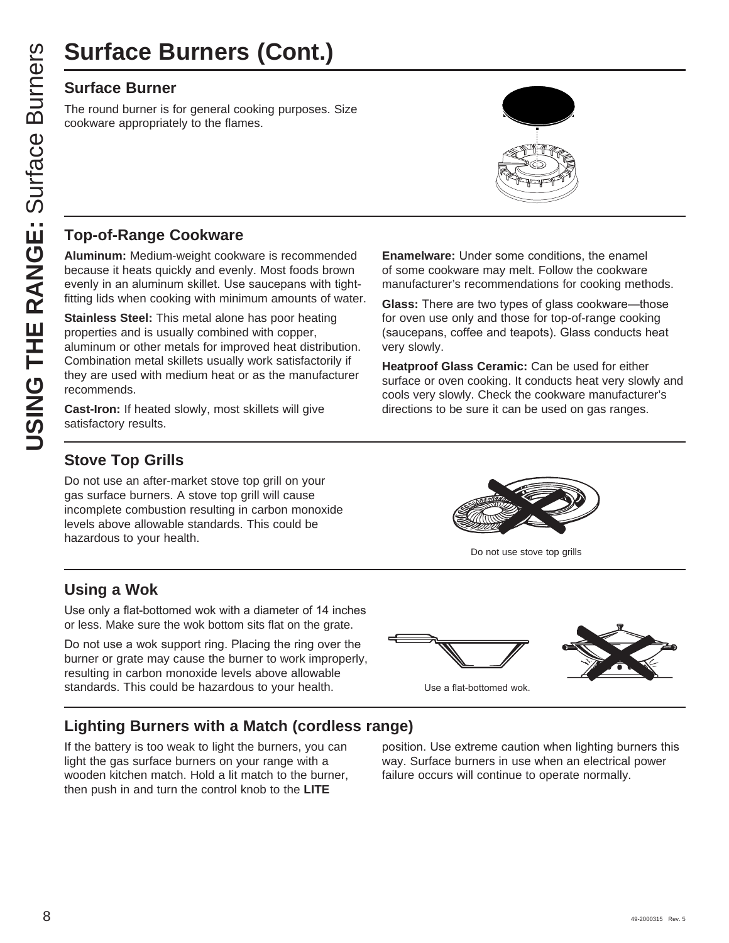# **Surface Burner**

The round burner is for general cooking purposes. Size cookware appropriately to the flames.

# **Top-of-Range Cookware**

**Aluminum:** Medium-weight cookware is recommended because it heats quickly and evenly. Most foods brown evenly in an aluminum skillet. Use saucepans with tightfitting lids when cooking with minimum amounts of water.

**USING THE RANGE SURFACE BUTNETS (CONT.)**<br>
Surface Burner<br>
The round burner is for general cooking purposes.<br>
COOKWATE appropriately to the flames.<br>
Top-of-Range Cookware<br>
Aluminum: Medium-weight cookware is recommer<br>
beca **Stainless Steel:** This metal alone has poor heating properties and is usually combined with copper, aluminum or other metals for improved heat distribution. Combination metal skillets usually work satisfactorily if they are used with medium heat or as the manufacturer recommends.

**Cast-Iron:** If heated slowly, most skillets will give satisfactory results.

**Enamelware:** Under some conditions, the enamel of some cookware may melt. Follow the cookware manufacturer's recommendations for cooking methods.

**Glass:** There are two types of glass cookware—those for oven use only and those for top-of-range cooking (saucepans, coffee and teapots). Glass conducts heat very slowly.

**Heatproof Glass Ceramic:** Can be used for either surface or oven cooking. It conducts heat very slowly and cools very slowly. Check the cookware manufacturer's directions to be sure it can be used on gas ranges.

# **Stove Top Grills**

Do not use an after-market stove top grill on your gas surface burners. A stove top grill will cause incomplete combustion resulting in carbon monoxide levels above allowable standards. This could be hazardous to your health.

# **Using a Wok**

Use only a flat-bottomed wok with a diameter of 14 inches or less. Make sure the wok bottom sits flat on the grate.

Do not use a wok support ring. Placing the ring over the burner or grate may cause the burner to work improperly, resulting in carbon monoxide levels above allowable standards. This could be hazardous to your health. 8VHD Use a flat-bottomed wok

# **Lighting Burners with a Match (cordless range)**

If the battery is too weak to light the burners, you can light the gas surface burners on your range with a wooden kitchen match. Hold a lit match to the burner, then push in and turn the control knob to the **LITE**



Do not use stove top grills

position. Use extreme caution when lighting burners this way. Surface burners in use when an electrical power failure occurs will continue to operate normally.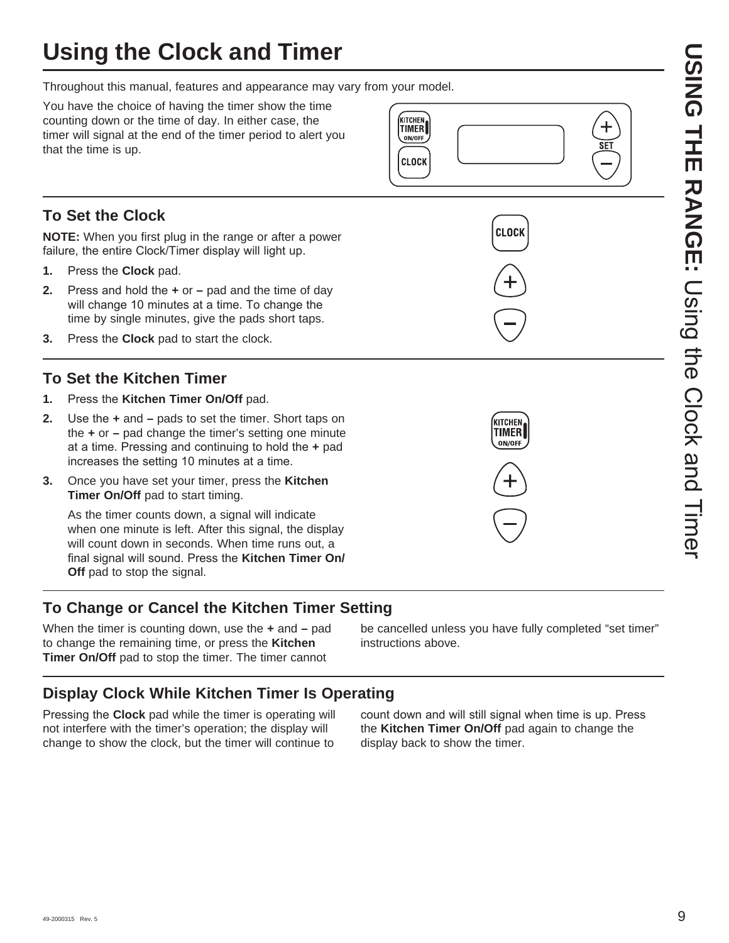# **Using the Clock and Timer**

Throughout this manual, features and appearance may vary from your model.

You have the choice of having the timer show the time counting down or the time of day. In either case, the timer will signal at the end of the timer period to alert you that the time is up.

# **To Set the Clock**

**NOTE:** When you first plug in the range or after a power failure, the entire Clock/Timer display will light up.

- **1.** Press the **Clock** pad.
- **2.** Press and hold the  $\div$  or  $-$  pad and the time of day will change 10 minutes at a time. To change the time by single minutes, give the pads short taps.
- **3.** Press the **Clock** pad to start the clock.

# **To Set the Kitchen Timer**

- 1. Press the Kitchen Timer On/Off pad.
- **2.** Use the  $\div$  and  $-$  pads to set the timer. Short taps on the **+** or **–** pad change the timer's setting one minute at a time. Pressing and continuing to hold the + pad increases the setting 10 minutes at a time.
- **3.** Once you have set your timer, press the **Kitchen Timer On/Off** pad to start timing.

 As the timer counts down, a signal will indicate when one minute is left. After this signal, the display will count down in seconds. When time runs out, a final signal will sound. Press the Kitchen Timer On/ **Off** pad to stop the signal.

# **To Change or Cancel the Kitchen Timer Setting**

When the timer is counting down, use the **+** and **–** pad to change the remaining time, or press the **Kitchen Timer On/Off** pad to stop the timer. The timer cannot

be cancelled unless you have fully completed "set timer" instructions above.

# **Display Clock While Kitchen Timer Is Operating**

Pressing the **Clock** pad while the timer is operating will not interfere with the timer's operation; the display will change to show the clock, but the timer will continue to

count down and will still signal when time is up. Press the **Kitchen Timer On/Off** pad again to change the display back to show the timer.



**CLOCK** 



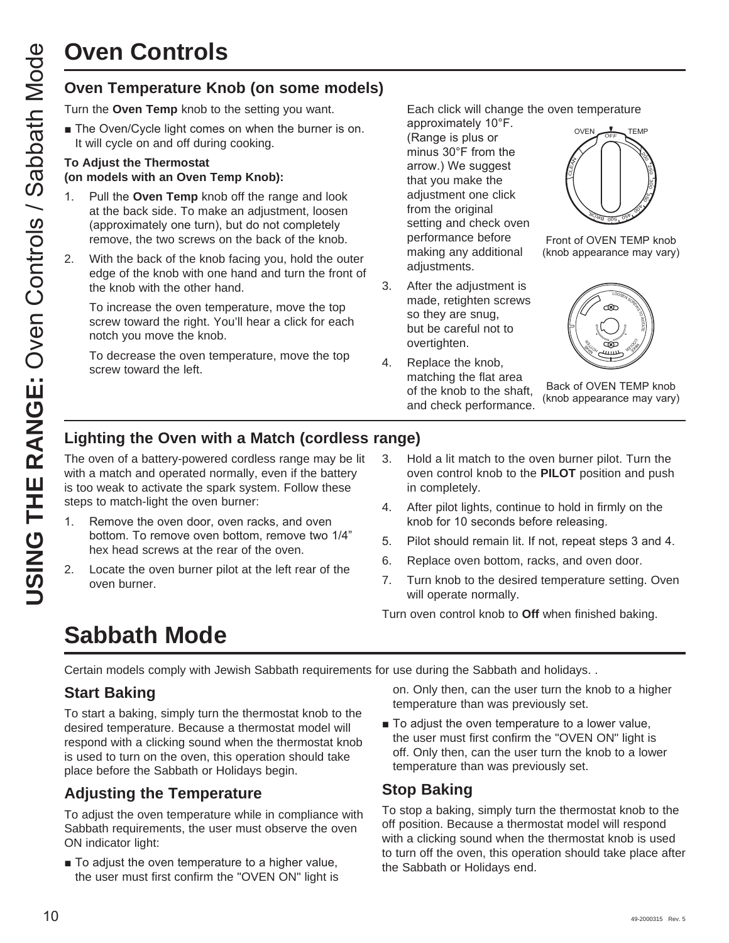# **Oven Controls**

Turn the **Oven Temp** knob to the setting you want.

 $\blacksquare$  The Oven/Cycle light comes on when the burner is on. It will cycle on and off during cooking.

#### **To Adjust the Thermostat (on models with an Oven Temp Knob):**

- 1. Pull the **Oven Temp** knob off the range and look at the back side. To make an adjustment, loosen (approximately one turn), but do not completely remove, the two screws on the back of the knob.
- 2. With the back of the knob facing you, hold the outer edge of the knob with one hand and turn the front of the knob with the other hand.

 To increase the oven temperature, move the top screw toward the right. You'll hear a click for each notch you move the knob.

 To decrease the oven temperature, move the top screw toward the left.

Each click will change the oven temperature

approximately 10°F. (Range is plus or minus  $30^{\circ}$ F from the arrow.) We suggest that you make the adjustment one click from the original setting and check oven performance before making any additional adjustments.

- 3. After the adjustment is made, retighten screws so they are snug, but be careful not to overtighten.
- 4. Replace the knob, matching the flat area of the knob to the shaft, and check performance.



Front of OVEN TEMP knob (knob appearance may vary)



Back of OVEN TEMP knob (knob appearance may vary)

# **Lighting the Oven with a Match (cordless range)**

**USING THE RANGE THE RANGE THE RANGE THE RANGE THE RANGE THE RANGE THE CONDUCT THE CONDUCT THE CONDUCT THE CONDUCT TO Adjust the Thermostation of diming cooking.<br>
1 The Quajust the Thermostation on the burner is on.<br>
To Ad** The oven of a battery-powered cordless range may be lit with a match and operated normally, even if the battery is too weak to activate the spark system. Follow these steps to match-light the oven burner:

- 1. Remove the oven door, oven racks, and oven bottom. To remove oven bottom, remove two 1/4" hex head screws at the rear of the oven.
- 2. Locate the oven burner pilot at the left rear of the oven burner.
- 3. Hold a lit match to the oven burner pilot. Turn the oven control knob to the **PILOT** position and push in completely.
- 4. After pilot lights, continue to hold in firmly on the knob for 10 seconds before releasing.
- 5. Pilot should remain lit. If not, repeat steps 3 and 4.
- 6. Replace oven bottom, racks, and oven door.
- 7. Turn knob to the desired temperature setting. Oven will operate normally.

Turn oven control knob to **Off** when finished baking.

# **Sabbath Mode**

Certain models comply with Jewish Sabbath requirements for use during the Sabbath and holidays. .

# **Start Baking**

To start a baking, simply turn the thermostat knob to the desired temperature. Because a thermostat model will respond with a clicking sound when the thermostat knob is used to turn on the oven, this operation should take place before the Sabbath or Holidays begin.

# **Adjusting the Temperature**

To adjust the oven temperature while in compliance with Sabbath requirements, the user must observe the oven ON indicator light:

■ To adjust the oven temperature to a higher value, the user must first confirm the "OVEN ON" light is on. Only then, can the user turn the knob to a higher temperature than was previously set.

■ To adjust the oven temperature to a lower value, the user must first confirm the "OVEN ON" light is off. Only then, can the user turn the knob to a lower temperature than was previously set.

# **Stop Baking**

To stop a baking, simply turn the thermostat knob to the off position. Because a thermostat model will respond with a clicking sound when the thermostat knob is used to turn off the oven, this operation should take place after the Sabbath or Holidays end.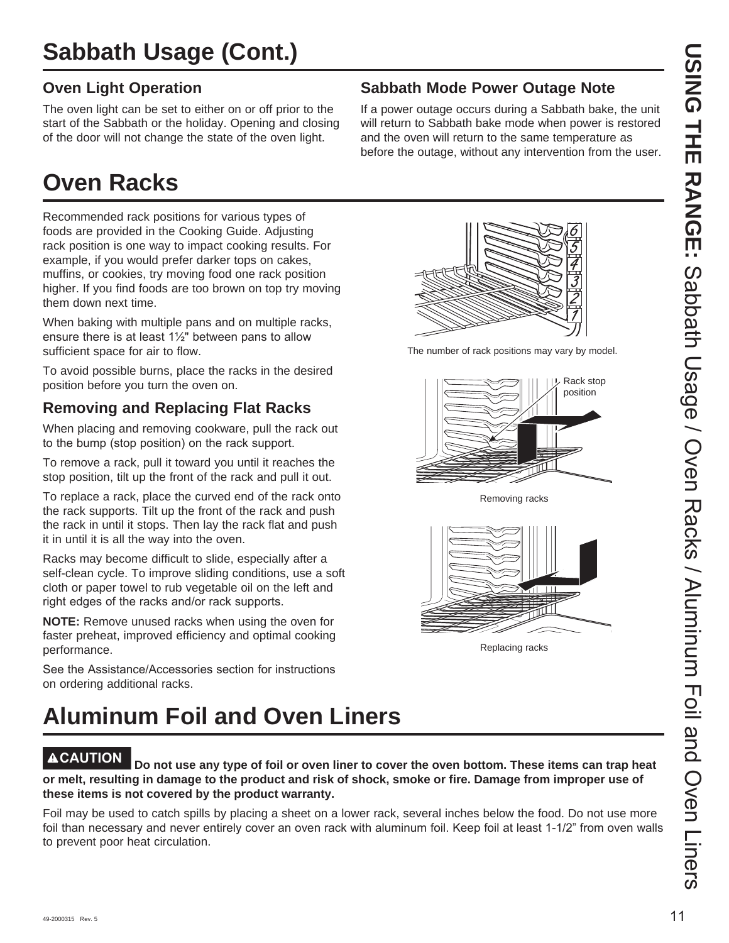# **Oven Light Operation**

The oven light can be set to either on or off prior to the start of the Sabbath or the holiday. Opening and closing of the door will not change the state of the oven light.

# **Oven Racks**

Recommended rack positions for various types of foods are provided in the Cooking Guide. Adjusting rack position is one way to impact cooking results. For example, if you would prefer darker tops on cakes, muffins, or cookies, try moving food one rack position higher. If you find foods are too brown on top try moving them down next time.

When baking with multiple pans and on multiple racks, ensure there is at least  $1\frac{1}{2}$ " between pans to allow sufficient space for air to flow.

To avoid possible burns, place the racks in the desired position before you turn the oven on.

# **Removing and Replacing Flat Racks**

When placing and removing cookware, pull the rack out to the bump (stop position) on the rack support.

To remove a rack, pull it toward you until it reaches the stop position, tilt up the front of the rack and pull it out.

To replace a rack, place the curved end of the rack onto the rack supports. Tilt up the front of the rack and push the rack in until it stops. Then lay the rack flat and push it in until it is all the way into the oven.

Racks may become difficult to slide, especially after a self-clean cycle. To improve sliding conditions, use a soft cloth or paper towel to rub vegetable oil on the left and right edges of the racks and/or rack supports.

**NOTE:** Remove unused racks when using the oven for faster preheat, improved efficiency and optimal cooking performance.

See the Assistance/Accessories section for instructions on ordering additional racks.

# **Aluminum Foil and Oven Liners**

**ACAUTION Do not use any type of foil or oven liner to cover the oven bottom. These items can trap heat or melt, resulting in damage to the product and risk of shock, smoke or fire. Damage from improper use of these items is not covered by the product warranty.** 

Foil may be used to catch spills by placing a sheet on a lower rack, several inches below the food. Do not use more foil than necessary and never entirely cover an oven rack with aluminum foil. Keep foil at least 1-1/2" from oven walls to prevent poor heat circulation.

# **Sabbath Mode Power Outage Note**

If a power outage occurs during a Sabbath bake, the unit will return to Sabbath bake mode when power is restored and the oven will return to the same temperature as before the outage, without any intervention from the user.



The number of rack positions may vary by model.



Removing racks



Replacing racks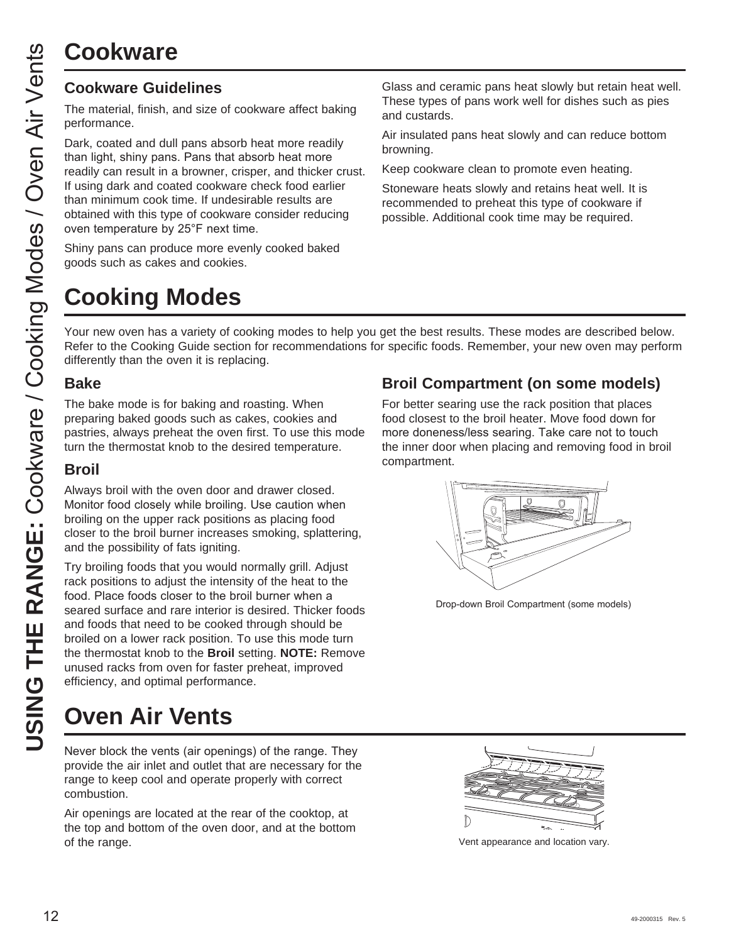# **Cookware**

The material, finish, and size of cookware affect baking performance.

Dark, coated and dull pans absorb heat more readily than light, shiny pans. Pans that absorb heat more readily can result in a browner, crisper, and thicker crust. If using dark and coated cookware check food earlier than minimum cook time. If undesirable results are obtained with this type of cookware consider reducing oven temperature by 25°F next time.

Shiny pans can produce more evenly cooked baked goods such as cakes and cookies.

# **Cooking Modes**

Glass and ceramic pans heat slowly but retain heat well. These types of pans work well for dishes such as pies and custards.

Air insulated pans heat slowly and can reduce bottom browning.

Keep cookware clean to promote even heating.

Stoneware heats slowly and retains heat well. It is recommended to preheat this type of cookware if possible. Additional cook time may be required.

Your new oven has a variety of cooking modes to help you get the best results. These modes are described below. Refer to the Cooking Guide section for recommendations for specific foods. Remember, your new oven may perform differently than the oven it is replacing.

# **Bake**

The bake mode is for baking and roasting. When preparing baked goods such as cakes, cookies and pastries, always preheat the oven first. To use this mode turn the thermostat knob to the desired temperature.

# **Broil**

Always broil with the oven door and drawer closed. Monitor food closely while broiling. Use caution when broiling on the upper rack positions as placing food closer to the broil burner increases smoking, splattering, and the possibility of fats igniting.

COOKWATE<br>
The material, finish, and size of<br>
Dark, coated and dull pans at<br>
than light, shiny pans. Pans the<br>
If using dark and coated cook<br>
than minimum cook time. If your temperature by 25°F need<br>
Solven temperature by 2 Try broiling foods that you would normally grill. Adjust rack positions to adjust the intensity of the heat to the food. Place foods closer to the broil burner when a seared surface and rare interior is desired. Thicker foods and foods that need to be cooked through should be broiled on a lower rack position. To use this mode turn the thermostat knob to the **Broil** setting. **NOTE:** Remove unused racks from oven for faster preheat, improved efficiency, and optimal performance.

# **Oven Air Vents**

Never block the vents (air openings) of the range. They provide the air inlet and outlet that are necessary for the range to keep cool and operate properly with correct combustion.

Air openings are located at the rear of the cooktop, at the top and bottom of the oven door, and at the bottom of the range. Vent appearance and location vary.

# **Broil Compartment (on some models)**

For better searing use the rack position that places food closest to the broil heater. Move food down for more doneness/less searing. Take care not to touch the inner door when placing and removing food in broil compartment.



Drop-down Broil Compartment (some models)

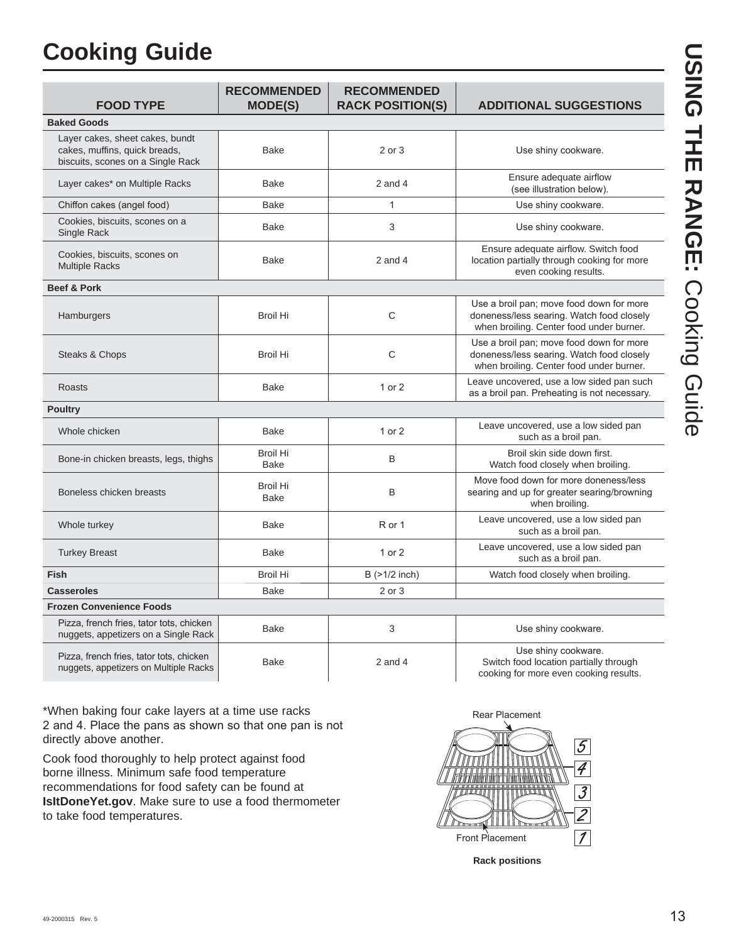# **Cooking Guide**

| <b>FOOD TYPE</b>                                                                                      | <b>RECOMMENDED</b><br><b>MODE(S)</b> | <b>RECOMMENDED</b><br><b>RACK POSITION(S)</b> | <b>ADDITIONAL SUGGESTIONS</b>                                                                                                     |
|-------------------------------------------------------------------------------------------------------|--------------------------------------|-----------------------------------------------|-----------------------------------------------------------------------------------------------------------------------------------|
| <b>Baked Goods</b>                                                                                    |                                      |                                               |                                                                                                                                   |
| Layer cakes, sheet cakes, bundt<br>cakes, muffins, quick breads,<br>biscuits, scones on a Single Rack | <b>Bake</b>                          | 2 or 3                                        | Use shiny cookware.                                                                                                               |
| Layer cakes* on Multiple Racks                                                                        | <b>Bake</b>                          | $2$ and $4$                                   | Ensure adequate airflow<br>(see illustration below).                                                                              |
| Chiffon cakes (angel food)                                                                            | <b>Bake</b>                          | $\mathbf{1}$                                  | Use shiny cookware.                                                                                                               |
| Cookies, biscuits, scones on a<br>Single Rack                                                         | Bake                                 | 3                                             | Use shiny cookware.                                                                                                               |
| Cookies, biscuits, scones on<br><b>Multiple Racks</b>                                                 | <b>Bake</b>                          | $2$ and $4$                                   | Ensure adequate airflow. Switch food<br>location partially through cooking for more<br>even cooking results.                      |
| <b>Beef &amp; Pork</b>                                                                                |                                      |                                               |                                                                                                                                   |
| Hamburgers                                                                                            | <b>Broil Hi</b>                      | C                                             | Use a broil pan; move food down for more<br>doneness/less searing. Watch food closely<br>when broiling. Center food under burner. |
| Steaks & Chops                                                                                        | <b>Broil Hi</b>                      | C                                             | Use a broil pan; move food down for more<br>doneness/less searing. Watch food closely<br>when broiling. Center food under burner. |
| <b>Roasts</b>                                                                                         | <b>Bake</b>                          | 1 or 2                                        | Leave uncovered, use a low sided pan such<br>as a broil pan. Preheating is not necessary.                                         |
| <b>Poultry</b>                                                                                        |                                      |                                               |                                                                                                                                   |
| Whole chicken                                                                                         | <b>Bake</b>                          | 1 or 2                                        | Leave uncovered, use a low sided pan<br>such as a broil pan.                                                                      |
| Bone-in chicken breasts, legs, thighs                                                                 | <b>Broil Hi</b><br><b>Bake</b>       | B                                             | Broil skin side down first.<br>Watch food closely when broiling.                                                                  |
| Boneless chicken breasts                                                                              | <b>Broil Hi</b><br>Bake              | B                                             | Move food down for more doneness/less<br>searing and up for greater searing/browning<br>when broiling.                            |
| Whole turkey                                                                                          | <b>Bake</b>                          | R or 1                                        | Leave uncovered, use a low sided pan<br>such as a broil pan.                                                                      |
| <b>Turkey Breast</b>                                                                                  | <b>Bake</b>                          | 1 or 2                                        | Leave uncovered, use a low sided pan<br>such as a broil pan.                                                                      |
| <b>Fish</b>                                                                                           | <b>Broil Hi</b>                      | B (>1/2 inch)                                 | Watch food closely when broiling.                                                                                                 |
| <b>Casseroles</b>                                                                                     | <b>Bake</b>                          | 2 or 3                                        |                                                                                                                                   |
| <b>Frozen Convenience Foods</b>                                                                       |                                      |                                               |                                                                                                                                   |
| Pizza, french fries, tator tots, chicken<br>nuggets, appetizers on a Single Rack                      | Bake                                 | 3                                             | Use shiny cookware.                                                                                                               |
| Pizza, french fries, tator tots, chicken<br>nuggets, appetizers on Multiple Racks                     | <b>Bake</b>                          | $2$ and $4$                                   | Use shiny cookware.<br>Switch food location partially through<br>cooking for more even cooking results.                           |

\*When baking four cake layers at a time use racks 2 and 4. Place the pans as shown so that one pan is not directly above another.

Cook food thoroughly to help protect against food borne illness. Minimum safe food temperature recommendations for food safety can be found at **IsItDoneYet.gov**. Make sure to use a food thermometer to take food temperatures.



**USING THE RANGE:USING THE RANGE: Cooking Guide** Cooking Guide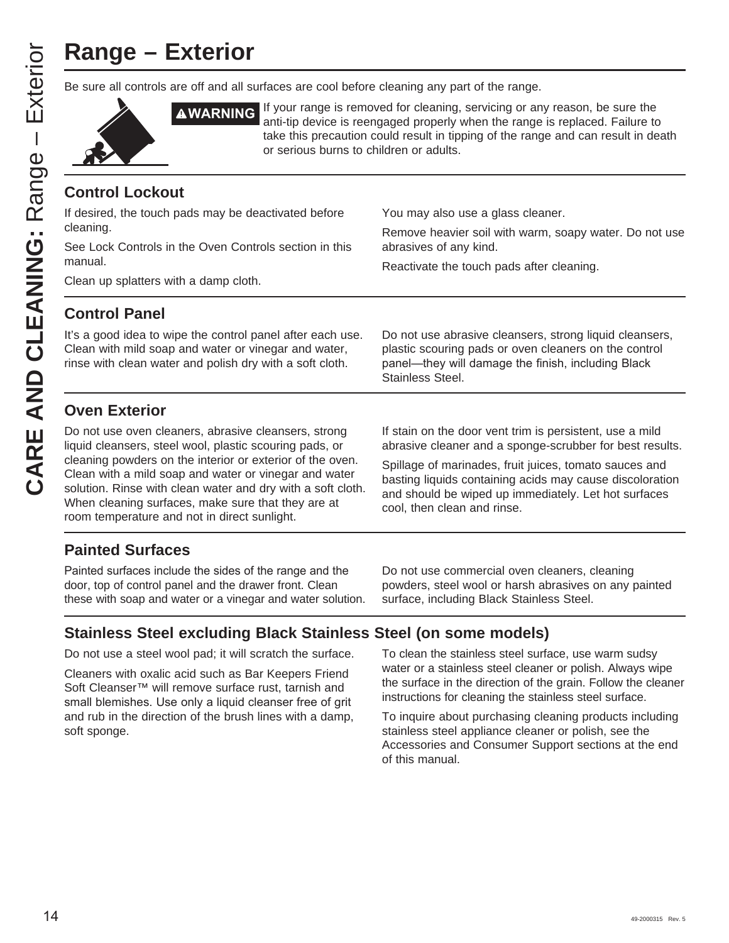# **Range – Exterior**

Be sure all controls are off and all surfaces are cool before cleaning any part of the range.



**AWARNING** If your range is removed for cleaning, servicing or any reason, be sure the anti-tip device is reengaged properly when the range is replaced. Failure to take this precaution could result in tipping of the range and can result in death or serious burns to children or adults.

# **Control Lockout**

If desired, the touch pads may be deactivated before cleaning. See Lock Controls in the Oven Controls section in this manual. Clean up splatters with a damp cloth. You may also use a glass cleaner. Remove heavier soil with warm, soapy water. Do not use abrasives of any kind. Reactivate the touch pads after cleaning.

# **Control Panel**

It's a good idea to wipe the control panel after each use. Clean with mild soap and water or vinegar and water, rinse with clean water and polish dry with a soft cloth.

Do not use abrasive cleansers, strong liquid cleansers, plastic scouring pads or oven cleaners on the control panel—they will damage the finish, including Black Stainless Steel.

# **Oven Exterior**

Do not use oven cleaners, abrasive cleansers, strong liquid cleansers, steel wool, plastic scouring pads, or cleaning powders on the interior or exterior of the oven. Clean with a mild soap and water or vinegar and water solution. Rinse with clean water and dry with a soft cloth. When cleaning surfaces, make sure that they are at room temperature and not in direct sunlight.

If stain on the door vent trim is persistent, use a mild abrasive cleaner and a sponge-scrubber for best results.

Spillage of marinades, fruit juices, tomato sauces and basting liquids containing acids may cause discoloration and should be wiped up immediately. Let hot surfaces cool, then clean and rinse.

# **Painted Surfaces**

Painted surfaces include the sides of the range and the door, top of control panel and the drawer front. Clean these with soap and water or a vinegar and water solution.

Do not use commercial oven cleaners, cleaning powders, steel wool or harsh abrasives on any painted surface, including Black Stainless Steel.

# **Stainless Steel excluding Black Stainless Steel (on some models)**

Do not use a steel wool pad; it will scratch the surface.

Cleaners with oxalic acid such as Bar Keepers Friend Soft Cleanser™ will remove surface rust, tarnish and small blemishes. Use only a liquid cleanser free of grit and rub in the direction of the brush lines with a damp, soft sponge.

To clean the stainless steel surface, use warm sudsy water or a stainless steel cleaner or polish. Always wipe the surface in the direction of the grain. Follow the cleaner instructions for cleaning the stainless steel surface.

To inquire about purchasing cleaning products including stainless steel appliance cleaner or polish, see the Accessories and Consumer Support sections at the end of this manual.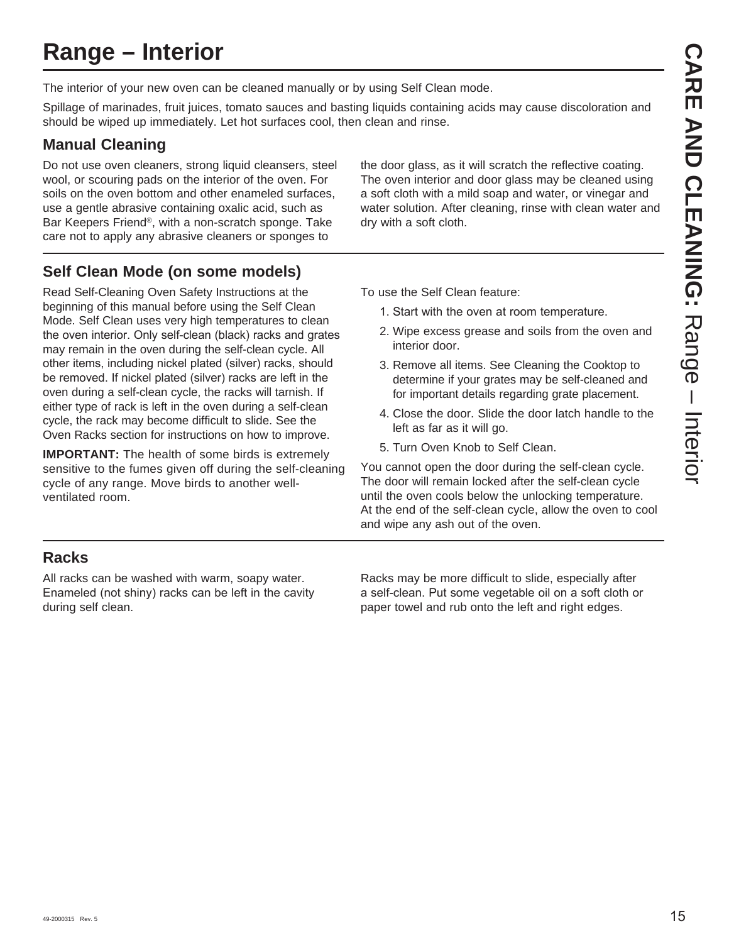# **Range – Interior**

The interior of your new oven can be cleaned manually or by using Self Clean mode.

Spillage of marinades, fruit juices, tomato sauces and basting liquids containing acids may cause discoloration and should be wiped up immediately. Let hot surfaces cool, then clean and rinse.

# **Manual Cleaning**

Do not use oven cleaners, strong liquid cleansers, steel wool, or scouring pads on the interior of the oven. For soils on the oven bottom and other enameled surfaces, use a gentle abrasive containing oxalic acid, such as Bar Keepers Friend®, with a non-scratch sponge. Take care not to apply any abrasive cleaners or sponges to

the door glass, as it will scratch the reflective coating. The oven interior and door glass may be cleaned using a soft cloth with a mild soap and water, or vinegar and water solution. After cleaning, rinse with clean water and dry with a soft cloth.

# **Self Clean Mode (on some models)**

Read Self-Cleaning Oven Safety Instructions at the beginning of this manual before using the Self Clean Mode. Self Clean uses very high temperatures to clean the oven interior. Only self-clean (black) racks and grates may remain in the oven during the self-clean cycle. All other items, including nickel plated (silver) racks, should be removed. If nickel plated (silver) racks are left in the oven during a self-clean cycle, the racks will tarnish. If either type of rack is left in the oven during a self-clean cycle, the rack may become difficult to slide. See the Oven Racks section for instructions on how to improve.

**IMPORTANT:** The health of some birds is extremely sensitive to the fumes given off during the self-cleaning cycle of any range. Move birds to another wellventilated room.

To use the Self Clean feature:

- 1. Start with the oven at room temperature.
- 2. Wipe excess grease and soils from the oven and interior door.
- 3. Remove all items. See Cleaning the Cooktop to determine if your grates may be self-cleaned and for important details regarding grate placement.
- 4. Close the door. Slide the door latch handle to the left as far as it will go.
- 5. Turn Oven Knob to Self Clean.

You cannot open the door during the self-clean cycle. The door will remain locked after the self-clean cycle until the oven cools below the unlocking temperature. At the end of the self-clean cycle, allow the oven to cool and wipe any ash out of the oven.

# **Racks**

All racks can be washed with warm, soapy water. Enameled (not shiny) racks can be left in the cavity during self clean.

Racks may be more difficult to slide, especially after a self-clean. Put some vegetable oil on a soft cloth or paper towel and rub onto the left and right edges.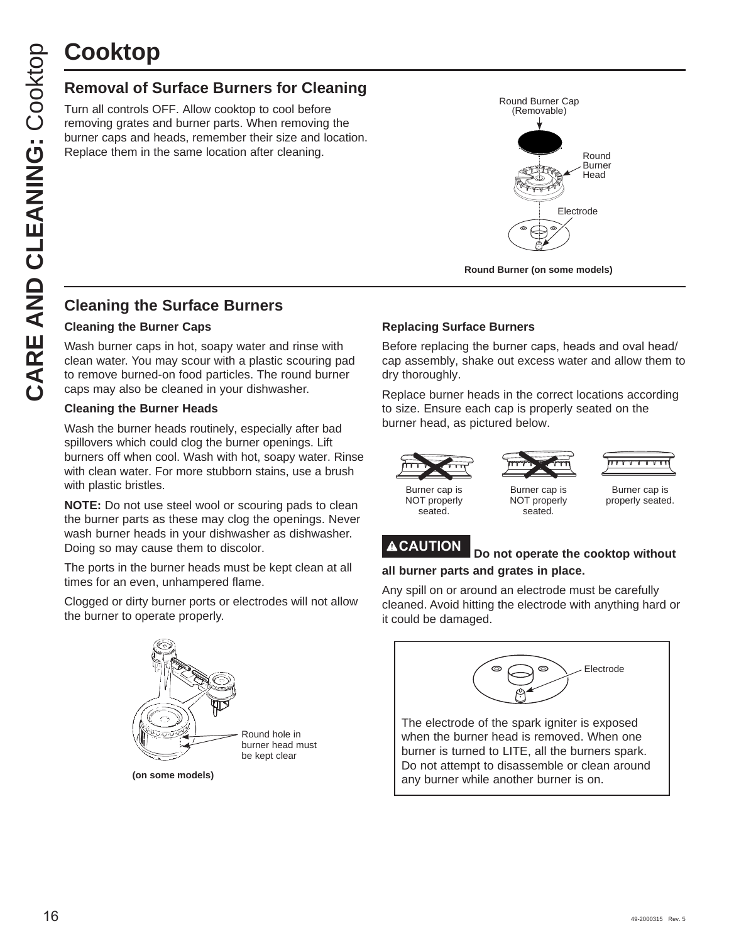# **Cooktop**

# **Removal of Surface Burners for Cleaning**

Turn all controls OFF. Allow cooktop to cool before removing grates and burner parts. When removing the burner caps and heads, remember their size and location. Replace them in the same location after cleaning.



**Round Burner (on some models)**

# **Cleaning the Surface Burners**

#### **Cleaning the Burner Caps**

Wash burner caps in hot, soapy water and rinse with clean water. You may scour with a plastic scouring pad to remove burned-on food particles. The round burner caps may also be cleaned in your dishwasher.

#### **Cleaning the Burner Heads**

Wash the burner heads routinely, especially after bad spillovers which could clog the burner openings. Lift burners off when cool. Wash with hot, soapy water. Rinse with clean water. For more stubborn stains, use a brush with plastic bristles.

**NOTE:** Do not use steel wool or scouring pads to clean the burner parts as these may clog the openings. Never wash burner heads in your dishwasher as dishwasher. Doing so may cause them to discolor.

The ports in the burner heads must be kept clean at all times for an even, unhampered flame.

Clogged or dirty burner ports or electrodes will not allow the burner to operate properly.



## **Replacing Surface Burners**

Before replacing the burner caps, heads and oval head/ cap assembly, shake out excess water and allow them to dry thoroughly.

Replace burner heads in the correct locations according to size. Ensure each cap is properly seated on the burner head, as pictured below.





Burner cap is NOT properly seated.

Burner cap is NOT properly seated.

Burner cap is properly seated.

# **CAUTION Do not operate the cooktop without all burner parts and grates in place.**

Any spill on or around an electrode must be carefully cleaned. Avoid hitting the electrode with anything hard or it could be damaged.



The electrode of the spark igniter is exposed when the burner head is removed. When one burner is turned to LITE, all the burners spark. Do not attempt to disassemble or clean around any burner while another burner is on.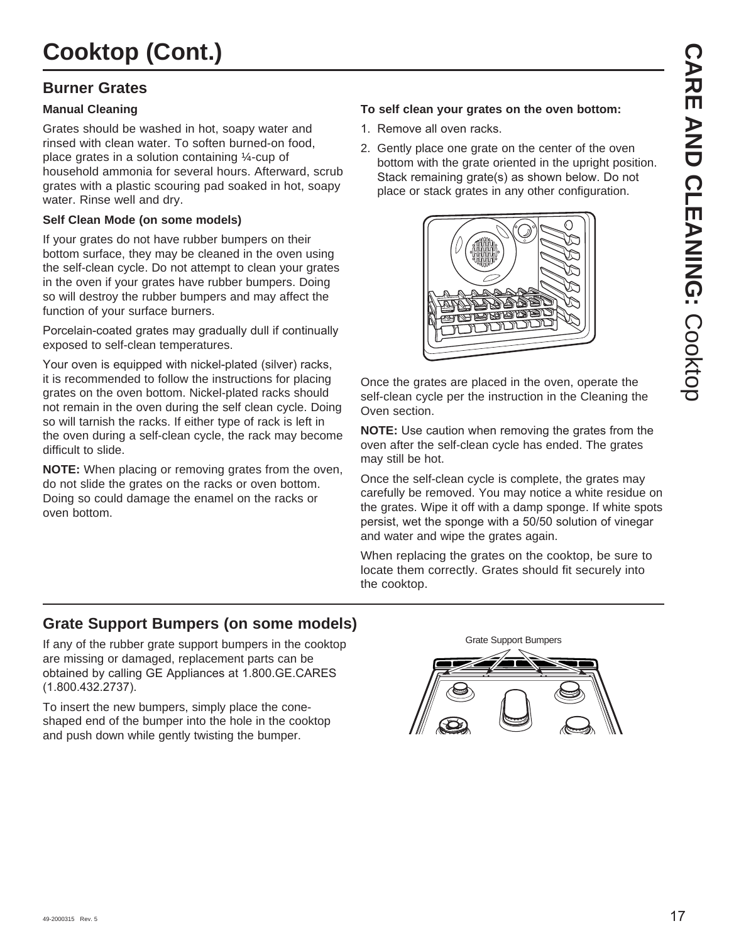# **Burner Grates**

## **Manual Cleaning**

Grates should be washed in hot, soapy water and rinsed with clean water. To soften burned-on food, place grates in a solution containing ¼-cup of household ammonia for several hours. Afterward, scrub grates with a plastic scouring pad soaked in hot, soapy water. Rinse well and dry.

## **Self Clean Mode (on some models)**

If your grates do not have rubber bumpers on their bottom surface, they may be cleaned in the oven using the self-clean cycle. Do not attempt to clean your grates in the oven if your grates have rubber bumpers. Doing so will destroy the rubber bumpers and may affect the function of your surface burners.

Porcelain-coated grates may gradually dull if continually exposed to self-clean temperatures.

Your oven is equipped with nickel-plated (silver) racks, it is recommended to follow the instructions for placing grates on the oven bottom. Nickel-plated racks should not remain in the oven during the self clean cycle. Doing so will tarnish the racks. If either type of rack is left in the oven during a self-clean cycle, the rack may become difficult to slide.

**NOTE:** When placing or removing grates from the oven, do not slide the grates on the racks or oven bottom. Doing so could damage the enamel on the racks or oven bottom.

#### **To self clean your grates on the oven bottom:**

- 1. Remove all oven racks.
- 2. Gently place one grate on the center of the oven bottom with the grate oriented in the upright position. Stack remaining grate(s) as shown below. Do not place or stack grates in any other configuration.



Once the grates are placed in the oven, operate the self-clean cycle per the instruction in the Cleaning the Oven section.

**NOTE:** Use caution when removing the grates from the oven after the self-clean cycle has ended. The grates may still be hot.

Once the self-clean cycle is complete, the grates may carefully be removed. You may notice a white residue on the grates. Wipe it off with a damp sponge. If white spots persist, wet the sponge with a 50/50 solution of vinegar and water and wipe the grates again.

When replacing the grates on the cooktop, be sure to locate them correctly. Grates should fit securely into the cooktop.

# **Grate Support Bumpers (on some models)**

If any of the rubber grate support bumpers in the cooktop are missing or damaged, replacement parts can be obtained by calling GE Appliances at 1.800.GE.CARES  $(1.800.432.2737).$ 

To insert the new bumpers, simply place the coneshaped end of the bumper into the hole in the cooktop and push down while gently twisting the bumper.

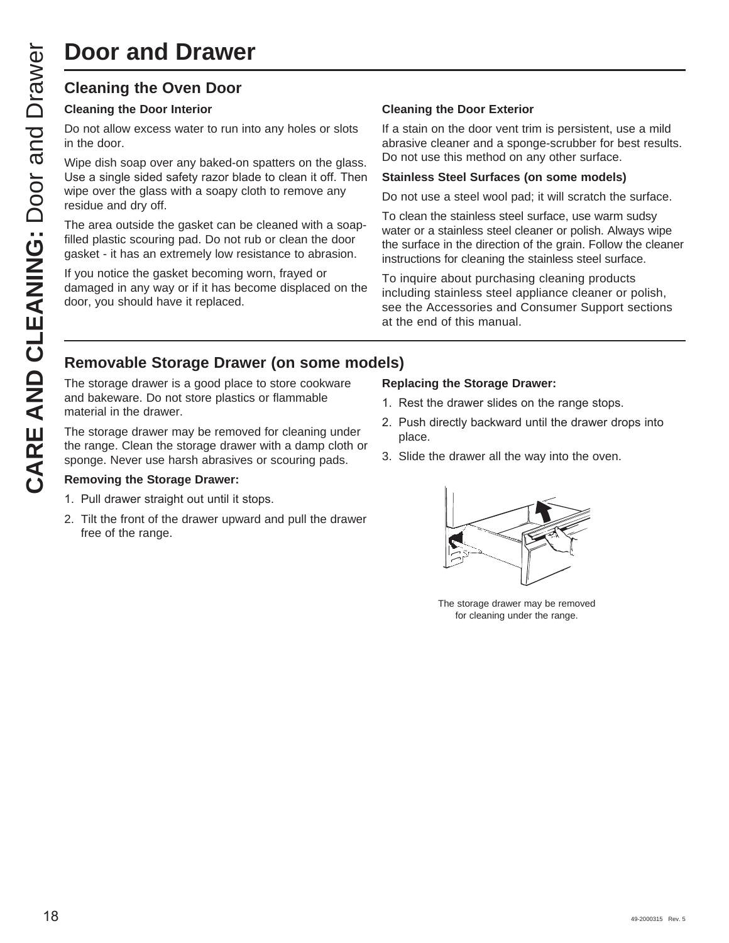# **Door and Drawer**

# **Cleaning the Oven Door**

#### **Cleaning the Door Interior**

Do not allow excess water to run into any holes or slots in the door.

Wipe dish soap over any baked-on spatters on the glass. Use a single sided safety razor blade to clean it off. Then wipe over the glass with a soapy cloth to remove any residue and dry off.

The area outside the gasket can be cleaned with a soapfilled plastic scouring pad. Do not rub or clean the door gasket - it has an extremely low resistance to abrasion.

If you notice the gasket becoming worn, frayed or damaged in any way or if it has become displaced on the door, you should have it replaced.

#### **Cleaning the Door Exterior**

If a stain on the door vent trim is persistent, use a mild abrasive cleaner and a sponge-scrubber for best results. Do not use this method on any other surface.

#### **Stainless Steel Surfaces (on some models)**

Do not use a steel wool pad; it will scratch the surface.

To clean the stainless steel surface, use warm sudsy water or a stainless steel cleaner or polish. Always wipe the surface in the direction of the grain. Follow the cleaner instructions for cleaning the stainless steel surface.

To inquire about purchasing cleaning products including stainless steel appliance cleaner or polish, see the Accessories and Consumer Support sections at the end of this manual.

# **Removable Storage Drawer (on some models)**

The storage drawer is a good place to store cookware and bakeware. Do not store plastics or flammable material in the drawer.

The storage drawer may be removed for cleaning under the range. Clean the storage drawer with a damp cloth or sponge. Never use harsh abrasives or scouring pads.

#### **Removing the Storage Drawer:**

- 1. Pull drawer straight out until it stops.
- 2. Tilt the front of the drawer upward and pull the drawer free of the range.

#### **Replacing the Storage Drawer:**

- 1. Rest the drawer slides on the range stops.
- 2. Push directly backward until the drawer drops into place.
- 3. Slide the drawer all the way into the oven.



The storage drawer may be removed for cleaning under the range.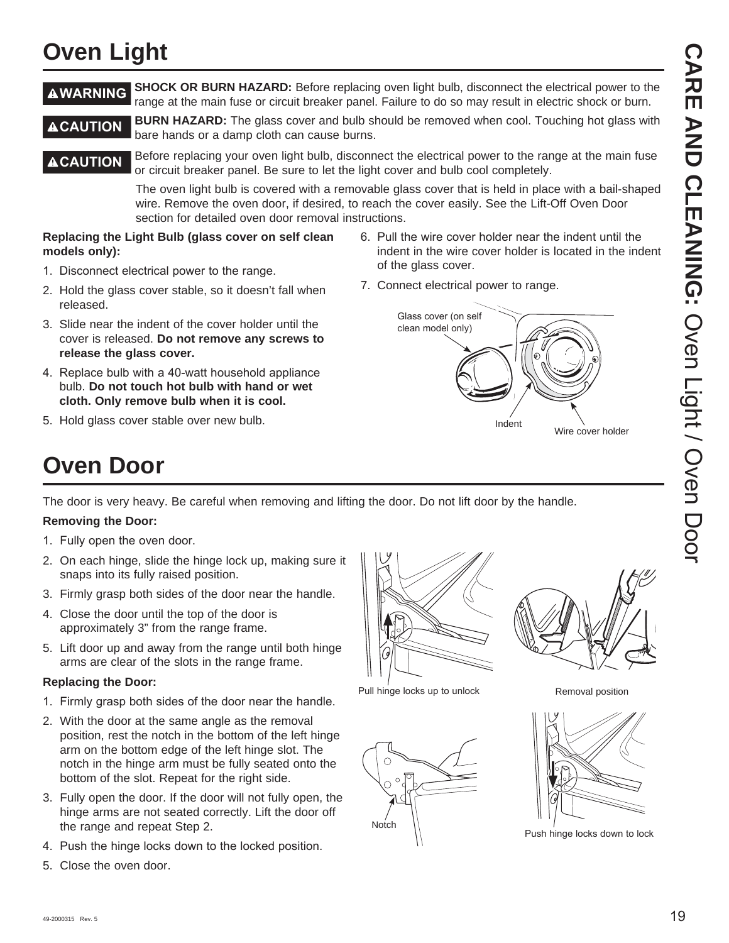# **CARE AND CLEANING: CARE AND CLEANING: Oven Light / Oven Door** Oven Light / Oven Door

# **Oven Light**

**AWARNING** SHOCK OR BURN HAZARD: Before replacing oven light bulb, disconnect the electrical power to the range at the main fuse or circuit breaker panel. Failure to do so may result in electric shock or burn.

**CAUTION** BURN HAZARD: The glass cover and bulb should be removed when cool. Touching hot glass with bare hands or a damp cloth can cause burns.

#### **ACAUTION** Before replacing your oven light bulb, disconnect the electrical power to the range at the main fuse or circuit breaker panel. Be sure to let the light cover and bulb cool completely.

 The oven light bulb is covered with a removable glass cover that is held in place with a bail-shaped wire. Remove the oven door, if desired, to reach the cover easily. See the Lift-Off Oven Door section for detailed oven door removal instructions.

#### **Replacing the Light Bulb (glass cover on self clean models only):**

- 1. Disconnect electrical power to the range.
- 2. Hold the glass cover stable, so it doesn't fall when released.
- 3. Slide near the indent of the cover holder until the cover is released. **Do not remove any screws to release the glass cover.**
- 4. Replace bulb with a 40-watt household appliance bulb. **Do not touch hot bulb with hand or wet cloth. Only remove bulb when it is cool.**
- 5. Hold glass cover stable over new bulb.
- 6. Pull the wire cover holder near the indent until the indent in the wire cover holder is located in the indent of the glass cover.
- 7. Connect electrical power to range.



# **Oven Door**

The door is very heavy. Be careful when removing and lifting the door. Do not lift door by the handle.

## **Removing the Door:**

- 1. Fully open the oven door.
- 2. On each hinge, slide the hinge lock up, making sure it snaps into its fully raised position.
- 3. Firmly grasp both sides of the door near the handle.
- 4. Close the door until the top of the door is approximately 3" from the range frame.
- 5. Lift door up and away from the range until both hinge arms are clear of the slots in the range frame.

## **Replacing the Door:**

- 1. Firmly grasp both sides of the door near the handle.
- 2. With the door at the same angle as the removal position, rest the notch in the bottom of the left hinge arm on the bottom edge of the left hinge slot. The notch in the hinge arm must be fully seated onto the bottom of the slot. Repeat for the right side.
- 3. Fully open the door. If the door will not fully open, the hinge arms are not seated correctly. Lift the door off the range and repeat Step 2.
- 4. Push the hinge locks down to the locked position.
- 5. Close the oven door.



Pull hinge locks up to unlock





Removal position



Push hinge locks down to lock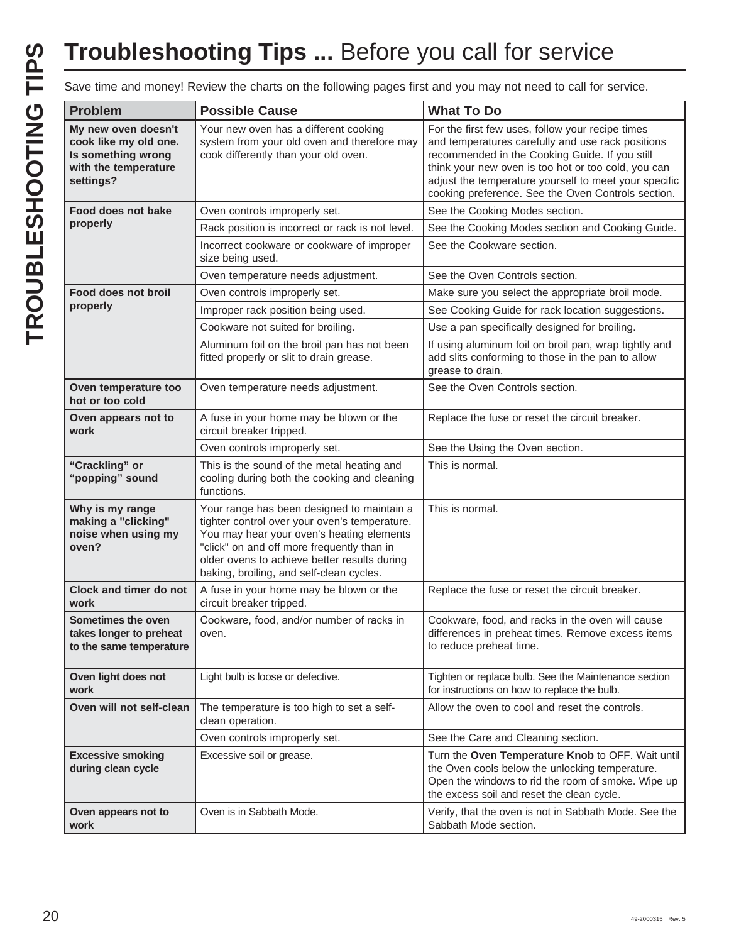# **Troubleshooting Tips ...** Before you call for service

Save time and money! Review the charts on the following pages first and you may not need to call for service.

| <b>Problem</b>                                                                                          | <b>Possible Cause</b>                                                                                                                                                                                                                                                              | <b>What To Do</b>                                                                                                                                                                                                                                                                                                             |
|---------------------------------------------------------------------------------------------------------|------------------------------------------------------------------------------------------------------------------------------------------------------------------------------------------------------------------------------------------------------------------------------------|-------------------------------------------------------------------------------------------------------------------------------------------------------------------------------------------------------------------------------------------------------------------------------------------------------------------------------|
| My new oven doesn't<br>cook like my old one.<br>Is something wrong<br>with the temperature<br>settings? | Your new oven has a different cooking<br>system from your old oven and therefore may<br>cook differently than your old oven.                                                                                                                                                       | For the first few uses, follow your recipe times<br>and temperatures carefully and use rack positions<br>recommended in the Cooking Guide. If you still<br>think your new oven is too hot or too cold, you can<br>adjust the temperature yourself to meet your specific<br>cooking preference. See the Oven Controls section. |
| Food does not bake                                                                                      | Oven controls improperly set.                                                                                                                                                                                                                                                      | See the Cooking Modes section.                                                                                                                                                                                                                                                                                                |
| properly                                                                                                | Rack position is incorrect or rack is not level.                                                                                                                                                                                                                                   | See the Cooking Modes section and Cooking Guide.                                                                                                                                                                                                                                                                              |
|                                                                                                         | Incorrect cookware or cookware of improper<br>size being used.                                                                                                                                                                                                                     | See the Cookware section.                                                                                                                                                                                                                                                                                                     |
|                                                                                                         | Oven temperature needs adjustment.                                                                                                                                                                                                                                                 | See the Oven Controls section.                                                                                                                                                                                                                                                                                                |
| <b>Food does not broil</b>                                                                              | Oven controls improperly set.                                                                                                                                                                                                                                                      | Make sure you select the appropriate broil mode.                                                                                                                                                                                                                                                                              |
| properly                                                                                                | Improper rack position being used.                                                                                                                                                                                                                                                 | See Cooking Guide for rack location suggestions.                                                                                                                                                                                                                                                                              |
|                                                                                                         | Cookware not suited for broiling.                                                                                                                                                                                                                                                  | Use a pan specifically designed for broiling.                                                                                                                                                                                                                                                                                 |
|                                                                                                         | Aluminum foil on the broil pan has not been<br>fitted properly or slit to drain grease.                                                                                                                                                                                            | If using aluminum foil on broil pan, wrap tightly and<br>add slits conforming to those in the pan to allow<br>grease to drain.                                                                                                                                                                                                |
| Oven temperature too<br>hot or too cold                                                                 | Oven temperature needs adjustment.                                                                                                                                                                                                                                                 | See the Oven Controls section.                                                                                                                                                                                                                                                                                                |
| Oven appears not to<br>work                                                                             | A fuse in your home may be blown or the<br>circuit breaker tripped.                                                                                                                                                                                                                | Replace the fuse or reset the circuit breaker.                                                                                                                                                                                                                                                                                |
|                                                                                                         | Oven controls improperly set.                                                                                                                                                                                                                                                      | See the Using the Oven section.                                                                                                                                                                                                                                                                                               |
| "Crackling" or<br>"popping" sound                                                                       | This is the sound of the metal heating and<br>cooling during both the cooking and cleaning<br>functions.                                                                                                                                                                           | This is normal.                                                                                                                                                                                                                                                                                                               |
| Why is my range<br>making a "clicking"<br>noise when using my<br>oven?                                  | Your range has been designed to maintain a<br>tighter control over your oven's temperature.<br>You may hear your oven's heating elements<br>"click" on and off more frequently than in<br>older ovens to achieve better results during<br>baking, broiling, and self-clean cycles. | This is normal.                                                                                                                                                                                                                                                                                                               |
| <b>Clock and timer do not</b><br>work                                                                   | A fuse in your home may be blown or the<br>circuit breaker tripped.                                                                                                                                                                                                                | Replace the fuse or reset the circuit breaker.                                                                                                                                                                                                                                                                                |
| Sometimes the oven<br>takes longer to preheat<br>to the same temperature                                | Cookware, food, and/or number of racks in<br>oven.                                                                                                                                                                                                                                 | Cookware, food, and racks in the oven will cause<br>differences in preheat times. Remove excess items<br>to reduce preheat time.                                                                                                                                                                                              |
| Oven light does not<br>work                                                                             | Light bulb is loose or defective.                                                                                                                                                                                                                                                  | Tighten or replace bulb. See the Maintenance section<br>for instructions on how to replace the bulb.                                                                                                                                                                                                                          |
| Oven will not self-clean                                                                                | The temperature is too high to set a self-<br>clean operation.                                                                                                                                                                                                                     | Allow the oven to cool and reset the controls.                                                                                                                                                                                                                                                                                |
|                                                                                                         | Oven controls improperly set.                                                                                                                                                                                                                                                      | See the Care and Cleaning section.                                                                                                                                                                                                                                                                                            |
| <b>Excessive smoking</b><br>during clean cycle                                                          | Excessive soil or grease.                                                                                                                                                                                                                                                          | Turn the Oven Temperature Knob to OFF. Wait until<br>the Oven cools below the unlocking temperature.<br>Open the windows to rid the room of smoke. Wipe up<br>the excess soil and reset the clean cycle.                                                                                                                      |
| Oven appears not to<br>work                                                                             | Oven is in Sabbath Mode.                                                                                                                                                                                                                                                           | Verify, that the oven is not in Sabbath Mode. See the<br>Sabbath Mode section.                                                                                                                                                                                                                                                |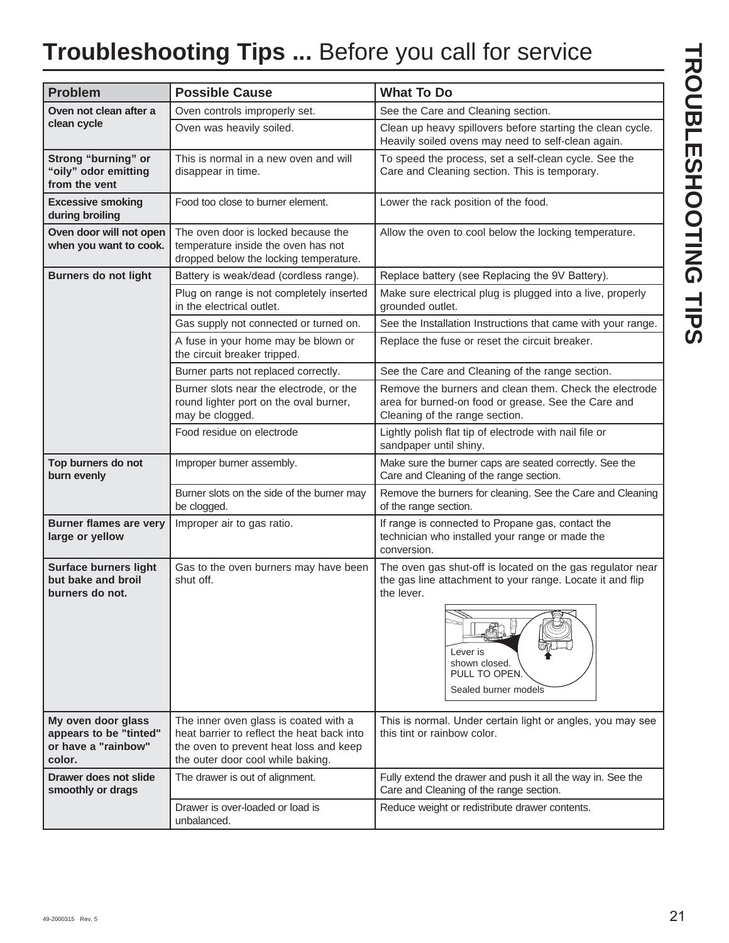# **Troubleshooting Tips ...** Before you call for service

| <b>Problem</b>                                                                | <b>Possible Cause</b>                                                                                                                                              | <b>What To Do</b>                                                                                                                               |  |
|-------------------------------------------------------------------------------|--------------------------------------------------------------------------------------------------------------------------------------------------------------------|-------------------------------------------------------------------------------------------------------------------------------------------------|--|
| Oven not clean after a                                                        | Oven controls improperly set.                                                                                                                                      | See the Care and Cleaning section.                                                                                                              |  |
| clean cycle                                                                   | Oven was heavily soiled.                                                                                                                                           | Clean up heavy spillovers before starting the clean cycle.<br>Heavily soiled ovens may need to self-clean again.                                |  |
| Strong "burning" or<br>"oily" odor emitting<br>from the vent                  | This is normal in a new oven and will<br>disappear in time.                                                                                                        | To speed the process, set a self-clean cycle. See the<br>Care and Cleaning section. This is temporary.                                          |  |
| <b>Excessive smoking</b><br>during broiling                                   | Food too close to burner element.                                                                                                                                  | Lower the rack position of the food.                                                                                                            |  |
| Oven door will not open<br>when you want to cook.                             | The oven door is locked because the<br>temperature inside the oven has not<br>dropped below the locking temperature.                                               | Allow the oven to cool below the locking temperature.                                                                                           |  |
| <b>Burners do not light</b>                                                   | Battery is weak/dead (cordless range).                                                                                                                             | Replace battery (see Replacing the 9V Battery).                                                                                                 |  |
|                                                                               | Plug on range is not completely inserted<br>in the electrical outlet.                                                                                              | Make sure electrical plug is plugged into a live, properly<br>grounded outlet.                                                                  |  |
|                                                                               | Gas supply not connected or turned on.                                                                                                                             | See the Installation Instructions that came with your range.                                                                                    |  |
|                                                                               | A fuse in your home may be blown or<br>the circuit breaker tripped.                                                                                                | Replace the fuse or reset the circuit breaker.                                                                                                  |  |
|                                                                               | Burner parts not replaced correctly.                                                                                                                               | See the Care and Cleaning of the range section.                                                                                                 |  |
|                                                                               | Burner slots near the electrode, or the<br>round lighter port on the oval burner,<br>may be clogged.                                                               | Remove the burners and clean them. Check the electrode<br>area for burned-on food or grease. See the Care and<br>Cleaning of the range section. |  |
|                                                                               | Food residue on electrode                                                                                                                                          | Lightly polish flat tip of electrode with nail file or<br>sandpaper until shiny.                                                                |  |
| Top burners do not<br>burn evenly                                             | Improper burner assembly.                                                                                                                                          | Make sure the burner caps are seated correctly. See the<br>Care and Cleaning of the range section.                                              |  |
|                                                                               | Burner slots on the side of the burner may<br>be clogged.                                                                                                          | Remove the burners for cleaning. See the Care and Cleaning<br>of the range section.                                                             |  |
| <b>Burner flames are very</b><br>large or yellow                              | Improper air to gas ratio.                                                                                                                                         | If range is connected to Propane gas, contact the<br>technician who installed your range or made the<br>conversion.                             |  |
| <b>Surface burners light</b><br>but bake and broil<br>burners do not.         | Gas to the oven burners may have been<br>shut off.                                                                                                                 | The oven gas shut-off is located on the gas regulator near<br>the gas line attachment to your range. Locate it and flip<br>the lever.           |  |
|                                                                               |                                                                                                                                                                    | 00a<br>Lever is<br>shown closed.<br>PULL TO OPEN.<br>Sealed burner models                                                                       |  |
| My oven door glass<br>appears to be "tinted"<br>or have a "rainbow"<br>color. | The inner oven glass is coated with a<br>heat barrier to reflect the heat back into<br>the oven to prevent heat loss and keep<br>the outer door cool while baking. | This is normal. Under certain light or angles, you may see<br>this tint or rainbow color.                                                       |  |
| Drawer does not slide<br>smoothly or drags                                    | The drawer is out of alignment.                                                                                                                                    | Fully extend the drawer and push it all the way in. See the<br>Care and Cleaning of the range section.                                          |  |
|                                                                               | Drawer is over-loaded or load is<br>unbalanced.                                                                                                                    | Reduce weight or redistribute drawer contents.                                                                                                  |  |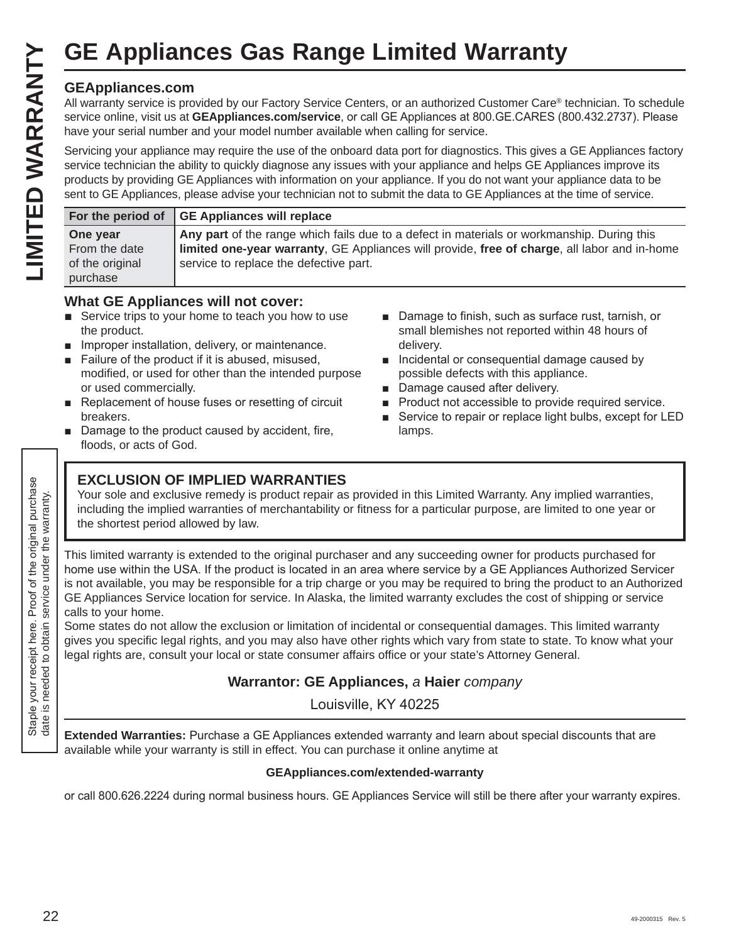# **GEAppliances.com**

|                                                                               |                                                                                                              | <b>GE Appliances Gas Range Limited Warranty</b>                                                                                                                                                                                                                                                                                                                           |                                                                                                                                                                                                                                                                                                                                                                                                                                                                                                                                                                                                                                                                                                                                                                                                                                                    |  |
|-------------------------------------------------------------------------------|--------------------------------------------------------------------------------------------------------------|---------------------------------------------------------------------------------------------------------------------------------------------------------------------------------------------------------------------------------------------------------------------------------------------------------------------------------------------------------------------------|----------------------------------------------------------------------------------------------------------------------------------------------------------------------------------------------------------------------------------------------------------------------------------------------------------------------------------------------------------------------------------------------------------------------------------------------------------------------------------------------------------------------------------------------------------------------------------------------------------------------------------------------------------------------------------------------------------------------------------------------------------------------------------------------------------------------------------------------------|--|
| LIMITED WARRANTY                                                              | <b>GEAppliances.com</b>                                                                                      | have your serial number and your model number available when calling for service.                                                                                                                                                                                                                                                                                         | All warranty service is provided by our Factory Service Centers, or an authorized Customer Care® technician. To schedule<br>service online, visit us at GEAppliances.com/service, or call GE Appliances at 800.GE.CARES (800.432.2737). Please<br>Servicing your appliance may require the use of the onboard data port for diagnostics. This gives a GE Appliances factory<br>service technician the ability to quickly diagnose any issues with your appliance and helps GE Appliances improve its<br>products by providing GE Appliances with information on your appliance. If you do not want your appliance data to be<br>sent to GE Appliances, please advise your technician not to submit the data to GE Appliances at the time of service.                                                                                               |  |
|                                                                               | For the period of                                                                                            | <b>GE Appliances will replace</b>                                                                                                                                                                                                                                                                                                                                         |                                                                                                                                                                                                                                                                                                                                                                                                                                                                                                                                                                                                                                                                                                                                                                                                                                                    |  |
|                                                                               | One year<br>From the date<br>of the original<br>purchase                                                     | service to replace the defective part.                                                                                                                                                                                                                                                                                                                                    | Any part of the range which fails due to a defect in materials or workmanship. During this<br>limited one-year warranty, GE Appliances will provide, free of charge, all labor and in-home                                                                                                                                                                                                                                                                                                                                                                                                                                                                                                                                                                                                                                                         |  |
|                                                                               | the product.<br>$\mathcal{L}_{\mathcal{A}}$<br>or used commercially.<br>breakers.<br>floods, or acts of God. | <b>What GE Appliances will not cover:</b><br>Service trips to your home to teach you how to use<br>Improper installation, delivery, or maintenance.<br>Failure of the product if it is abused, misused,<br>modified, or used for other than the intended purpose<br>Replacement of house fuses or resetting of circuit<br>Damage to the product caused by accident, fire, | Damage to finish, such as surface rust, tarnish, or<br>small blemishes not reported within 48 hours of<br>delivery.<br>Incidental or consequential damage caused by<br>possible defects with this appliance.<br>Damage caused after delivery.<br>Product not accessible to provide required service.<br>Service to repair or replace light bulbs, except for LED<br>lamps.                                                                                                                                                                                                                                                                                                                                                                                                                                                                         |  |
| the original purchase<br>nder the warranty.                                   | the shortest period allowed by law.                                                                          | <b>EXCLUSION OF IMPLIED WARRANTIES</b>                                                                                                                                                                                                                                                                                                                                    | Your sole and exclusive remedy is product repair as provided in this Limited Warranty. Any implied warranties,<br>including the implied warranties of merchantability or fitness for a particular purpose, are limited to one year or                                                                                                                                                                                                                                                                                                                                                                                                                                                                                                                                                                                                              |  |
| Ξ<br>Staple your receipt here. Proof of<br>date is needed to obtain service u | calls to your home.                                                                                          |                                                                                                                                                                                                                                                                                                                                                                           | This limited warranty is extended to the original purchaser and any succeeding owner for products purchased for<br>home use within the USA. If the product is located in an area where service by a GE Appliances Authorized Servicer<br>is not available, you may be responsible for a trip charge or you may be required to bring the product to an Authorized<br>GE Appliances Service location for service. In Alaska, the limited warranty excludes the cost of shipping or service<br>Some states do not allow the exclusion or limitation of incidental or consequential damages. This limited warranty<br>gives you specific legal rights, and you may also have other rights which vary from state to state. To know what your<br>legal rights are, consult your local or state consumer affairs office or your state's Attorney General. |  |
|                                                                               | Warrantor: GE Appliances, a Haier company<br>Louisville, KY 40225                                            |                                                                                                                                                                                                                                                                                                                                                                           |                                                                                                                                                                                                                                                                                                                                                                                                                                                                                                                                                                                                                                                                                                                                                                                                                                                    |  |
|                                                                               |                                                                                                              |                                                                                                                                                                                                                                                                                                                                                                           |                                                                                                                                                                                                                                                                                                                                                                                                                                                                                                                                                                                                                                                                                                                                                                                                                                                    |  |
|                                                                               |                                                                                                              |                                                                                                                                                                                                                                                                                                                                                                           | Extended Warranties: Purchase a CE Appliances extended warranty and learn about special discounts that are                                                                                                                                                                                                                                                                                                                                                                                                                                                                                                                                                                                                                                                                                                                                         |  |

## **What GE Appliances will not cover:**

- $\blacksquare$  Service trips to your home to teach you how to use the product.
- $\blacksquare$  Improper installation, delivery, or maintenance.
- Failure of the product if it is abused, misused, modified, or used for other than the intended purpose or used commercially.
- Replacement of house fuses or resetting of circuit breakers.
- $\blacksquare$  Damage to the product caused by accident, fire, floods, or acts of God.
- Damage to finish, such as surface rust, tarnish, or small blemishes not reported within 48 hours of delivery.
- **Incidental or consequential damage caused by** possible defects with this appliance.
- Damage caused after delivery.
- **Product not accessible to provide required service.**
- Service to repair or replace light bulbs, except for LED lamps.

# **EXCLUSION OF IMPLIED WARRANTIES**

# **Warrantor: GE Appliances,** *a* **Haier** *company*

**Extended Warranties:** Purchase a GE Appliances extended warranty and learn about special discounts that are available while your warranty is still in effect. You can purchase it online anytime at

#### **GEAppliances.com/extended-warranty**

or call 800.626.2224 during normal business hours. GE Appliances Service will still be there after your warranty expires.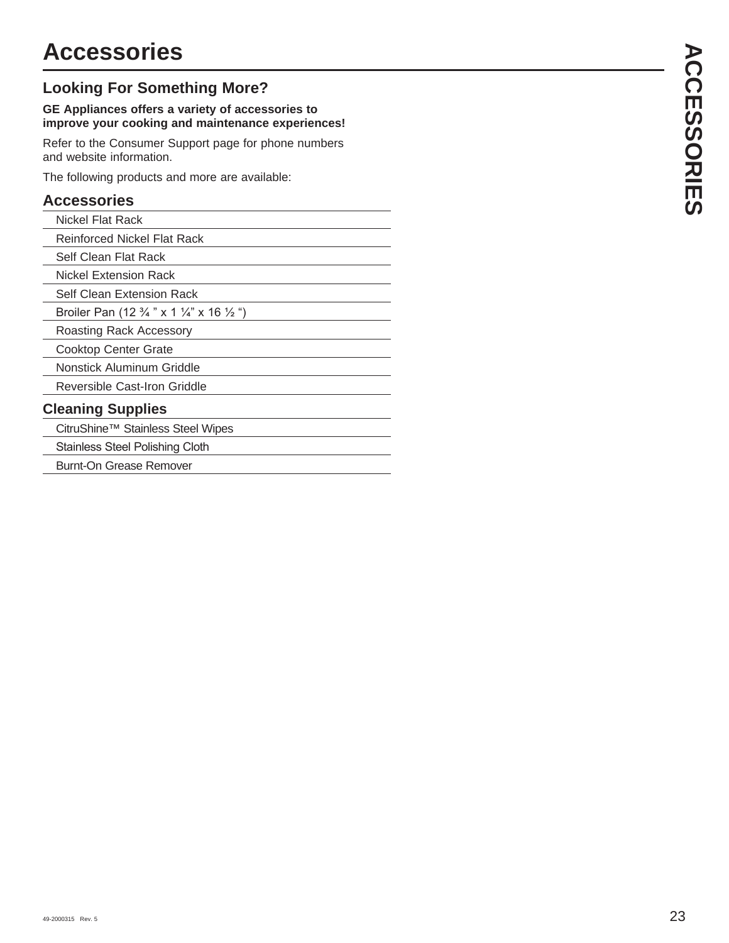# **Accessories**

# **Looking For Something More?**

#### **GE Appliances offers a variety of accessories to improve your cooking and maintenance experiences!**

Refer to the Consumer Support page for phone numbers and website information.

The following products and more are available:

# **Accessories**

| Nickel Flat Rack                                                          |
|---------------------------------------------------------------------------|
| Reinforced Nickel Flat Rack                                               |
| Self Clean Flat Rack                                                      |
| Nickel Extension Rack                                                     |
| Self Clean Extension Rack                                                 |
| Broiler Pan (12 $\frac{3}{4}$ " x 1 $\frac{1}{4}$ " x 16 $\frac{1}{2}$ ") |
| Roasting Rack Accessory                                                   |
| <b>Cooktop Center Grate</b>                                               |
| Nonstick Aluminum Griddle                                                 |
| Reversible Cast-Iron Griddle                                              |
| <b>Cleaning Supplies</b>                                                  |
| CitruShine™ Stainless Steel Wipes                                         |
| <b>Stainless Steel Polishing Cloth</b>                                    |
|                                                                           |

Burnt-On Grease Remover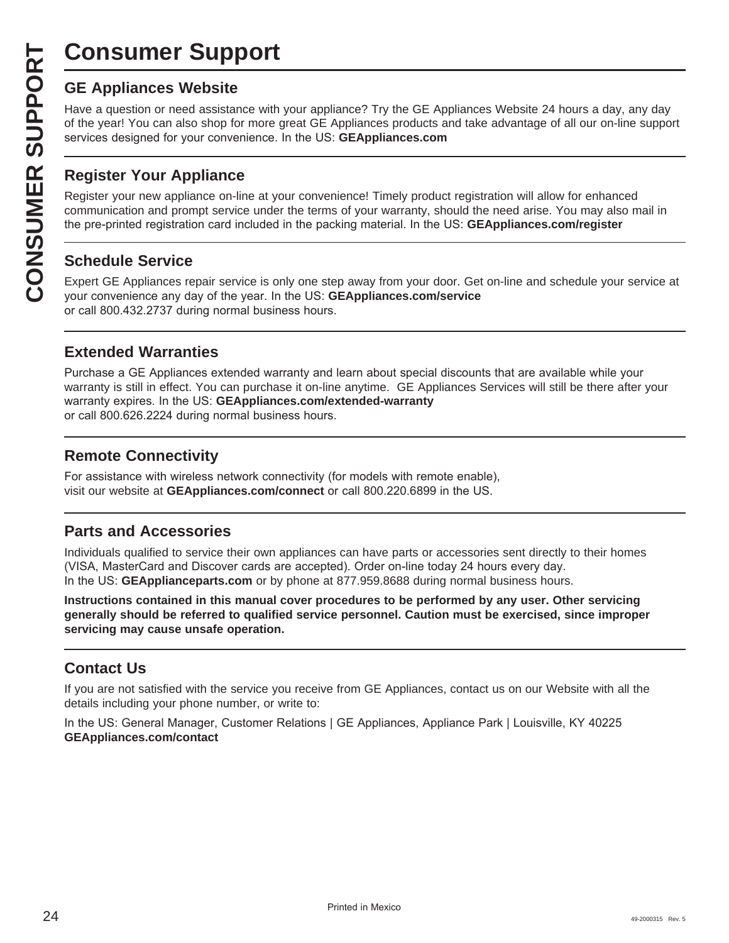# **Consumer Support**

**CONSUMER SUP**<br> **GE Appliances Website**<br>
Have a question or need assistar<br>
of the year! You can also shop for<br>
services designed for your conver<br> **CONSUMER Appliance OF APPLIANCE Register your new appliance on-1**<br> **CONSUME** Have a question or need assistance with your appliance? Try the GE Appliances Website 24 hours a day, any day of the year! You can also shop for more great GE Appliances products and take advantage of all our on-line support services designed for your convenience. In the US: GEAppliances.com

# **Register Your Appliance**

Register your new appliance on-line at your convenience! Timely product registration will allow for enhanced communication and prompt service under the terms of your warranty, should the need arise. You may also mail in the pre-printed registration card included in the packing material. In the US: **GEAppliances.com/register** 

# **Schedule Service**

Expert GE Appliances repair service is only one step away from your door. Get on-line and schedule your service at your convenience any day of the year. In the US: **GEAppliances.com/service** or call 800.432.2737 during normal business hours.

# **Extended Warranties**

Purchase a GE Appliances extended warranty and learn about special discounts that are available while your warranty is still in effect. You can purchase it on-line anytime. GE Appliances Services will still be there after your warranty expires. In the US: GEAppliances.com/extended-warranty or call 800.626.2224 during normal business hours.

# **Remote Connectivity**

For assistance with wireless network connectivity (for models with remote enable), visit our website at GEAppliances.com/connect or call 800.220.6899 in the US.

# **Parts and Accessories**

Individuals qualified to service their own appliances can have parts or accessories sent directly to their homes (VISA, MasterCard and Discover cards are accepted). Order on-line today 24 hours every day. In the US: **GEApplianceparts.com** or by phone at 877.959.8688 during normal business hours.

**Instructions contained in this manual cover procedures to be performed by any user. Other servicing generally should be referred to qualified service personnel. Caution must be exercised, since improper servicing may cause unsafe operation.**

# **Contact Us**

If you are not satisfied with the service you receive from GE Appliances, contact us on our Website with all the details including your phone number, or write to:

In the US: General Manager, Customer Relations | GE Appliances, Appliance Park | Louisville, KY 40225 **GEAppliances.com/contact**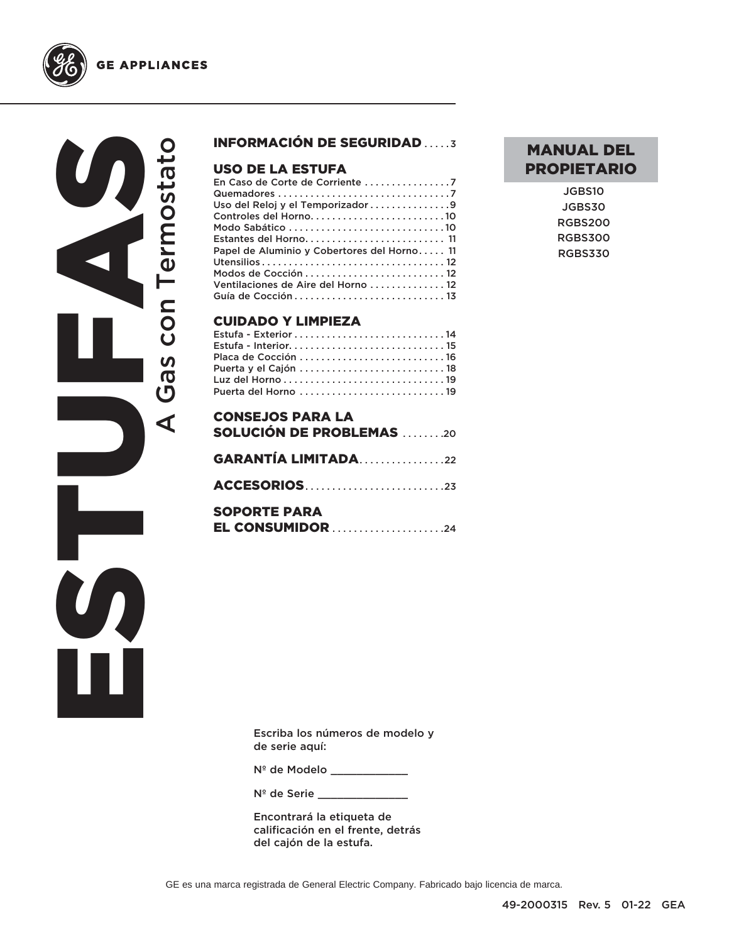





## INFORMACIÓN DE SEGURIDAD . . . . .3

# **USO DE LA ESTUFA**<br>En Caso de Corte de Corrier

| En Caso de Corte de Corriente 7             |
|---------------------------------------------|
|                                             |
| Uso del Reloj y el Temporizador 9           |
|                                             |
| Modo Sabático 10                            |
|                                             |
| Papel de Aluminio y Cobertores del Horno 11 |
|                                             |
| Modos de Cocción  12                        |
| Ventilaciones de Aire del Horno  12         |
|                                             |

#### CUIDADO Y LIMPIEZA

| Placa de Cocción 16 |  |
|---------------------|--|
|                     |  |
|                     |  |
|                     |  |

| <b>CONSEJOS PARA LA</b><br><b>SOLUCIÓN DE PROBLEMAS</b> 20 |  |
|------------------------------------------------------------|--|
| <b>GARANTÍA LIMITADA22</b>                                 |  |
|                                                            |  |
| <b>SOPORTE PARA</b>                                        |  |

# MANUAL DEL PROPIETARIO

JGBS10 JGBS30 RGBS200 RGBS300 RGBS330

Escriba los números de modelo y de serie aquí:

Nº de Modelo \_\_\_\_\_\_\_\_\_\_\_\_

Nº de Serie

Encontrará la etiqueta de calificación en el frente, detrás del cajón de la estufa.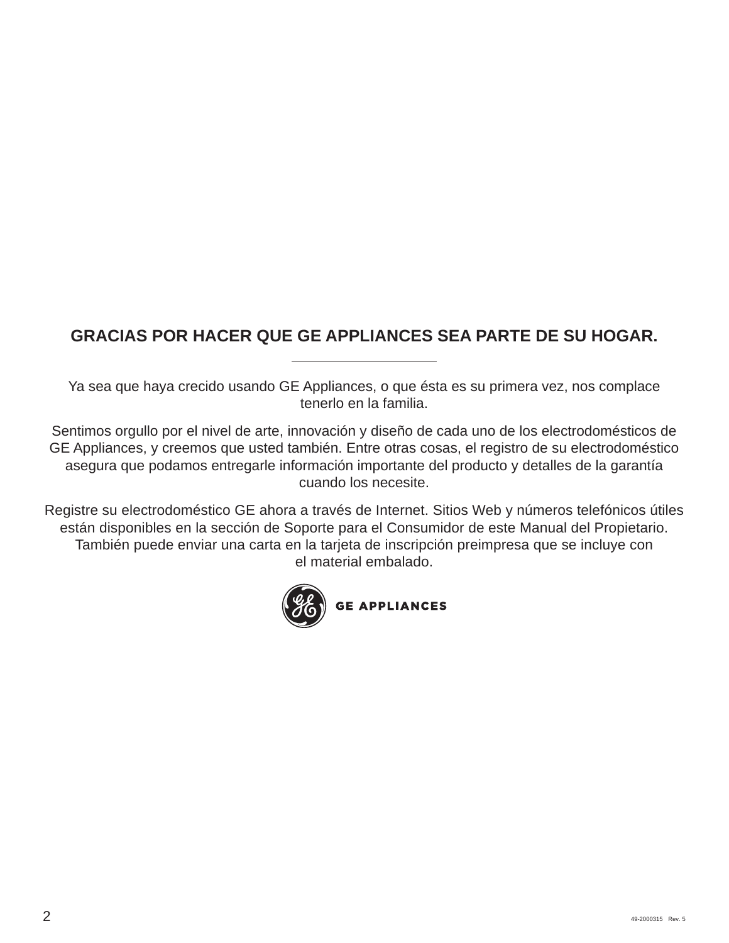# **GRACIAS POR HACER QUE GE APPLIANCES SEA PARTE DE SU HOGAR.**

Ya sea que haya crecido usando GE Appliances, o que ésta es su primera vez, nos complace tenerlo en la familia.

Sentimos orgullo por el nivel de arte, innovación y diseño de cada uno de los electrodomésticos de GE Appliances, y creemos que usted también. Entre otras cosas, el registro de su electrodoméstico asegura que podamos entregarle información importante del producto y detalles de la garantía cuando los necesite.

Registre su electrodoméstico GE ahora a través de Internet. Sitios Web y números telefónicos útiles están disponibles en la sección de Soporte para el Consumidor de este Manual del Propietario. También puede enviar una carta en la tarjeta de inscripción preimpresa que se incluye con el material embalado.

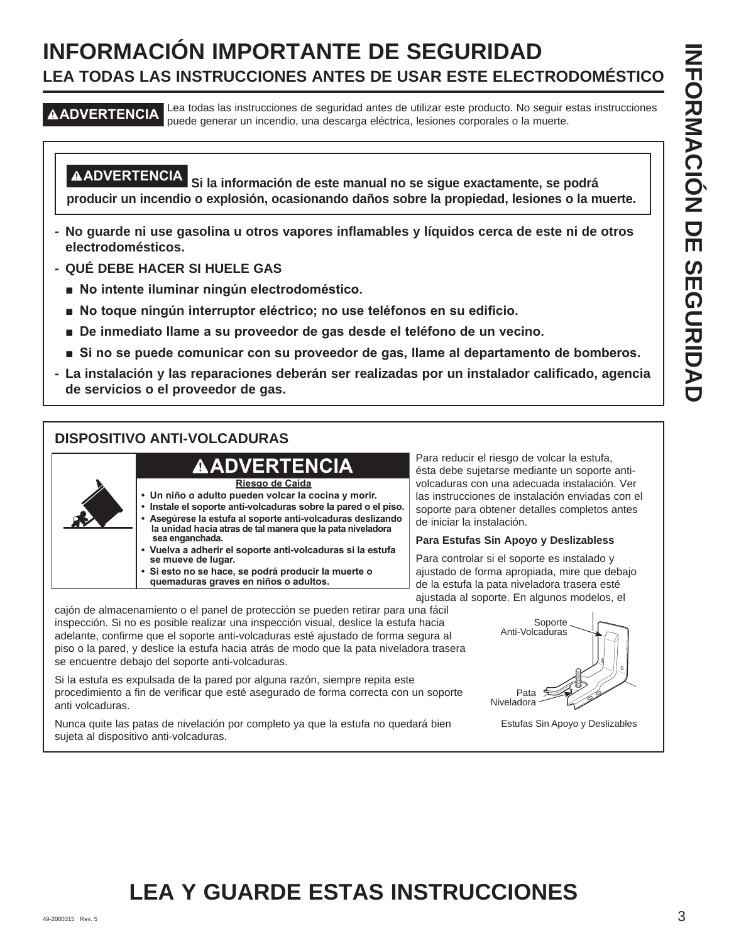# **INFORMACIÓN IMPORTANTE DE SEGURIDAD LEA TODAS LAS INSTRUCCIONES ANTES DE USAR ESTE ELECTRODOMÉSTICO**

**ADVERTENCIA** Lea todas las instrucciones de seguridad antes de utilizar este producto. No seguir estas instrucciones puede generar un incendio, una descarga eléctrica, lesiones corporales o la muerte.

**ADVERTENCIA Si la información de este manual no se sigue exactamente, se podrá producir un incendio o explosión, ocasionando daños sobre la propiedad, lesiones o la muerte.**

- **No guarde ni use gasolina u otros vapores inflamables y líquidos cerca de este ni de otros electrodomésticos.**
- **QUÉ DEBE HACER SI HUELE GAS**
	- No intente iluminar ningún electrodoméstico.
	- **No toque ningún interruptor eléctrico; no use teléfonos en su edificio.**
	- $\blacksquare$  De inmediato llame a su proveedor de gas desde el teléfono de un vecino.
	- **Si no se puede comunicar con su proveedor de gas, llame al departamento de bomberos.**
- **La instalación y las reparaciones deberán ser realizadas por un instalador calificado, agencia de servicios o el proveedor de gas.**

# **DISPOSITIVO ANTI-VOLCADURAS**



**Riesgo de Caída**

- **Un niño o adulto pueden volcar la cocina y morir.**
	- **Instale el soporte anti-volcaduras sobre la pared o el piso. • Asegúrese la estufa al soporte anti-volcaduras deslizando la unidad hacia atras de tal manera que la pata niveladora sea enganchada.**
	- **Vuelva a adherir el soporte anti-volcaduras si la estufa se mueve de lugar. • Si esto no se hace, se podrá producir la muerte o** 
		- **quemaduras graves en niños o adultos.**

Para reducir el riesgo de volcar la estufa, ésta debe sujetarse mediante un soporte antivolcaduras con una adecuada instalación. Ver las instrucciones de instalación enviadas con el soporte para obtener detalles completos antes de iniciar la instalación.

#### **Para Estufas Sin Apoyo y Deslizabless**

Para controlar si el soporte es instalado y ajustado de forma apropiada, mire que debajo de la estufa la pata niveladora trasera esté ajustada al soporte. En algunos modelos, el

cajón de almacenamiento o el panel de protección se pueden retirar para una fácil inspección. Si no es posible realizar una inspección visual, deslice la estufa hacia adelante, confirme que el soporte anti-volcaduras esté ajustado de forma segura al piso o la pared, y deslice la estufa hacia atrás de modo que la pata niveladora trasera se encuentre debajo del soporte anti-volcaduras.

Si la estufa es expulsada de la pared por alguna razón, siempre repita este procedimiento a fin de verificar que esté asegurado de forma correcta con un soporte anti volcaduras.

Nunca quite las patas de nivelación por completo ya que la estufa no quedará bien sujeta al dispositivo anti-volcaduras.



# **LEA Y GUARDE ESTAS INSTRUCCIONES**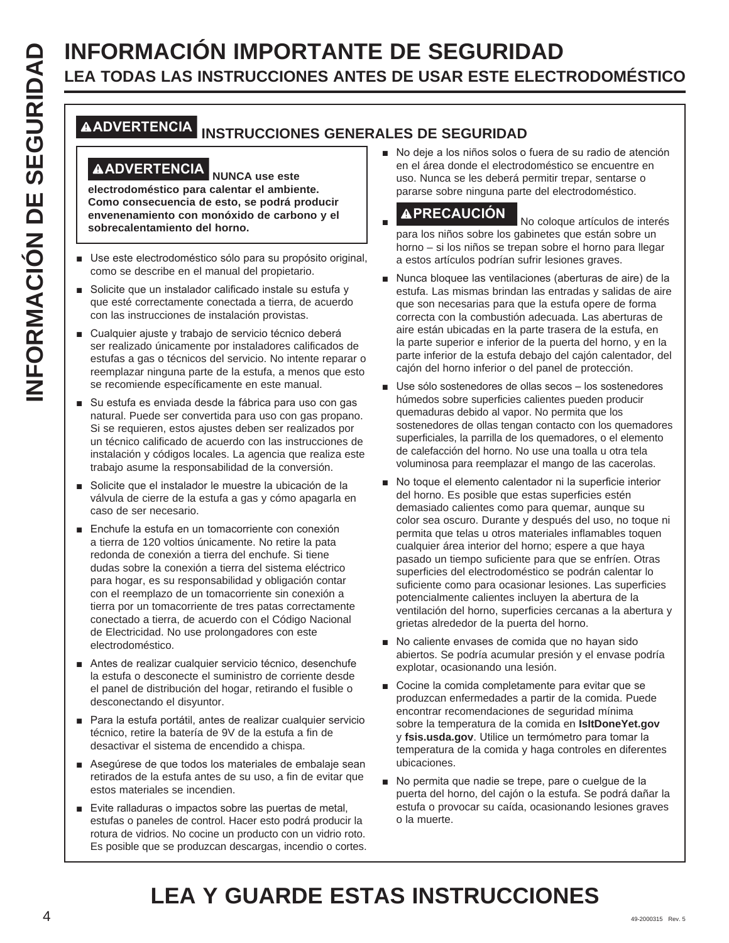# **INFORMACIÓN IMPORTANTE DE SEGURIDAD<br>
ILLEA TODAS LAS INSTRUCCIONES ANTES DE USAR ESTE ELECT<br>
MADVERTENCIA<br>
INSTRUCCIONES GENERALES DE SEGURIDAD<br>
INSTRUCCIONES GENERALES DE SEGURIDAD<br>
ILLEA TODAS LAS INSTRUCCIONES GENERALE LEA TODAS LAS INSTRUCCIONES ANTES DE USAR ESTE ELECTRODOMÉSTICO**

# **ADVERTENCIA INSTRUCCIONES GENERALES DE SEGURIDAD**

# **ADVERTENCIA NUNCA use este**

**electrodoméstico para calentar el ambiente. Como consecuencia de esto, se podrá producir envenenamiento con monóxido de carbono y el sobrecalentamiento del horno.**

- Use este electrodoméstico sólo para su propósito original, como se describe en el manual del propietario.
- Solicite que un instalador calificado instale su estufa y que esté correctamente conectada a tierra, de acuerdo con las instrucciones de instalación provistas.
- Cualquier ajuste y trabajo de servicio técnico deberá ser realizado únicamente por instaladores calificados de estufas a gas o técnicos del servicio. No intente reparar o reemplazar ninguna parte de la estufa, a menos que esto se recomiende específicamente en este manual.
- Su estufa es enviada desde la fábrica para uso con gas natural. Puede ser convertida para uso con gas propano. Si se requieren, estos ajustes deben ser realizados por un técnico calificado de acuerdo con las instrucciones de instalación y códigos locales. La agencia que realiza este trabajo asume la responsabilidad de la conversión.
- Solicite que el instalador le muestre la ubicación de la válvula de cierre de la estufa a gas y cómo apagarla en caso de ser necesario.
- Enchufe la estufa en un tomacorriente con conexión a tierra de 120 voltios únicamente. No retire la pata redonda de conexión a tierra del enchufe. Si tiene dudas sobre la conexión a tierra del sistema eléctrico para hogar, es su responsabilidad y obligación contar con el reemplazo de un tomacorriente sin conexión a tierra por un tomacorriente de tres patas correctamente conectado a tierra, de acuerdo con el Código Nacional de Electricidad. No use prolongadores con este electrodoméstico.
- Antes de realizar cualquier servicio técnico, desenchufe la estufa o desconecte el suministro de corriente desde el panel de distribución del hogar, retirando el fusible o desconectando el disyuntor.
- Para la estufa portátil, antes de realizar cualquier servicio técnico, retire la batería de 9V de la estufa a fin de desactivar el sistema de encendido a chispa.
- Asegúrese de que todos los materiales de embalaje sean retirados de la estufa antes de su uso, a fin de evitar que estos materiales se incendien.
- Evite ralladuras o impactos sobre las puertas de metal, estufas o paneles de control. Hacer esto podrá producir la rotura de vidrios. No cocine un producto con un vidrio roto. Es posible que se produzcan descargas, incendio o cortes.

No deje a los niños solos o fuera de su radio de atención en el área donde el electrodoméstico se encuentre en uso. Nunca se les deberá permitir trepar, sentarse o pararse sobre ninguna parte del electrodoméstico.

Ŷ **PRECAUCIÓN** No coloque artículos de interés para los niños sobre los gabinetes que están sobre un horno – si los niños se trepan sobre el horno para llegar a estos artículos podrían sufrir lesiones graves.

- Nunca bloquee las ventilaciones (aberturas de aire) de la estufa. Las mismas brindan las entradas y salidas de aire que son necesarias para que la estufa opere de forma correcta con la combustión adecuada. Las aberturas de aire están ubicadas en la parte trasera de la estufa, en la parte superior e inferior de la puerta del horno, y en la parte inferior de la estufa debajo del cajón calentador, del cajón del horno inferior o del panel de protección.
- Use sólo sostenedores de ollas secos los sostenedores húmedos sobre superficies calientes pueden producir quemaduras debido al vapor. No permita que los sostenedores de ollas tengan contacto con los quemadores superficiales, la parrilla de los quemadores, o el elemento de calefacción del horno. No use una toalla u otra tela voluminosa para reemplazar el mango de las cacerolas.
- No toque el elemento calentador ni la superficie interior del horno. Es posible que estas superficies estén demasiado calientes como para quemar, aunque su color sea oscuro. Durante y después del uso, no toque ni permita que telas u otros materiales inflamables toquen cualquier área interior del horno; espere a que haya pasado un tiempo suficiente para que se enfríen. Otras superficies del electrodoméstico se podrán calentar lo suficiente como para ocasionar lesiones. Las superficies potencialmente calientes incluyen la abertura de la ventilación del horno, superficies cercanas a la abertura y grietas alrededor de la puerta del horno.
- No caliente envases de comida que no hayan sido abiertos. Se podría acumular presión y el envase podría explotar, ocasionando una lesión.
- Cocine la comida completamente para evitar que se produzcan enfermedades a partir de la comida. Puede encontrar recomendaciones de seguridad mínima sobre la temperatura de la comida en **IsItDoneYet.gov** y fsis.usda.gov. Utilice un termómetro para tomar la temperatura de la comida y haga controles en diferentes ubicaciones.
- No permita que nadie se trepe, pare o cuelgue de la puerta del horno, del cajón o la estufa. Se podrá dañar la estufa o provocar su caída, ocasionando lesiones graves o la muerte.

# **LEA Y GUARDE ESTAS INSTRUCCIONES**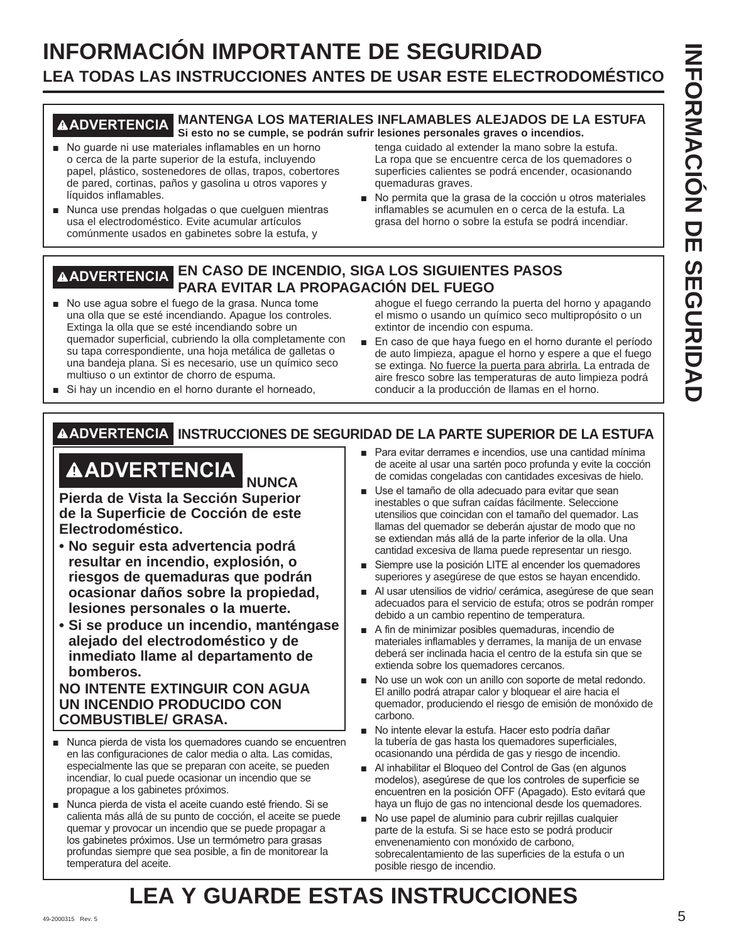# **INFORMACIÓN IMPORTANTE DE SEGURIDAD LEA TODAS LAS INSTRUCCIONES ANTES DE USAR ESTE ELECTRODOMÉSTICO**

#### **ADVERTENCIA MANTENGA LOS MATERIALES INFLAMABLES ALEJADOS DE LA ESTUFA Si esto no se cumple, se podrán sufrir lesiones personales graves o incendios.**

- No quarde ni use materiales inflamables en un horno o cerca de la parte superior de la estufa, incluyendo papel, plástico, sostenedores de ollas, trapos, cobertores de pared, cortinas, paños y gasolina u otros vapores y líquidos inflamables.
- Nunca use prendas holgadas o que cuelguen mientras usa el electrodoméstico. Evite acumular artículos comúnmente usados en gabinetes sobre la estufa, y

tenga cuidado al extender la mano sobre la estufa. La ropa que se encuentre cerca de los quemadores o superficies calientes se podrá encender, ocasionando quemaduras graves.

No permita que la grasa de la cocción u otros materiales inflamables se acumulen en o cerca de la estufa. La grasa del horno o sobre la estufa se podrá incendiar.

# **ADVERTENCIA EN CASO DE INCENDIO, SIGA LOS SIGUIENTES PASOS PARA EVITAR LA PROPAGACIÓN DEL FUEGO**

No use agua sobre el fuego de la grasa. Nunca tome una olla que se esté incendiando. Apague los controles. Extinga la olla que se esté incendiando sobre un quemador superficial, cubriendo la olla completamente con su tapa correspondiente, una hoja metálica de galletas o una bandeja plana. Si es necesario, use un químico seco multiuso o un extintor de chorro de espuma.

ahogue el fuego cerrando la puerta del horno y apagando el mismo o usando un químico seco multipropósito o un extintor de incendio con espuma.

- En caso de que haya fuego en el horno durante el período de auto limpieza, apague el horno y espere a que el fuego se extinga. No fuerce la puerta para abrirla. La entrada de aire fresco sobre las temperaturas de auto limpieza podrá conducir a la producción de llamas en el horno.
- Si hay un incendio en el horno durante el horneado,

# **ADVERTENCIA INSTRUCCIONES DE SEGURIDAD DE LA PARTE SUPERIOR DE LA ESTUFA**

# **ADVERTENCIA NUNCA**

**Pierda de Vista la Sección Superior de la Superficie de Cocción de este Electrodoméstico.** 

- **No seguir esta advertencia podrá resultar en incendio, explosión, o riesgos de quemaduras que podrán ocasionar daños sobre la propiedad, lesiones personales o la muerte.**
- **Si se produce un incendio, manténgase alejado del electrodoméstico y de inmediato llame al departamento de bomberos.**

## **NO INTENTE EXTINGUIR CON AGUA UN INCENDIO PRODUCIDO CON COMBUSTIBLE/ GRASA.**

- Nunca pierda de vista los quemadores cuando se encuentren en las configuraciones de calor media o alta. Las comidas, especialmente las que se preparan con aceite, se pueden incendiar, lo cual puede ocasionar un incendio que se propague a los gabinetes próximos.
- Nunca pierda de vista el aceite cuando esté friendo. Si se calienta más allá de su punto de cocción, el aceite se puede quemar y provocar un incendio que se puede propagar a los gabinetes próximos. Use un termómetro para grasas profundas siempre que sea posible, a fin de monitorear la temperatura del aceite.
- Para evitar derrames e incendios, use una cantidad mínima de aceite al usar una sartén poco profunda y evite la cocción de comidas congeladas con cantidades excesivas de hielo.
- Use el tamaño de olla adecuado para evitar que sean inestables o que sufran caídas fácilmente. Seleccione utensilios que coincidan con el tamaño del quemador. Las llamas del quemador se deberán ajustar de modo que no se extiendan más allá de la parte inferior de la olla. Una cantidad excesiva de llama puede representar un riesgo.
- Siempre use la posición LITE al encender los quemadores superiores y asegúrese de que estos se hayan encendido.
- Al usar utensilios de vidrio/ cerámica, asegúrese de que sean adecuados para el servicio de estufa; otros se podrán romper debido a un cambio repentino de temperatura.
- A fin de minimizar posibles quemaduras, incendio de materiales inflamables y derrames, la manija de un envase deberá ser inclinada hacia el centro de la estufa sin que se extienda sobre los quemadores cercanos.
- No use un wok con un anillo con soporte de metal redondo. El anillo podrá atrapar calor y bloquear el aire hacia el quemador, produciendo el riesgo de emisión de monóxido de carbono.
- No intente elevar la estufa. Hacer esto podría dañar la tubería de gas hasta los quemadores superficiales, ocasionando una pérdida de gas y riesgo de incendio.
- Al inhabilitar el Bloqueo del Control de Gas (en algunos modelos), asegúrese de que los controles de superficie se encuentren en la posición OFF (Apagado). Esto evitará que haya un flujo de gas no intencional desde los quemadores.
- No use papel de aluminio para cubrir rejillas cualquier parte de la estufa. Si se hace esto se podrá producir envenenamiento con monóxido de carbono, sobrecalentamiento de las superficies de la estufa o un posible riesgo de incendio.

# 49-2000315 Rev. 5 5 **LEA Y GUARDE ESTAS INSTRUCCIONES**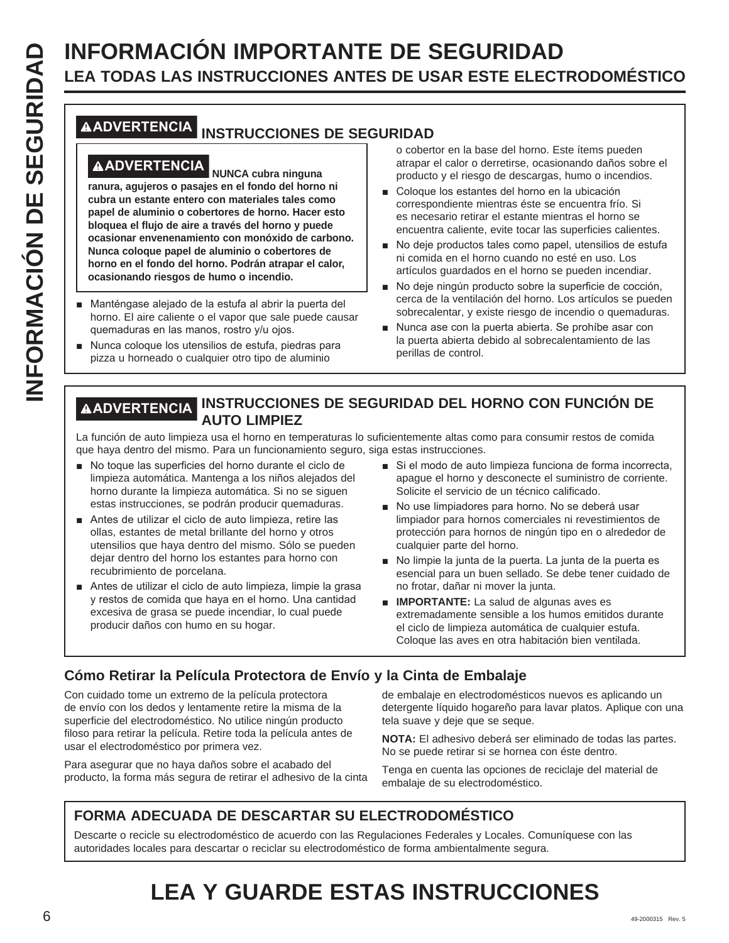# **LEA TODAS LAS INSTRUCCIONES ANTES DE USAR ESTE ELECTRODOMÉSTICO**

# **ADVERTENCIA INSTRUCCIONES DE SEGURIDAD**

# **ADVERTENCIA NUNCA cubra ninguna**

**INFORMACIÓN IMPORTANTE DE SEGURIDAD**<br> **INFORMACIÓN INSTRUCCIONES ANTES DE USAR ESTE ELECT<br>
MONTRITENCIA INSTRUCCIONES DE SEGURIDAD<br>
<b>INFORMACIÓN INSTRUCCIONES DE SEGURIDAD**<br> **INFORMACIÓN INSTRUCCIONES DE SEGURIDAD**<br> **INFO ranura, agujeros o pasajes en el fondo del horno ni cubra un estante entero con materiales tales como papel de aluminio o cobertores de horno. Hacer esto bloquea el flujo de aire a través del horno y puede ocasionar envenenamiento con monóxido de carbono. Nunca coloque papel de aluminio o cobertores de horno en el fondo del horno. Podrán atrapar el calor, ocasionando riesgos de humo o incendio.**

- Manténgase alejado de la estufa al abrir la puerta del horno. El aire caliente o el vapor que sale puede causar quemaduras en las manos, rostro y/u ojos.
- Nunca coloque los utensilios de estufa, piedras para pizza u horneado o cualquier otro tipo de aluminio

o cobertor en la base del horno. Este ítems pueden atrapar el calor o derretirse, ocasionando daños sobre el producto y el riesgo de descargas, humo o incendios.

- Coloque los estantes del horno en la ubicación correspondiente mientras éste se encuentra frío. Si es necesario retirar el estante mientras el horno se encuentra caliente, evite tocar las superficies calientes.
- No deje productos tales como papel, utensilios de estufa ni comida en el horno cuando no esté en uso. Los artículos guardados en el horno se pueden incendiar.
- No deje ningún producto sobre la superficie de cocción. cerca de la ventilación del horno. Los artículos se pueden sobrecalentar, y existe riesgo de incendio o quemaduras.
- Nunca ase con la puerta abierta. Se prohíbe asar con la puerta abierta debido al sobrecalentamiento de las perillas de control.

# **ADVERTENCIA INSTRUCCIONES DE SEGURIDAD DEL HORNO CON FUNCIÓN DE AUTO LIMPIEZ**

La función de auto limpieza usa el horno en temperaturas lo suficientemente altas como para consumir restos de comida que haya dentro del mismo. Para un funcionamiento seguro, siga estas instrucciones.

- No toque las superficies del horno durante el ciclo de limpieza automática. Mantenga a los niños alejados del horno durante la limpieza automática. Si no se siguen estas instrucciones, se podrán producir quemaduras.
- Antes de utilizar el ciclo de auto limpieza, retire las ollas, estantes de metal brillante del horno y otros utensilios que haya dentro del mismo. Sólo se pueden dejar dentro del horno los estantes para horno con recubrimiento de porcelana.
- Antes de utilizar el ciclo de auto limpieza, limpie la grasa y restos de comida que haya en el horno. Una cantidad excesiva de grasa se puede incendiar, lo cual puede producir daños con humo en su hogar.
- Si el modo de auto limpieza funciona de forma incorrecta, apague el horno y desconecte el suministro de corriente. Solicite el servicio de un técnico calificado.
- No use limpiadores para horno. No se deberá usar limpiador para hornos comerciales ni revestimientos de protección para hornos de ningún tipo en o alrededor de cualquier parte del horno.
- No limpie la junta de la puerta. La junta de la puerta es esencial para un buen sellado. Se debe tener cuidado de no frotar, dañar ni mover la junta.
- **IMPORTANTE:** La salud de algunas aves es extremadamente sensible a los humos emitidos durante el ciclo de limpieza automática de cualquier estufa. Coloque las aves en otra habitación bien ventilada.

# **Cómo Retirar la Película Protectora de Envío y la Cinta de Embalaje**

Con cuidado tome un extremo de la película protectora de envío con los dedos y lentamente retire la misma de la superficie del electrodoméstico. No utilice ningún producto filoso para retirar la película. Retire toda la película antes de usar el electrodoméstico por primera vez.

Para asegurar que no haya daños sobre el acabado del producto, la forma más segura de retirar el adhesivo de la cinta

de embalaje en electrodomésticos nuevos es aplicando un detergente líquido hogareño para lavar platos. Aplique con una tela suave y deje que se seque.

**NOTA:** El adhesivo deberá ser eliminado de todas las partes. No se puede retirar si se hornea con éste dentro.

Tenga en cuenta las opciones de reciclaje del material de embalaje de su electrodoméstico.

# **FORMA ADECUADA DE DESCARTAR SU ELECTRODOMÉSTICO**

Descarte o recicle su electrodoméstico de acuerdo con las Regulaciones Federales y Locales. Comuníquese con las autoridades locales para descartar o reciclar su electrodoméstico de forma ambientalmente segura.

# **LEA Y GUARDE ESTAS INSTRUCCIONES**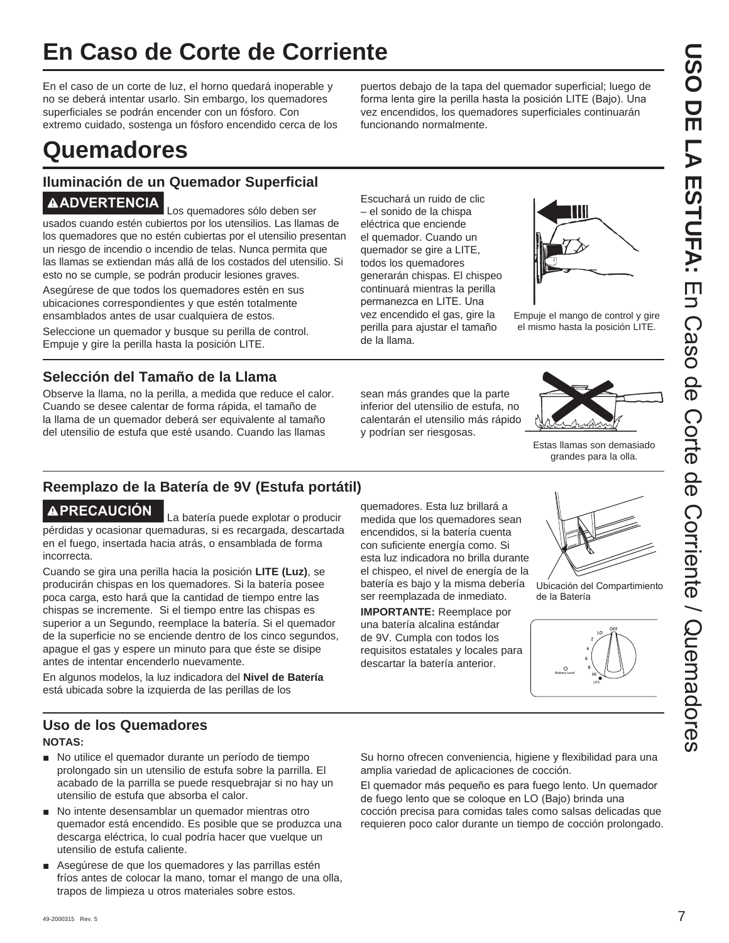# **En Caso de Corte de Corriente**

En el caso de un corte de luz, el horno quedará inoperable y no se deberá intentar usarlo. Sin embargo, los quemadores superficiales se podrán encender con un fósforo. Con extremo cuidado, sostenga un fósforo encendido cerca de los

puertos debajo de la tapa del quemador superficial; luego de forma lenta gire la perilla hasta la posición LITE (Bajo). Una vez encendidos, los quemadores superficiales continuarán funcionando normalmente.

# **Quemadores**

# **Iluminación de un Quemador Superficial ADVERTENCIA** Los quemadores sólo deben ser

usados cuando estén cubiertos por los utensilios. Las llamas de los quemadores que no estén cubiertas por el utensilio presentan un riesgo de incendio o incendio de telas. Nunca permita que las llamas se extiendan más allá de los costados del utensilio. Si esto no se cumple, se podrán producir lesiones graves.

Asegúrese de que todos los quemadores estén en sus ubicaciones correspondientes y que estén totalmente ensamblados antes de usar cualquiera de estos.

Seleccione un quemador y busque su perilla de control. Empuje y gire la perilla hasta la posición LITE.

# **Selección del Tamaño de la Llama**

Observe la llama, no la perilla, a medida que reduce el calor. Cuando se desee calentar de forma rápida, el tamaño de la llama de un quemador deberá ser equivalente al tamaño del utensilio de estufa que esté usando. Cuando las llamas

Escuchará un ruido de clic – el sonido de la chispa eléctrica que enciende el quemador. Cuando un quemador se gire a LITE, todos los quemadores generarán chispas. El chispeo continuará mientras la perilla permanezca en LITE. Una vez encendido el gas, gire la perilla para ajustar el tamaño de la llama.



Empuje el mango de control y gire el mismo hasta la posición LITE.

sean más grandes que la parte inferior del utensilio de estufa, no calentarán el utensilio más rápido y podrían ser riesgosas.



Estas llamas son demasiado grandes para la olla.

# **Reemplazo de la Batería de 9V (Estufa portátil)**

**PRECAUCIÓN** La batería puede explotar o producir pérdidas y ocasionar quemaduras, si es recargada, descartada en el fuego, insertada hacia atrás, o ensamblada de forma incorrecta.

Cuando se gira una perilla hacia la posición **LITE (Luz)**, se producirán chispas en los quemadores. Si la batería posee poca carga, esto hará que la cantidad de tiempo entre las chispas se incremente. Si el tiempo entre las chispas es superior a un Segundo, reemplace la batería. Si el quemador de la superficie no se enciende dentro de los cinco segundos, apague el gas y espere un minuto para que éste se disipe antes de intentar encenderlo nuevamente.

En algunos modelos, la luz indicadora del **Nivel de Batería** está ubicada sobre la izquierda de las perillas de los

quemadores. Esta luz brillará a medida que los quemadores sean encendidos, si la batería cuenta con suficiente energía como. Si esta luz indicadora no brilla durante el chispeo, el nivel de energía de la batería es bajo y la misma debería ser reemplazada de inmediato.

**IMPORTANTE:** Reemplace por una batería alcalina estándar de 9V. Cumpla con todos los requisitos estatales y locales para descartar la batería anterior.



Ubicación del Compartimiento de la Batería



# **Uso de los Quemadores**

#### **NOTAS:**

- No utilice el quemador durante un período de tiempo prolongado sin un utensilio de estufa sobre la parrilla. El acabado de la parrilla se puede resquebrajar si no hay un utensilio de estufa que absorba el calor.
- No intente desensamblar un quemador mientras otro quemador está encendido. Es posible que se produzca una descarga eléctrica, lo cual podría hacer que vuelque un utensilio de estufa caliente.
- Asegúrese de que los quemadores y las parrillas estén fríos antes de colocar la mano, tomar el mango de una olla, trapos de limpieza u otros materiales sobre estos.

Su horno ofrecen conveniencia, higiene y flexibilidad para una amplia variedad de aplicaciones de cocción.

El quemador más pequeño es para fuego lento. Un quemador de fuego lento que se coloque en LO (Bajo) brinda una cocción precisa para comidas tales como salsas delicadas que requieren poco calor durante un tiempo de cocción prolongado.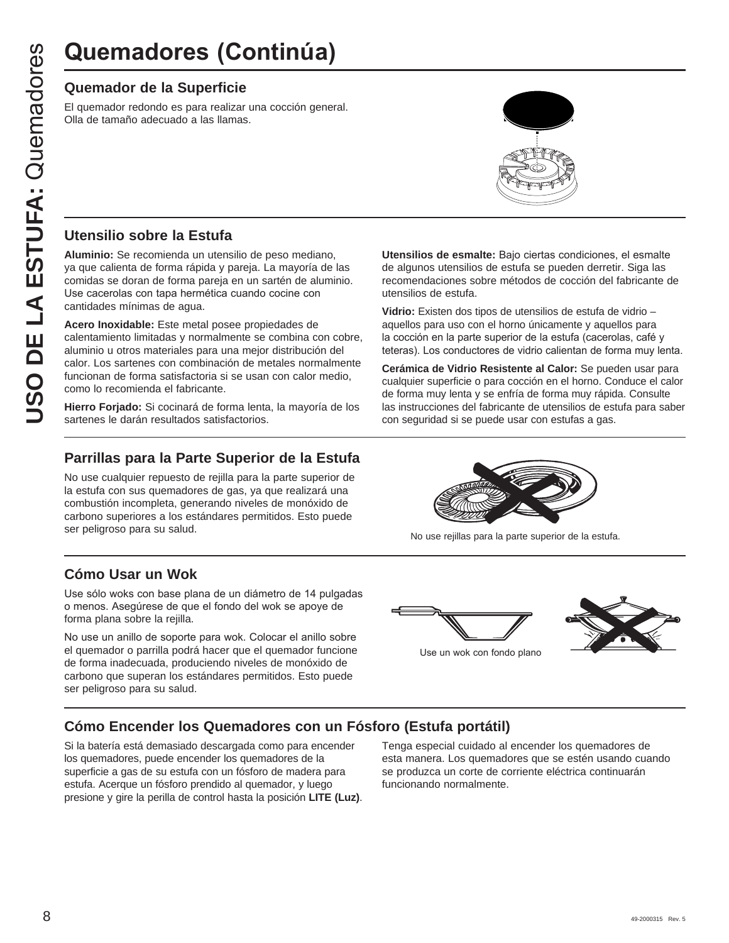## **Quemador de la Superficie**

El quemador redondo es para realizar una cocción general. Olla de tamaño adecuado a las llamas.

# **Utensilio sobre la Estufa**

**Aluminio:** Se recomienda un utensilio de peso mediano, ya que calienta de forma rápida y pareja. La mayoría de las comidas se doran de forma pareja en un sartén de aluminio. Use cacerolas con tapa hermética cuando cocine con cantidades mínimas de agua.

**Acero Inoxidable:** Este metal posee propiedades de calentamiento limitadas y normalmente se combina con cobre, aluminio u otros materiales para una mejor distribución del calor. Los sartenes con combinación de metales normalmente funcionan de forma satisfactoria si se usan con calor medio, como lo recomienda el fabricante. **Quemador de la Superficie<br>
El quemador de la Superficie<br>
El quemador redondo es para realizar una cocción gener<br>
DIS de tamaño adecuado a las llamas.<br>
<br>
<b>CIS de tamaño adecuado a las llamas.**<br>
<br> **CIS de cacrollac** de tama

**Hierro Forjado:** Si cocinará de forma lenta, la mayoría de los sartenes le darán resultados satisfactorios.

## **Parrillas para la Parte Superior de la Estufa**

No use cualquier repuesto de rejilla para la parte superior de la estufa con sus quemadores de gas, ya que realizará una combustión incompleta, generando niveles de monóxido de carbono superiores a los estándares permitidos. Esto puede ser peligroso para su salud.

# **Cómo Usar un Wok**

Use sólo woks con base plana de un diámetro de 14 pulgadas o menos. Asegúrese de que el fondo del wok se apoye de forma plana sobre la rejilla.

No use un anillo de soporte para wok. Colocar el anillo sobre el quemador o parrilla podrá hacer que el quemador funcione de forma inadecuada, produciendo niveles de monóxido de carbono que superan los estándares permitidos. Esto puede ser peligroso para su salud.



**Utensilios de esmalte:** Bajo ciertas condiciones, el esmalte de algunos utensilios de estufa se pueden derretir. Siga las recomendaciones sobre métodos de cocción del fabricante de

**Vidrio:** Existen dos tipos de utensilios de estufa de vidrio – aquellos para uso con el horno únicamente y aquellos para la cocción en la parte superior de la estufa (cacerolas, café y teteras). Los conductores de vidrio calientan de forma muy lenta. **Cerámica de Vidrio Resistente al Calor:** Se pueden usar para cualquier superficie o para cocción en el horno. Conduce el calor de forma muy lenta y se enfría de forma muy rápida. Consulte las instrucciones del fabricante de utensilios de estufa para saber

utensilios de estufa.

No use rejillas para la parte superior de la estufa.



# **Cómo Encender los Quemadores con un Fósforo (Estufa portátil)**

Si la batería está demasiado descargada como para encender los quemadores, puede encender los quemadores de la superficie a gas de su estufa con un fósforo de madera para estufa. Acerque un fósforo prendido al quemador, y luego presione y gire la perilla de control hasta la posición **LITE (Luz)**.

Tenga especial cuidado al encender los quemadores de esta manera. Los quemadores que se estén usando cuando se produzca un corte de corriente eléctrica continuarán funcionando normalmente.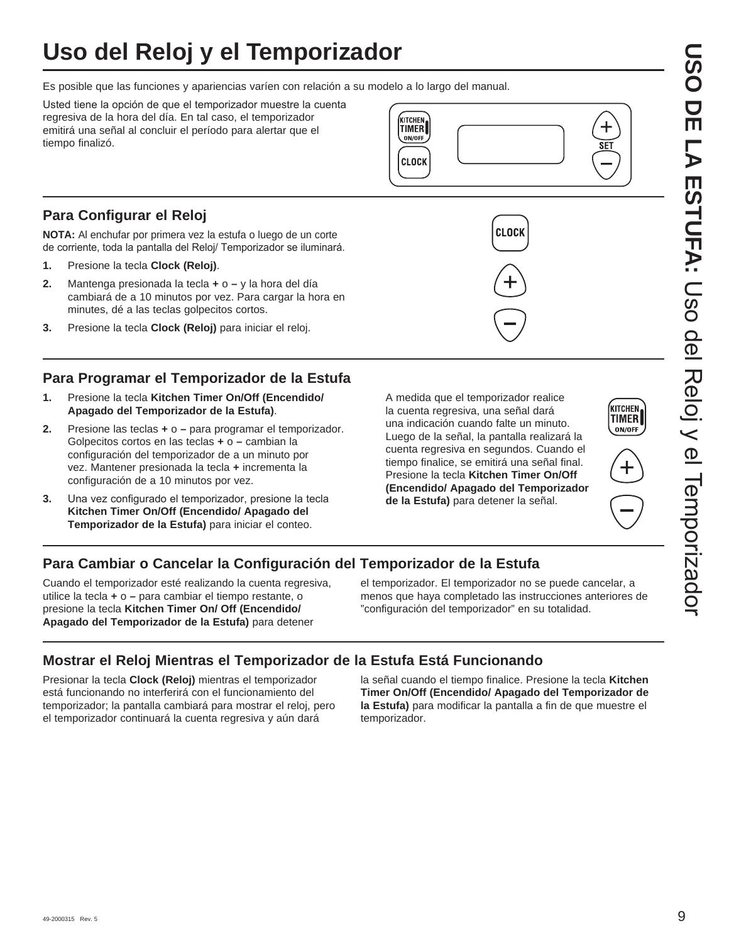# **Uso del Reloj y el Temporizador**

Es posible que las funciones y apariencias varíen con relación a su modelo a lo largo del manual.

Usted tiene la opción de que el temporizador muestre la cuenta regresiva de la hora del día. En tal caso, el temporizador emitirá una señal al concluir el período para alertar que el tiempo finalizó.

# **Para Configurar el Reloj**

**NOTA:** Al enchufar por primera vez la estufa o luego de un corte de corriente, toda la pantalla del Reloj/ Temporizador se iluminará.

- **1.** Presione la tecla **Clock (Reloj)**.
- **2.** Mantenga presionada la tecla **+** o **–** y la hora del día cambiará de a 10 minutos por vez. Para cargar la hora en minutes, dé a las teclas golpecitos cortos.
- **3.** Presione la tecla **Clock (Reloj)** para iniciar el reloj.

# **Para Programar el Temporizador de la Estufa**

- **1.** Presione la tecla **Kitchen Timer On/Off (Encendido/ Apagado del Temporizador de la Estufa)**.
- **2.** Presione las teclas **+** o **–** para programar el temporizador. Golpecitos cortos en las teclas **+** o **–** cambian la configuración del temporizador de a un minuto por vez. Mantener presionada la tecla **+** incrementa la configuración de a 10 minutos por vez.
- **3.** Una vez configurado el temporizador, presione la tecla **Kitchen Timer On/Off (Encendido/ Apagado del Temporizador de la Estufa)** para iniciar el conteo.

 A medida que el temporizador realice la cuenta regresiva, una señal dará una indicación cuando falte un minuto. Luego de la señal, la pantalla realizará la cuenta regresiva en segundos. Cuando el tiempo finalice, se emitirá una señal final. Presione la tecla **Kitchen Timer On/Off (Encendido/ Apagado del Temporizador de la Estufa)** para detener la señal.

**CLOCK** 

**ITCHEN** 

**TIMER** ON/OFF

**CLOCK** 



**KITCHEN** ON/OFF

╄

SET

# **Para Cambiar o Cancelar la Configuración del Temporizador de la Estufa**

Cuando el temporizador esté realizando la cuenta regresiva, utilice la tecla **+** o **–** para cambiar el tiempo restante, o presione la tecla **Kitchen Timer On/ Off (Encendido/ Apagado del Temporizador de la Estufa)** para detener

el temporizador. El temporizador no se puede cancelar, a menos que haya completado las instrucciones anteriores de "configuración del temporizador" en su totalidad.

# **Mostrar el Reloj Mientras el Temporizador de la Estufa Está Funcionando**

Presionar la tecla **Clock (Reloj)** mientras el temporizador está funcionando no interferirá con el funcionamiento del temporizador; la pantalla cambiará para mostrar el reloj, pero el temporizador continuará la cuenta regresiva y aún dará

la señal cuando el tiempo finalice. Presione la tecla **Kitchen Timer On/Off (Encendido/ Apagado del Temporizador de la Estufa)** para modificar la pantalla a fin de que muestre el temporizador.

# **USO DE LA ESTUFA:DSO ESTUPLA:** Cso del Reloj y el Tenporizador Uso del Reloj y el Temporizador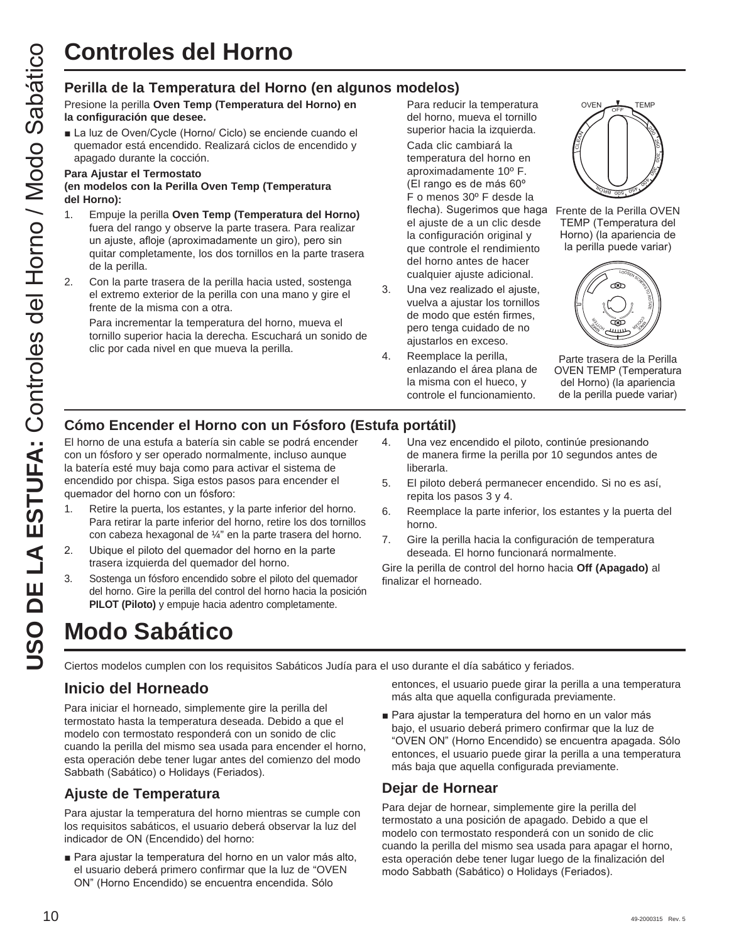Presione la perilla **Oven Temp (Temperatura del Horno) en la configuración que desee.**

La luz de Oven/Cycle (Horno/ Ciclo) se enciende cuando el quemador está encendido. Realizará ciclos de encendido y apagado durante la cocción.

#### **Para Ajustar el Termostato**

**(en modelos con la Perilla Oven Temp (Temperatura del Horno):**

- Controles del Horno (en algunos modelos)<br>
Terrilla de la Temperatura del Horno (en algunos modelos)<br>
la configuración que dese.<br>
Un la via de horno (en algunos modelos)<br>
la configuración que dese.<br>
Un la via de vonci/piel 1. Empuje la perilla **Oven Temp (Temperatura del Horno)** fuera del rango y observe la parte trasera. Para realizar un ajuste, afloje (aproximadamente un giro), pero sin quitar completamente, los dos tornillos en la parte trasera de la perilla.
	- 2. Con la parte trasera de la perilla hacia usted, sostenga el extremo exterior de la perilla con una mano y gire el frente de la misma con a otra.

 Para incrementar la temperatura del horno, mueva el tornillo superior hacia la derecha. Escuchará un sonido de clic por cada nivel en que mueva la perilla.

 Para reducir la temperatura del horno, mueva el tornillo superior hacia la izquierda. Cada clic cambiará la temperatura del horno en aproximadamente 10º F. (El rango es de más 60° F o menos 30º F desde la flecha). Sugerimos que haga Frente de la Perilla OVEN el ajuste de a un clic desde la configuración original y que controle el rendimiento del horno antes de hacer cualquier ajuste adicional.

- 3. Una vez realizado el ajuste, vuelva a ajustar los tornillos de modo que estén firmes, pero tenga cuidado de no ajustarlos en exceso.
- 4. Reemplace la perilla, enlazando el área plana de la misma con el hueco, y controle el funcionamiento.



TEMP (Temperatura del Horno) (la apariencia de la perilla puede variar)



Parte trasera de la Perilla OVEN TEMP (Temperatura del Horno) (la apariencia de la perilla puede variar)

# **Cómo Encender el Horno con un Fósforo (Estufa portátil)**

El horno de una estufa a batería sin cable se podrá encender con un fósforo y ser operado normalmente, incluso aunque la batería esté muy baja como para activar el sistema de encendido por chispa. Siga estos pasos para encender el quemador del horno con un fósforo:

- 1. Retire la puerta, los estantes, y la parte inferior del horno. Para retirar la parte inferior del horno, retire los dos tornillos con cabeza hexagonal de ¼" en la parte trasera del horno.
- 2. Ubique el piloto del quemador del horno en la parte trasera izquierda del quemador del horno.
- 3. Sostenga un fósforo encendido sobre el piloto del quemador del horno. Gire la perilla del control del horno hacia la posición **PILOT (Piloto)** y empuje hacia adentro completamente.
- 4. Una vez encendido el piloto, continúe presionando de manera firme la perilla por 10 segundos antes de liberarla.
- 5. El piloto deberá permanecer encendido. Si no es así, repita los pasos 3 y 4.
- 6. Reemplace la parte inferior, los estantes y la puerta del horno.
- 7. Gire la perilla hacia la configuración de temperatura deseada. El horno funcionará normalmente.

Gire la perilla de control del horno hacia **Off (Apagado)** al finalizar el horneado.

# **Modo Sabático**

Ciertos modelos cumplen con los requisitos Sabáticos Judía para el uso durante el día sabático y feriados.

# **Inicio del Horneado**

Para iniciar el horneado, simplemente gire la perilla del termostato hasta la temperatura deseada. Debido a que el modelo con termostato responderá con un sonido de clic cuando la perilla del mismo sea usada para encender el horno, esta operación debe tener lugar antes del comienzo del modo Sabbath (Sabático) o Holidays (Feriados).

# **Ajuste de Temperatura**

Para ajustar la temperatura del horno mientras se cumple con los requisitos sabáticos, el usuario deberá observar la luz del indicador de ON (Encendido) del horno:

■ Para ajustar la temperatura del horno en un valor más alto, el usuario deberá primero confirmar que la luz de "OVEN ON" (Horno Encendido) se encuentra encendida. Sólo

entonces, el usuario puede girar la perilla a una temperatura más alta que aquella configurada previamente.

Para ajustar la temperatura del horno en un valor más bajo, el usuario deberá primero confirmar que la luz de "OVEN ON" (Horno Encendido) se encuentra apagada. Sólo entonces, el usuario puede girar la perilla a una temperatura más baja que aquella configurada previamente.

## **Dejar de Hornear**

Para dejar de hornear, simplemente gire la perilla del termostato a una posición de apagado. Debido a que el modelo con termostato responderá con un sonido de clic cuando la perilla del mismo sea usada para apagar el horno, esta operación debe tener lugar luego de la finalización del modo Sabbath (Sabático) o Holidays (Feriados).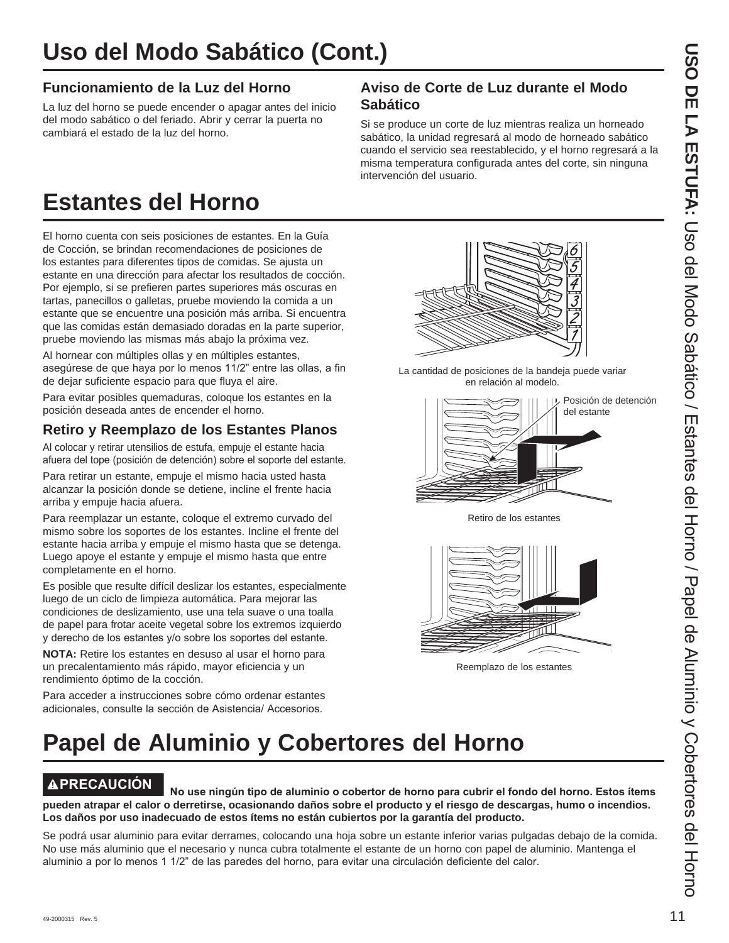# **Funcionamiento de la Luz del Horno**

La luz del horno se puede encender o apagar antes del inicio del modo sabático o del feriado. Abrir y cerrar la puerta no cambiará el estado de la luz del horno.

## **Aviso de Corte de Luz durante el Modo Sabático**

Si se produce un corte de luz mientras realiza un horneado sabático, la unidad regresará al modo de horneado sabático cuando el servicio sea reestablecido, y el horno regresará a la misma temperatura configurada antes del corte, sin ninguna intervención del usuario.

# **Estantes del Horno**

El horno cuenta con seis posiciones de estantes. En la Guía de Cocción, se brindan recomendaciones de posiciones de los estantes para diferentes tipos de comidas. Se ajusta un estante en una dirección para afectar los resultados de cocción. Por ejemplo, si se prefieren partes superiores más oscuras en tartas, panecillos o galletas, pruebe moviendo la comida a un estante que se encuentre una posición más arriba. Si encuentra que las comidas están demasiado doradas en la parte superior, pruebe moviendo las mismas más abajo la próxima vez.

Al hornear con múltiples ollas y en múltiples estantes, asegúrese de que haya por lo menos 11/2" entre las ollas, a fin de dejar suficiente espacio para que fluya el aire.

Para evitar posibles quemaduras, coloque los estantes en la posición deseada antes de encender el horno.

# **Retiro y Reemplazo de los Estantes Planos**

Al colocar y retirar utensilios de estufa, empuje el estante hacia afuera del tope (posición de detención) sobre el soporte del estante.

Para retirar un estante, empuje el mismo hacia usted hasta alcanzar la posición donde se detiene, incline el frente hacia arriba y empuje hacia afuera.

Para reemplazar un estante, coloque el extremo curvado del mismo sobre los soportes de los estantes. Incline el frente del estante hacia arriba y empuje el mismo hasta que se detenga. Luego apoye el estante y empuje el mismo hasta que entre completamente en el horno.

Es posible que resulte difícil deslizar los estantes, especialmente luego de un ciclo de limpieza automática. Para mejorar las condiciones de deslizamiento, use una tela suave o una toalla de papel para frotar aceite vegetal sobre los extremos izquierdo y derecho de los estantes y/o sobre los soportes del estante.

**NOTA:** Retire los estantes en desuso al usar el horno para un precalentamiento más rápido, mayor eficiencia y un rendimiento óptimo de la cocción.

Para acceder a instrucciones sobre cómo ordenar estantes adicionales, consulte la sección de Asistencia/ Accesorios.



La cantidad de posiciones de la bandeja puede variar en relación al modelo.



Retiro de los estantes



Reemplazo de los estantes

# **Papel de Aluminio y Cobertores del Horno**

**PRECAUCIÓN** No use ningún tipo de aluminio o cobertor de horno para cubrir el fondo del horno. Estos ítems **pueden atrapar el calor o derretirse, ocasionando daños sobre el producto y el riesgo de descargas, humo o incendios. Los daños por uso inadecuado de estos ítems no están cubiertos por la garantía del producto.**

Se podrá usar aluminio para evitar derrames, colocando una hoja sobre un estante inferior varias pulgadas debajo de la comida. No use más aluminio que el necesario y nunca cubra totalmente el estante de un horno con papel de aluminio. Mantenga el aluminio a por lo menos 1 1/2" de las paredes del horno, para evitar una circulación deficiente del calor.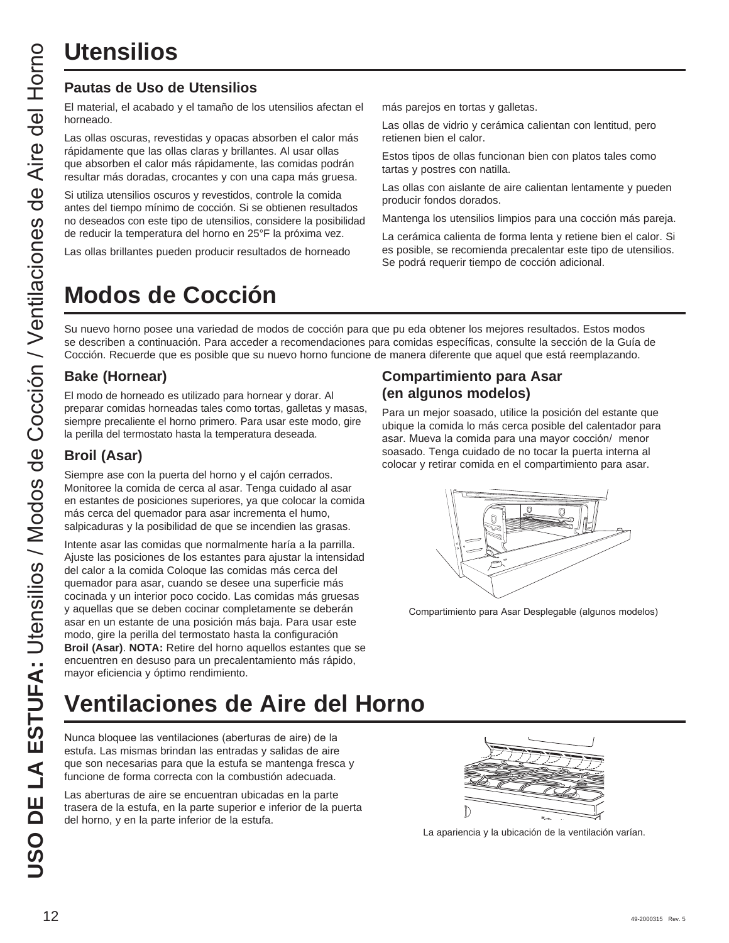# **Utensilios**

# **Pautas de Uso de Utensilios**

El material, el acabado y el tamaño de los utensilios afectan el horneado.

Las ollas oscuras, revestidas y opacas absorben el calor más rápidamente que las ollas claras y brillantes. Al usar ollas que absorben el calor más rápidamente, las comidas podrán resultar más doradas, crocantes y con una capa más gruesa.

Si utiliza utensilios oscuros y revestidos, controle la comida antes del tiempo mínimo de cocción. Si se obtienen resultados no deseados con este tipo de utensilios, considere la posibilidad de reducir la temperatura del horno en 25°F la próxima vez.

Las ollas brillantes pueden producir resultados de horneado

# **Modos de Cocción**

más parejos en tortas y galletas.

Las ollas de vidrio y cerámica calientan con lentitud, pero retienen bien el calor.

Estos tipos de ollas funcionan bien con platos tales como tartas y postres con natilla.

Las ollas con aislante de aire calientan lentamente y pueden producir fondos dorados.

Mantenga los utensilios limpios para una cocción más pareja.

La cerámica calienta de forma lenta y retiene bien el calor. Si es posible, se recomienda precalentar este tipo de utensilios. Se podrá requerir tiempo de cocción adicional.

Su nuevo horno posee una variedad de modos de cocción para que pu eda obtener los mejores resultados. Estos modos se describen a continuación. Para acceder a recomendaciones para comidas específicas, consulte la sección de la Guía de Cocción. Recuerde que es posible que su nuevo horno funcione de manera diferente que aquel que está reemplazando.

# **Bake (Hornear)**

El modo de horneado es utilizado para hornear y dorar. Al preparar comidas horneadas tales como tortas, galletas y masas, siempre precaliente el horno primero. Para usar este modo, gire la perilla del termostato hasta la temperatura deseada.

# **Broil (Asar)**

Siempre ase con la puerta del horno y el cajón cerrados. Monitoree la comida de cerca al asar. Tenga cuidado al asar en estantes de posiciones superiores, ya que colocar la comida más cerca del quemador para asar incrementa el humo, salpicaduras y la posibilidad de que se incendien las grasas.

Intente asar las comidas que normalmente haría a la parrilla. Ajuste las posiciones de los estantes para ajustar la intensidad del calor a la comida Coloque las comidas más cerca del quemador para asar, cuando se desee una superficie más cocinada y un interior poco cocido. Las comidas más gruesas y aquellas que se deben cocinar completamente se deberán asar en un estante de una posición más baja. Para usar este modo, gire la perilla del termostato hasta la configuración **Broil (Asar)**. **NOTA:** Retire del horno aquellos estantes que se encuentren en desuso para un precalentamiento más rápido, mayor eficiencia y óptimo rendimiento.

# **Ventilaciones de Aire del Horno**

Nunca bloquee las ventilaciones (aberturas de aire) de la estufa. Las mismas brindan las entradas y salidas de aire que son necesarias para que la estufa se mantenga fresca y funcione de forma correcta con la combustión adecuada.

Las aberturas de aire se encuentran ubicadas en la parte trasera de la estufa, en la parte superior e inferior de la puerta del horno, y en la parte inferior de la estufa.

# **Compartimiento para Asar (en algunos modelos)**

Para un mejor soasado, utilice la posición del estante que ubique la comida lo más cerca posible del calentador para asar. Mueva la comida para una mayor cocción/ menor soasado. Tenga cuidado de no tocar la puerta interna al colocar y retirar comida en el compartimiento para asar.



Compartimiento para Asar Desplegable (algunos modelos)



La apariencia y la ubicación de la ventilación varían.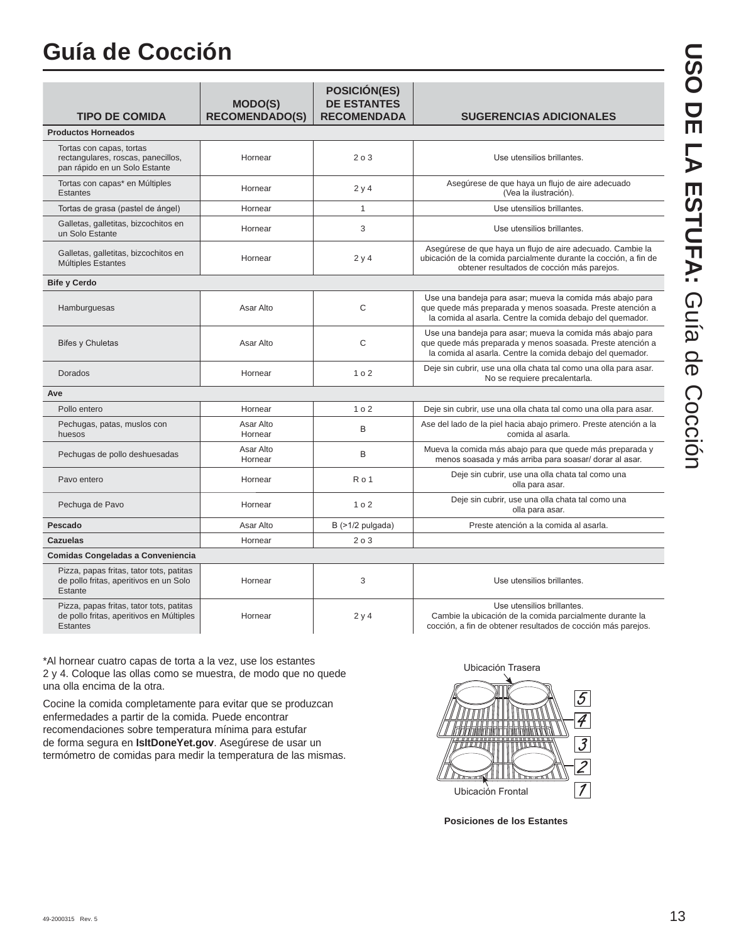# **Guía de Cocción**

| <b>TIPO DE COMIDA</b>                                                                                   | <b>MODO(S)</b><br><b>RECOMENDADO(S)</b> | <b>POSICIÓN(ES)</b><br><b>DE ESTANTES</b><br><b>RECOMENDADA</b> | <b>SUGERENCIAS ADICIONALES</b>                                                                                                                                                        |
|---------------------------------------------------------------------------------------------------------|-----------------------------------------|-----------------------------------------------------------------|---------------------------------------------------------------------------------------------------------------------------------------------------------------------------------------|
| <b>Productos Horneados</b>                                                                              |                                         |                                                                 |                                                                                                                                                                                       |
| Tortas con capas, tortas<br>rectangulares, roscas, panecillos,<br>pan rápido en un Solo Estante         | Hornear                                 | 203                                                             | Use utensilios brillantes.                                                                                                                                                            |
| Tortas con capas* en Múltiples<br><b>Estantes</b>                                                       | Hornear                                 | 2y4                                                             | Asegúrese de que haya un flujo de aire adecuado<br>(Vea la ilustración).                                                                                                              |
| Tortas de grasa (pastel de ángel)                                                                       | Hornear                                 | $\mathbf{1}$                                                    | Use utensilios brillantes.                                                                                                                                                            |
| Galletas, galletitas, bizcochitos en<br>un Solo Estante                                                 | Hornear                                 | 3                                                               | Use utensilios brillantes.                                                                                                                                                            |
| Galletas, galletitas, bizcochitos en<br>Múltiples Estantes                                              | Hornear                                 | 2y4                                                             | Asegúrese de que haya un flujo de aire adecuado. Cambie la<br>ubicación de la comida parcialmente durante la cocción, a fin de<br>obtener resultados de cocción más parejos.          |
| <b>Bife y Cerdo</b>                                                                                     |                                         |                                                                 |                                                                                                                                                                                       |
| Hamburguesas                                                                                            | Asar Alto                               | $\mathsf{C}$                                                    | Use una bandeja para asar; mueva la comida más abajo para<br>que quede más preparada y menos soasada. Preste atención a<br>la comida al asarla. Centre la comida debajo del quemador. |
| <b>Bifes y Chuletas</b>                                                                                 | Asar Alto                               | C                                                               | Use una bandeja para asar; mueva la comida más abajo para<br>que quede más preparada y menos soasada. Preste atención a<br>la comida al asarla. Centre la comida debajo del quemador. |
| Dorados                                                                                                 | Hornear                                 | 102                                                             | Deje sin cubrir, use una olla chata tal como una olla para asar.<br>No se requiere precalentarla.                                                                                     |
| Ave                                                                                                     |                                         |                                                                 |                                                                                                                                                                                       |
| Pollo entero                                                                                            | Hornear                                 | 1 <sub>0</sub> 2                                                | Deje sin cubrir, use una olla chata tal como una olla para asar.                                                                                                                      |
| Pechugas, patas, muslos con<br>huesos                                                                   | Asar Alto<br>Hornear                    | B                                                               | Ase del lado de la piel hacia abajo primero. Preste atención a la<br>comida al asarla.                                                                                                |
| Pechugas de pollo deshuesadas                                                                           | Asar Alto<br>Hornear                    | B                                                               | Mueva la comida más abajo para que quede más preparada y<br>menos soasada y más arriba para soasar/ dorar al asar.                                                                    |
| Pavo entero                                                                                             | Hornear                                 | Ro <sub>1</sub>                                                 | Deje sin cubrir, use una olla chata tal como una<br>olla para asar.                                                                                                                   |
| Pechuga de Pavo                                                                                         | Hornear                                 | 1 <sub>0</sub> 2                                                | Deje sin cubrir, use una olla chata tal como una<br>olla para asar.                                                                                                                   |
| Pescado                                                                                                 | Asar Alto                               | B (>1/2 pulgada)                                                | Preste atención a la comida al asarla.                                                                                                                                                |
| <b>Cazuelas</b>                                                                                         | Hornear                                 | 203                                                             |                                                                                                                                                                                       |
| Comidas Congeladas a Conveniencia                                                                       |                                         |                                                                 |                                                                                                                                                                                       |
| Pizza, papas fritas, tator tots, patitas<br>de pollo fritas, aperitivos en un Solo<br>Estante           | Hornear                                 | 3                                                               | Use utensilios brillantes.                                                                                                                                                            |
| Pizza, papas fritas, tator tots, patitas<br>de pollo fritas, aperitivos en Múltiples<br><b>Estantes</b> | Hornear                                 | 2 y 4                                                           | Use utensilios brillantes.<br>Cambie la ubicación de la comida parcialmente durante la<br>cocción, a fin de obtener resultados de cocción más parejos.                                |

\*Al hornear cuatro capas de torta a la vez, use los estantes 2 y 4. Coloque las ollas como se muestra, de modo que no quede una olla encima de la otra.

Cocine la comida completamente para evitar que se produzcan enfermedades a partir de la comida. Puede encontrar recomendaciones sobre temperatura mínima para estufar de forma segura en **IsItDoneYet.gov**. Asegúrese de usar un termómetro de comidas para medir la temperatura de las mismas.



**Posiciones de los Estantes**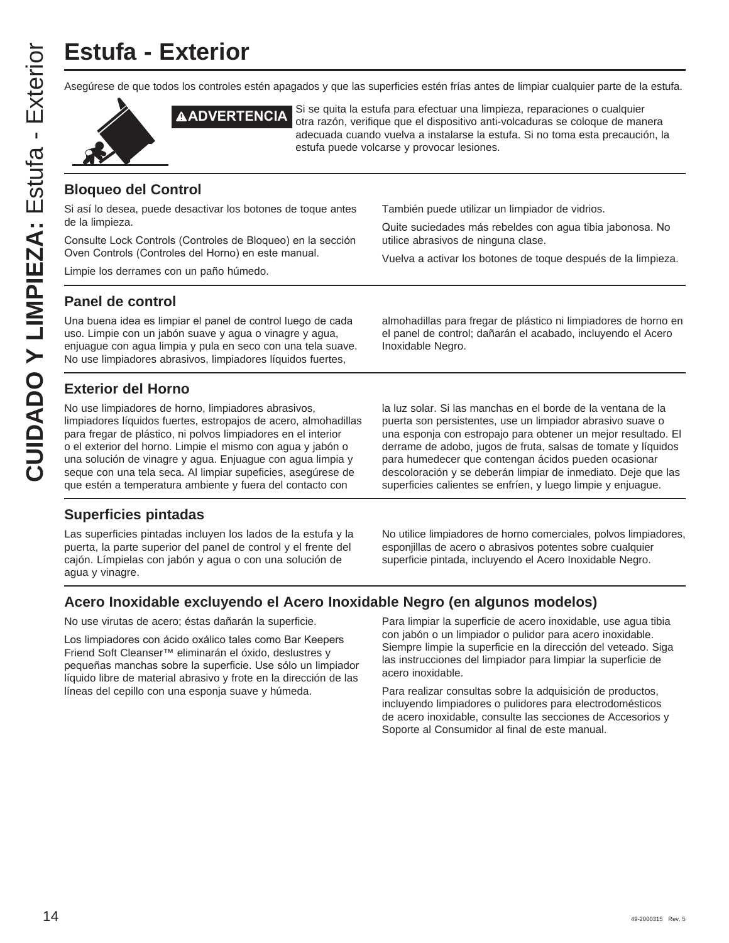# **Estufa - Exterior**

Asegúrese de que todos los controles estén apagados y que las superficies estén frías antes de limpiar cualquier parte de la estufa.



**AADVERTENCIA** Si se quita la estufa para efectuar una limpieza, reparaciones o cualquier otra razón, verifique que el dispositivo anti-volcaduras se coloque de manera adecuada cuando vuelva a instalarse la estufa. Si no toma esta precaución, la estufa puede volcarse y provocar lesiones.

## **Bloqueo del Control**

Si así lo desea, puede desactivar los botones de toque antes de la limpieza.

Consulte Lock Controls (Controles de Bloqueo) en la sección Oven Controls (Controles del Horno) en este manual.

Limpie los derrames con un paño húmedo.

También puede utilizar un limpiador de vidrios.

Quite suciedades más rebeldes con agua tibia jabonosa. No utilice abrasivos de ninguna clase.

Vuelva a activar los botones de toque después de la limpieza.

## **Panel de control**

Una buena idea es limpiar el panel de control luego de cada uso. Limpie con un jabón suave y agua o vinagre y agua, enjuague con agua limpia y pula en seco con una tela suave. No use limpiadores abrasivos, limpiadores líquidos fuertes,

almohadillas para fregar de plástico ni limpiadores de horno en el panel de control; dañarán el acabado, incluyendo el Acero Inoxidable Negro.

# **Exterior del Horno**

No use limpiadores de horno, limpiadores abrasivos, limpiadores líquidos fuertes, estropajos de acero, almohadillas para fregar de plástico, ni polvos limpiadores en el interior o el exterior del horno. Limpie el mismo con agua y jabón o una solución de vinagre y agua. Enjuague con agua limpia y seque con una tela seca. Al limpiar supeficies, asegúrese de que estén a temperatura ambiente y fuera del contacto con

## **Superficies pintadas**

Las superficies pintadas incluyen los lados de la estufa y la puerta, la parte superior del panel de control y el frente del cajón. Límpielas con jabón y agua o con una solución de agua y vinagre.

la luz solar. Si las manchas en el borde de la ventana de la puerta son persistentes, use un limpiador abrasivo suave o una esponja con estropajo para obtener un mejor resultado. El derrame de adobo, jugos de fruta, salsas de tomate y líquidos para humedecer que contengan ácidos pueden ocasionar descoloración y se deberán limpiar de inmediato. Deje que las superficies calientes se enfríen, y luego limpie y enjuague.

No utilice limpiadores de horno comerciales, polvos limpiadores, esponjillas de acero o abrasivos potentes sobre cualquier superficie pintada, incluyendo el Acero Inoxidable Negro.

# **Acero Inoxidable excluyendo el Acero Inoxidable Negro (en algunos modelos)**

No use virutas de acero; éstas dañarán la superficie.

Los limpiadores con ácido oxálico tales como Bar Keepers Friend Soft Cleanser™ eliminarán el óxido, deslustres y pequeñas manchas sobre la superficie. Use sólo un limpiador líquido libre de material abrasivo y frote en la dirección de las líneas del cepillo con una esponja suave y húmeda.

Para limpiar la superficie de acero inoxidable, use agua tibia con jabón o un limpiador o pulidor para acero inoxidable. Siempre limpie la superficie en la dirección del veteado. Siga las instrucciones del limpiador para limpiar la superficie de acero inoxidable.

Para realizar consultas sobre la adquisición de productos, incluyendo limpiadores o pulidores para electrodomésticos de acero inoxidable, consulte las secciones de Accesorios y Soporte al Consumidor al final de este manual.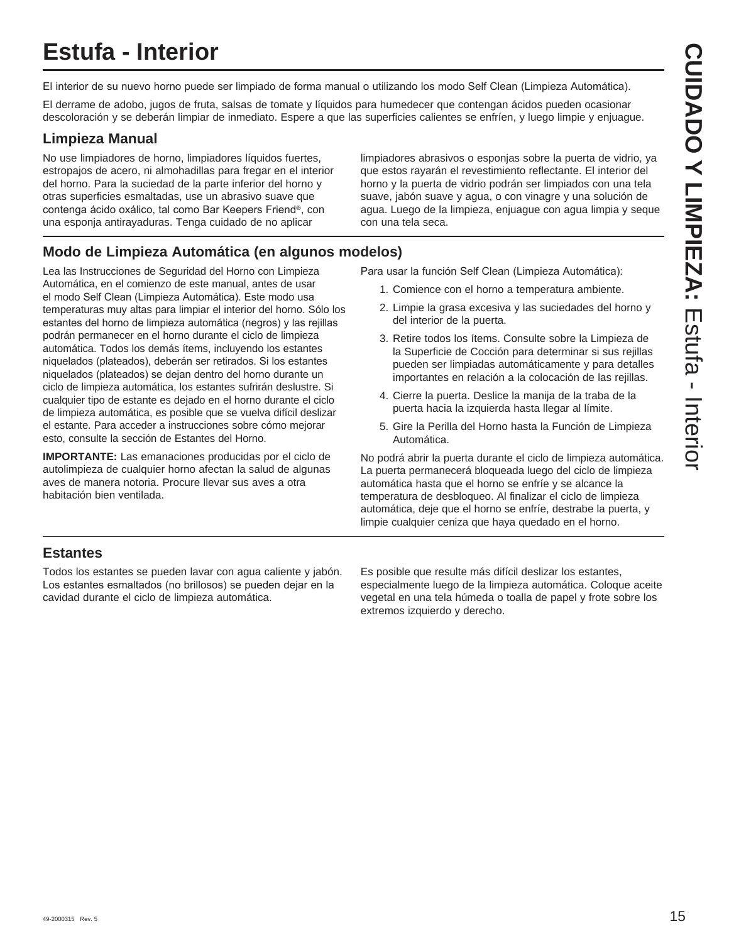# **Estufa - Interior**

El interior de su nuevo horno puede ser limpiado de forma manual o utilizando los modo Self Clean (Limpieza Automática).

El derrame de adobo, jugos de fruta, salsas de tomate y líquidos para humedecer que contengan ácidos pueden ocasionar descoloración y se deberán limpiar de inmediato. Espere a que las superficies calientes se enfríen, y luego limpie y enjuague.

# **Limpieza Manual**

No use limpiadores de horno, limpiadores líquidos fuertes, estropajos de acero, ni almohadillas para fregar en el interior del horno. Para la suciedad de la parte inferior del horno y otras superficies esmaltadas, use un abrasivo suave que contenga ácido oxálico, tal como Bar Keepers Friend®, con una esponja antirayaduras. Tenga cuidado de no aplicar

limpiadores abrasivos o esponjas sobre la puerta de vidrio, ya que estos rayarán el revestimiento reflectante. El interior del horno y la puerta de vidrio podrán ser limpiados con una tela suave, jabón suave y agua, o con vinagre y una solución de agua. Luego de la limpieza, enjuague con agua limpia y seque con una tela seca.

# **Modo de Limpieza Automática (en algunos modelos)**

Lea las Instrucciones de Seguridad del Horno con Limpieza Automática, en el comienzo de este manual, antes de usar el modo Self Clean (Limpieza Automática). Este modo usa temperaturas muy altas para limpiar el interior del horno. Sólo los estantes del horno de limpieza automática (negros) y las rejillas podrán permanecer en el horno durante el ciclo de limpieza automática. Todos los demás ítems, incluyendo los estantes niquelados (plateados), deberán ser retirados. Si los estantes niquelados (plateados) se dejan dentro del horno durante un ciclo de limpieza automática, los estantes sufrirán deslustre. Si cualquier tipo de estante es dejado en el horno durante el ciclo de limpieza automática, es posible que se vuelva difícil deslizar el estante. Para acceder a instrucciones sobre cómo mejorar esto, consulte la sección de Estantes del Horno.

**IMPORTANTE:** Las emanaciones producidas por el ciclo de autolimpieza de cualquier horno afectan la salud de algunas aves de manera notoria. Procure llevar sus aves a otra habitación bien ventilada.

Para usar la función Self Clean (Limpieza Automática):

- 1. Comience con el horno a temperatura ambiente.
- 2. Limpie la grasa excesiva y las suciedades del horno y del interior de la puerta.
- 3. Retire todos los ítems. Consulte sobre la Limpieza de la Superficie de Cocción para determinar si sus rejillas pueden ser limpiadas automáticamente y para detalles importantes en relación a la colocación de las rejillas.
- 4. Cierre la puerta. Deslice la manija de la traba de la puerta hacia la izquierda hasta llegar al límite.
- 5. Gire la Perilla del Horno hasta la Función de Limpieza Automática.

No podrá abrir la puerta durante el ciclo de limpieza automática. La puerta permanecerá bloqueada luego del ciclo de limpieza automática hasta que el horno se enfríe y se alcance la temperatura de desbloqueo. Al finalizar el ciclo de limpieza automática, deje que el horno se enfríe, destrabe la puerta, y limpie cualquier ceniza que haya quedado en el horno.

# **Estantes**

Todos los estantes se pueden lavar con agua caliente y jabón. Los estantes esmaltados (no brillosos) se pueden dejar en la cavidad durante el ciclo de limpieza automática.

Es posible que resulte más difícil deslizar los estantes, especialmente luego de la limpieza automática. Coloque aceite vegetal en una tela húmeda o toalla de papel y frote sobre los extremos izquierdo y derecho.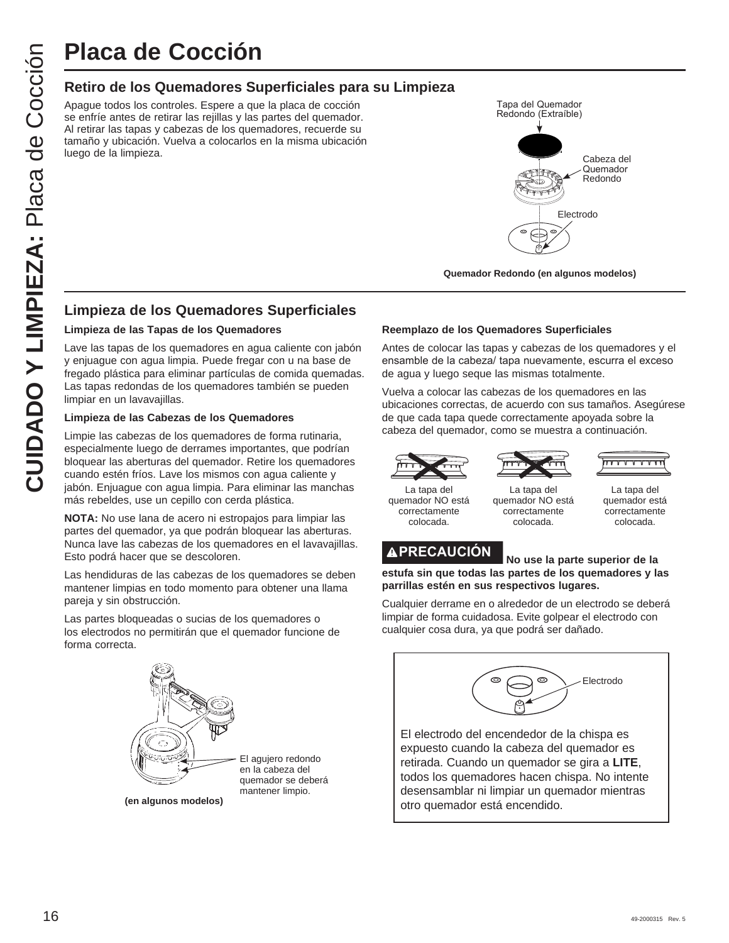# **Placa de Cocción**

## **Retiro de los Quemadores Superficiales para su Limpieza**

Apague todos los controles. Espere a que la placa de cocción se enfríe antes de retirar las rejillas y las partes del quemador. Al retirar las tapas y cabezas de los quemadores, recuerde su tamaño y ubicación. Vuelva a colocarlos en la misma ubicación luego de la limpieza.



**Quemador Redondo (en algunos modelos)**

# **Limpieza de los Quemadores Superficiales**

#### **Limpieza de las Tapas de los Quemadores**

Lave las tapas de los quemadores en agua caliente con jabón y enjuague con agua limpia. Puede fregar con u na base de fregado plástica para eliminar partículas de comida quemadas. Las tapas redondas de los quemadores también se pueden limpiar en un lavavajillas.

#### **Limpieza de las Cabezas de los Quemadores**

Limpie las cabezas de los quemadores de forma rutinaria, especialmente luego de derrames importantes, que podrían bloquear las aberturas del quemador. Retire los quemadores cuando estén fríos. Lave los mismos con agua caliente y jabón. Enjuague con agua limpia. Para eliminar las manchas más rebeldes, use un cepillo con cerda plástica.

**NOTA:** No use lana de acero ni estropajos para limpiar las partes del quemador, ya que podrán bloquear las aberturas. Nunca lave las cabezas de los quemadores en el lavavajillas. Esto podrá hacer que se descoloren.

Las hendiduras de las cabezas de los quemadores se deben mantener limpias en todo momento para obtener una llama pareja y sin obstrucción.

Las partes bloqueadas o sucias de los quemadores o los electrodos no permitirán que el quemador funcione de forma correcta.



#### **Reemplazo de los Quemadores Superficiales**

Antes de colocar las tapas y cabezas de los quemadores y el ensamble de la cabeza/ tapa nuevamente, escurra el exceso de agua y luego seque las mismas totalmente.

Vuelva a colocar las cabezas de los quemadores en las ubicaciones correctas, de acuerdo con sus tamaños. Asegúrese de que cada tapa quede correctamente apoyada sobre la cabeza del quemador, como se muestra a continuación.



La tapa del

correctamente colocada.



La tapa del quemador NO está correctamente colocada. quemador NO está

La tapa del quemador está correctamente colocada.



**estufa sin que todas las partes de los quemadores y las parrillas estén en sus respectivos lugares.**

Cualquier derrame en o alrededor de un electrodo se deberá limpiar de forma cuidadosa. Evite golpear el electrodo con cualquier cosa dura, ya que podrá ser dañado.



El electrodo del encendedor de la chispa es expuesto cuando la cabeza del quemador es retirada. Cuando un quemador se gira a **LITE**, todos los quemadores hacen chispa. No intente desensamblar ni limpiar un quemador mientras otro quemador está encendido.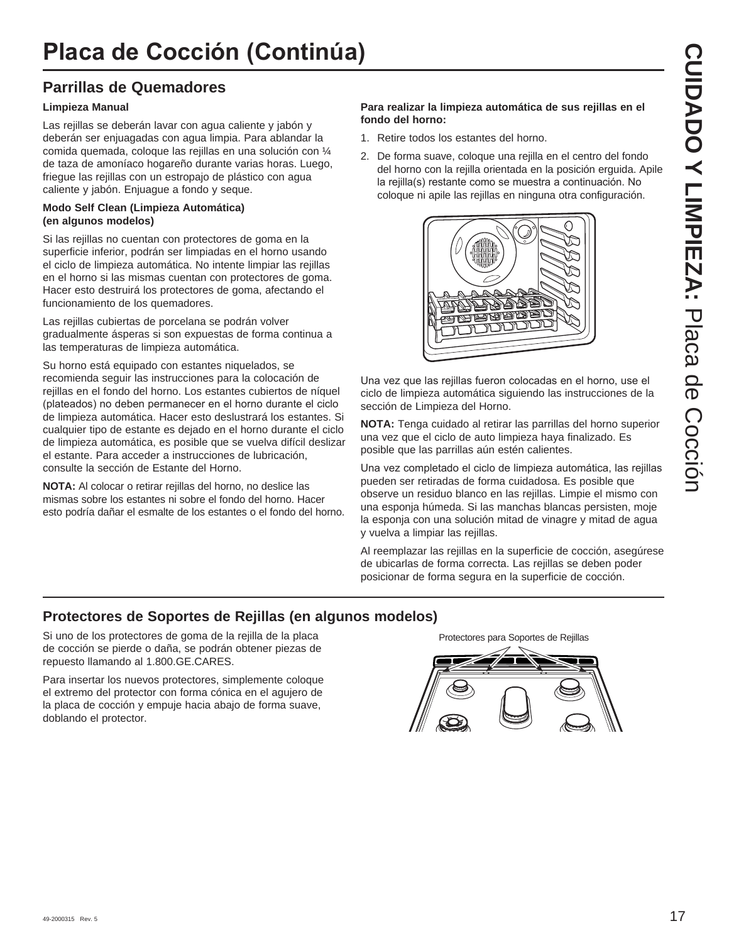# **Parrillas de Quemadores**

#### **Limpieza Manual**

Las rejillas se deberán lavar con agua caliente y jabón y deberán ser enjuagadas con agua limpia. Para ablandar la comida quemada, coloque las rejillas en una solución con ¼ de taza de amoníaco hogareño durante varias horas. Luego, friegue las rejillas con un estropajo de plástico con agua caliente y jabón. Enjuague a fondo y seque.

#### **Modo Self Clean (Limpieza Automática) (en algunos modelos)**

Si las rejillas no cuentan con protectores de goma en la superficie inferior, podrán ser limpiadas en el horno usando el ciclo de limpieza automática. No intente limpiar las rejillas en el horno si las mismas cuentan con protectores de goma. Hacer esto destruirá los protectores de goma, afectando el funcionamiento de los quemadores.

Las rejillas cubiertas de porcelana se podrán volver gradualmente ásperas si son expuestas de forma continua a las temperaturas de limpieza automática.

Su horno está equipado con estantes niquelados, se recomienda seguir las instrucciones para la colocación de rejillas en el fondo del horno. Los estantes cubiertos de níquel (plateados) no deben permanecer en el horno durante el ciclo de limpieza automática. Hacer esto deslustrará los estantes. Si cualquier tipo de estante es dejado en el horno durante el ciclo de limpieza automática, es posible que se vuelva difícil deslizar el estante. Para acceder a instrucciones de lubricación, consulte la sección de Estante del Horno.

**NOTA:** Al colocar o retirar rejillas del horno, no deslice las mismas sobre los estantes ni sobre el fondo del horno. Hacer esto podría dañar el esmalte de los estantes o el fondo del horno.

#### **Para realizar la limpieza automática de sus rejillas en el fondo del horno:**

- 1. Retire todos los estantes del horno.
- 2. De forma suave, coloque una rejilla en el centro del fondo del horno con la rejilla orientada en la posición erguida. Apile la rejilla(s) restante como se muestra a continuación. No coloque ni apile las rejillas en ninguna otra configuración.



Una vez que las rejillas fueron colocadas en el horno, use el ciclo de limpieza automática siguiendo las instrucciones de la sección de Limpieza del Horno.

**NOTA:** Tenga cuidado al retirar las parrillas del horno superior una vez que el ciclo de auto limpieza haya finalizado. Es posible que las parrillas aún estén calientes.

Una vez completado el ciclo de limpieza automática, las rejillas pueden ser retiradas de forma cuidadosa. Es posible que observe un residuo blanco en las rejillas. Limpie el mismo con una esponja húmeda. Si las manchas blancas persisten, moje la esponja con una solución mitad de vinagre y mitad de agua y vuelva a limpiar las rejillas.

Al reemplazar las rejillas en la superficie de cocción, asegúrese de ubicarlas de forma correcta. Las rejillas se deben poder posicionar de forma segura en la superficie de cocción.

## **Protectores de Soportes de Rejillas (en algunos modelos)**

Si uno de los protectores de goma de la rejilla de la placa de cocción se pierde o daña, se podrán obtener piezas de repuesto llamando al 1.800.GE.CARES.

Para insertar los nuevos protectores, simplemente coloque el extremo del protector con forma cónica en el agujero de la placa de cocción y empuje hacia abajo de forma suave, doblando el protector.

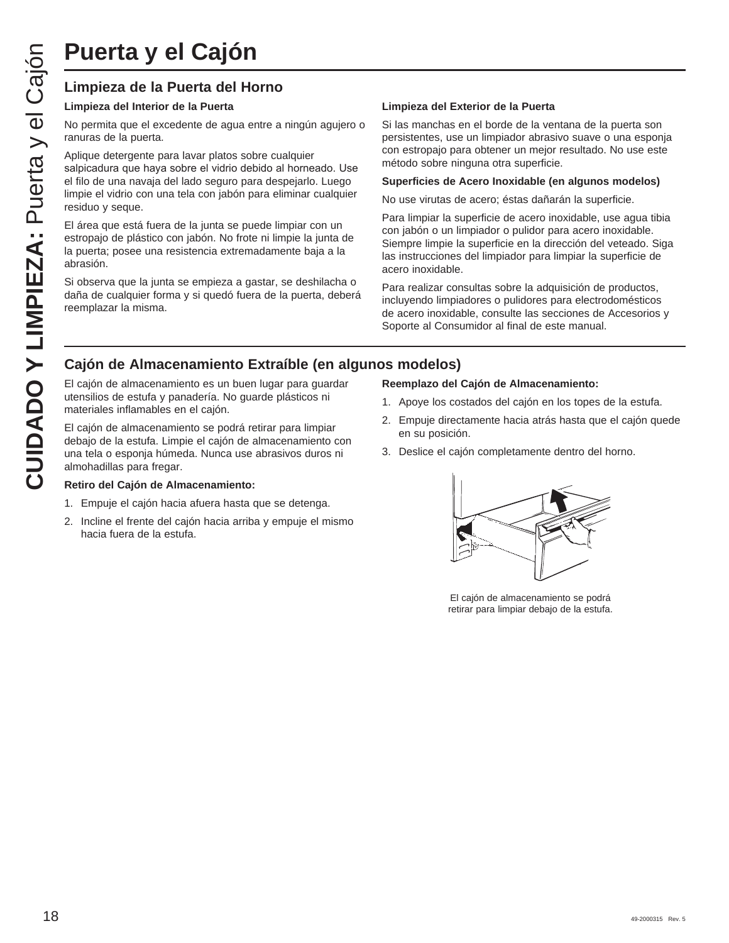# **Limpieza de la Puerta del Horno**

#### **Limpieza del Interior de la Puerta**

No permita que el excedente de agua entre a ningún agujero o ranuras de la puerta.

Aplique detergente para lavar platos sobre cualquier salpicadura que haya sobre el vidrio debido al horneado. Use el filo de una navaja del lado seguro para despejarlo. Luego limpie el vidrio con una tela con jabón para eliminar cualquier residuo y seque.

El área que está fuera de la junta se puede limpiar con un estropajo de plástico con jabón. No frote ni limpie la junta de la puerta; posee una resistencia extremadamente baja a la abrasión.

Si observa que la junta se empieza a gastar, se deshilacha o daña de cualquier forma y si quedó fuera de la puerta, deberá reemplazar la misma.

#### **Limpieza del Exterior de la Puerta**

Si las manchas en el borde de la ventana de la puerta son persistentes, use un limpiador abrasivo suave o una esponja con estropajo para obtener un mejor resultado. No use este método sobre ninguna otra superficie.

#### **Superficies de Acero Inoxidable (en algunos modelos)**

No use virutas de acero; éstas dañarán la superficie.

Para limpiar la superficie de acero inoxidable, use agua tibia con jabón o un limpiador o pulidor para acero inoxidable. Siempre limpie la superficie en la dirección del veteado. Siga las instrucciones del limpiador para limpiar la superficie de acero inoxidable.

Para realizar consultas sobre la adquisición de productos, incluyendo limpiadores o pulidores para electrodomésticos de acero inoxidable, consulte las secciones de Accesorios y Soporte al Consumidor al final de este manual.

# **Cajón de Almacenamiento Extraíble (en algunos modelos)**

El cajón de almacenamiento es un buen lugar para guardar utensilios de estufa y panadería. No guarde plásticos ni materiales inflamables en el cajón.

El cajón de almacenamiento se podrá retirar para limpiar debajo de la estufa. Limpie el cajón de almacenamiento con una tela o esponja húmeda. Nunca use abrasivos duros ni almohadillas para fregar.

#### **Retiro del Cajón de Almacenamiento:**

- 1. Empuje el cajón hacia afuera hasta que se detenga.
- 2. Incline el frente del cajón hacia arriba y empuje el mismo hacia fuera de la estufa.

#### **Reemplazo del Cajón de Almacenamiento:**

- 1. Apoye los costados del cajón en los topes de la estufa.
- 2. Empuje directamente hacia atrás hasta que el cajón quede en su posición.
- 3. Deslice el cajón completamente dentro del horno.



El cajón de almacenamiento se podrá retirar para limpiar debajo de la estufa.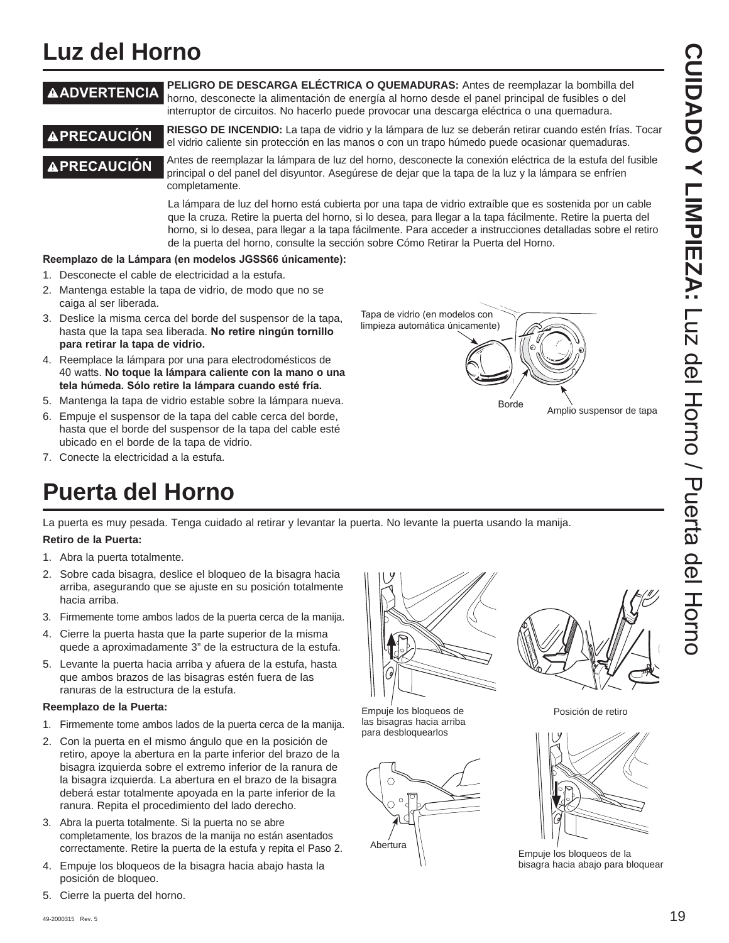# **Luz del Horno**

#### **ADVERTENCIA PELIGRO DE DESCARGA ELÉCTRICA O QUEMADURAS:** Antes de reemplazar la bombilla del horno, desconecte la alimentación de energía al horno desde el panel principal de fusibles o del interruptor de circuitos. No hacerlo puede provocar una descarga eléctrica o una quemadura.

**A PRECAUCIÓN** RIESGO DE INCENDIO: La tapa de vidrio y la lámpara de luz se deberán retirar cuando estén frías. Tocar el vidrio caliente sin protección en las manos o con un trapo húmedo puede ocasionar quemaduras.

**A PRECAUCIÓN Antes de reemplazar la lámpara de luz del horno, desconecte la conexión eléctrica de la estufa del fusible** principal o del panel del disyuntor. Asegúrese de dejar que la tapa de la luz y la lámpara se enfríen completamente.

> La lámpara de luz del horno está cubierta por una tapa de vidrio extraíble que es sostenida por un cable que la cruza. Retire la puerta del horno, si lo desea, para llegar a la tapa fácilmente. Retire la puerta del horno, si lo desea, para llegar a la tapa fácilmente. Para acceder a instrucciones detalladas sobre el retiro de la puerta del horno, consulte la sección sobre Cómo Retirar la Puerta del Horno.

> > Tapa de vidrio (en modelos con limpieza automática únicamente)

#### Reemplazo de la Lámpara (en modelos JGSS66 únicamente):

- 1. Desconecte el cable de electricidad a la estufa.
- 2. Mantenga estable la tapa de vidrio, de modo que no se caiga al ser liberada.
- 3. Deslice la misma cerca del borde del suspensor de la tapa, hasta que la tapa sea liberada. No retire ningún tornillo **para retirar la tapa de vidrio.**
- 4. Reemplace la lámpara por una para electrodomésticos de 40 watts. No toque la lámpara caliente con la mano o una tela húmeda. Sólo retire la lámpara cuando esté fría.
- 5. Mantenga la tapa de vidrio estable sobre la lámpara nueva.
- 6. Empuje el suspensor de la tapa del cable cerca del borde, hasta que el borde del suspensor de la tapa del cable esté ubicado en el borde de la tapa de vidrio.
- 7. Conecte la electricidad a la estufa.

# **Puerta del Horno**

La puerta es muy pesada. Tenga cuidado al retirar y levantar la puerta. No levante la puerta usando la manija.

#### **Retiro de la Puerta:**

- 1. Abra la puerta totalmente.
- 2. Sobre cada bisagra, deslice el bloqueo de la bisagra hacia arriba, asegurando que se ajuste en su posición totalmente hacia arriba.
- 3. Firmemente tome ambos lados de la puerta cerca de la manija.
- 4. Cierre la puerta hasta que la parte superior de la misma quede a aproximadamente 3" de la estructura de la estufa.
- 5. Levante la puerta hacia arriba y afuera de la estufa, hasta que ambos brazos de las bisagras estén fuera de las ranuras de la estructura de la estufa.

#### **Reemplazo de la Puerta:**

- 1. Firmemente tome ambos lados de la puerta cerca de la manija.
- 2. Con la puerta en el mismo ángulo que en la posición de retiro, apoye la abertura en la parte inferior del brazo de la bisagra izquierda sobre el extremo inferior de la ranura de la bisagra izquierda. La abertura en el brazo de la bisagra deberá estar totalmente apoyada en la parte inferior de la ranura. Repita el procedimiento del lado derecho.
- 3. Abra la puerta totalmente. Si la puerta no se abre completamente, los brazos de la manija no están asentados correctamente. Retire la puerta de la estufa y repita el Paso 2.
- 4. Empuje los bloqueos de la bisagra hacia abajo hasta la posición de bloqueo.
- 5. Cierre la puerta del horno.



Empuje los bloqueos de las bisagras hacia arriba para desbloquearlos





Borde Amplio suspensor de tapa





Empuje los bloqueos de la bisagra hacia abajo para bloquear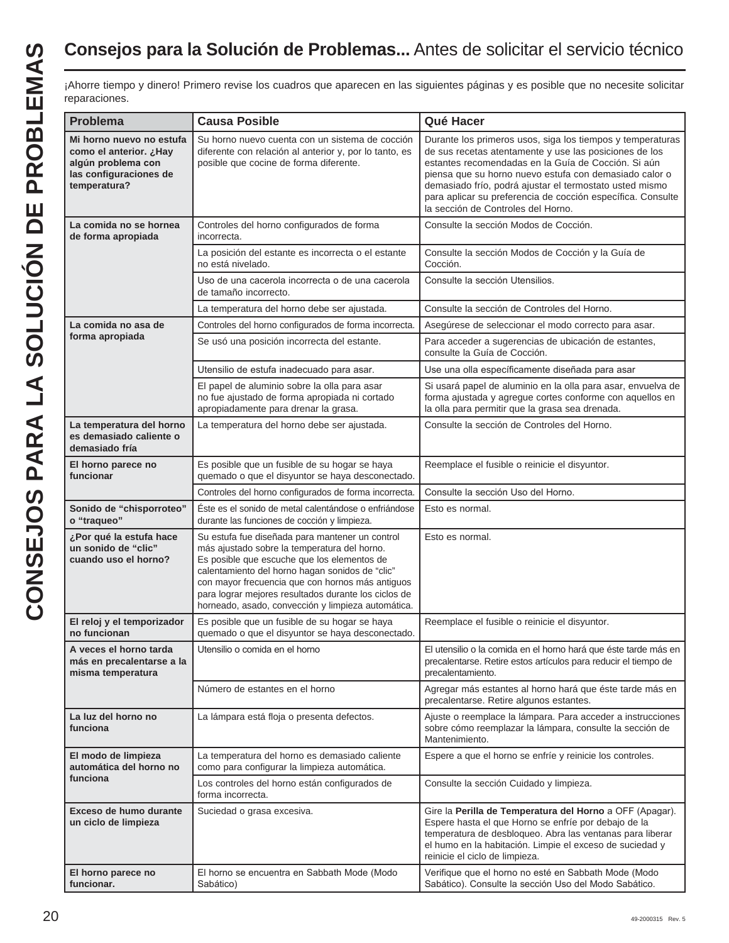# **Consejos para la Solución de Problemas...** Antes de solicitar el servicio técnico

¡Ahorre tiempo y dinero! Primero revise los cuadros que aparecen en las siguientes páginas y es posible que no necesite solicitar reparaciones.

| <b>Problema</b>                                                                                                    | <b>Causa Posible</b>                                                                                                                                                                                                                                                                                                                                                | Qué Hacer                                                                                                                                                                                                                                                                                                                                                                                             |
|--------------------------------------------------------------------------------------------------------------------|---------------------------------------------------------------------------------------------------------------------------------------------------------------------------------------------------------------------------------------------------------------------------------------------------------------------------------------------------------------------|-------------------------------------------------------------------------------------------------------------------------------------------------------------------------------------------------------------------------------------------------------------------------------------------------------------------------------------------------------------------------------------------------------|
| Mi horno nuevo no estufa<br>como el anterior. ¿Hay<br>algún problema con<br>las configuraciones de<br>temperatura? | Su horno nuevo cuenta con un sistema de cocción<br>diferente con relación al anterior y, por lo tanto, es<br>posible que cocine de forma diferente.                                                                                                                                                                                                                 | Durante los primeros usos, siga los tiempos y temperaturas<br>de sus recetas atentamente y use las posiciones de los<br>estantes recomendadas en la Guía de Cocción. Si aún<br>piensa que su horno nuevo estufa con demasiado calor o<br>demasiado frío, podrá ajustar el termostato usted mismo<br>para aplicar su preferencia de cocción específica. Consulte<br>la sección de Controles del Horno. |
| La comida no se hornea<br>de forma apropiada                                                                       | Controles del horno configurados de forma<br>incorrecta.                                                                                                                                                                                                                                                                                                            | Consulte la sección Modos de Cocción.                                                                                                                                                                                                                                                                                                                                                                 |
|                                                                                                                    | La posición del estante es incorrecta o el estante<br>no está nivelado.                                                                                                                                                                                                                                                                                             | Consulte la sección Modos de Cocción y la Guía de<br>Cocción.                                                                                                                                                                                                                                                                                                                                         |
|                                                                                                                    | Uso de una cacerola incorrecta o de una cacerola<br>de tamaño incorrecto.                                                                                                                                                                                                                                                                                           | Consulte la sección Utensilios.                                                                                                                                                                                                                                                                                                                                                                       |
|                                                                                                                    | La temperatura del horno debe ser ajustada.                                                                                                                                                                                                                                                                                                                         | Consulte la sección de Controles del Horno.                                                                                                                                                                                                                                                                                                                                                           |
| La comida no asa de                                                                                                | Controles del horno configurados de forma incorrecta.                                                                                                                                                                                                                                                                                                               | Asegúrese de seleccionar el modo correcto para asar.                                                                                                                                                                                                                                                                                                                                                  |
| forma apropiada                                                                                                    | Se usó una posición incorrecta del estante.                                                                                                                                                                                                                                                                                                                         | Para acceder a sugerencias de ubicación de estantes,<br>consulte la Guía de Cocción.                                                                                                                                                                                                                                                                                                                  |
|                                                                                                                    | Utensilio de estufa inadecuado para asar.                                                                                                                                                                                                                                                                                                                           | Use una olla específicamente diseñada para asar                                                                                                                                                                                                                                                                                                                                                       |
|                                                                                                                    | El papel de aluminio sobre la olla para asar<br>no fue ajustado de forma apropiada ni cortado<br>apropiadamente para drenar la grasa.                                                                                                                                                                                                                               | Si usará papel de aluminio en la olla para asar, envuelva de<br>forma ajustada y agregue cortes conforme con aquellos en<br>la olla para permitir que la grasa sea drenada.                                                                                                                                                                                                                           |
| La temperatura del horno<br>es demasiado caliente o<br>demasiado fría                                              | La temperatura del horno debe ser ajustada.                                                                                                                                                                                                                                                                                                                         | Consulte la sección de Controles del Horno.                                                                                                                                                                                                                                                                                                                                                           |
| El horno parece no<br>funcionar                                                                                    | Es posible que un fusible de su hogar se haya<br>quemado o que el disyuntor se haya desconectado.                                                                                                                                                                                                                                                                   | Reemplace el fusible o reinicie el disyuntor.                                                                                                                                                                                                                                                                                                                                                         |
|                                                                                                                    | Controles del horno configurados de forma incorrecta.                                                                                                                                                                                                                                                                                                               | Consulte la sección Uso del Horno.                                                                                                                                                                                                                                                                                                                                                                    |
| Sonido de "chisporroteo"<br>o "traqueo"                                                                            | Éste es el sonido de metal calentándose o enfriándose<br>durante las funciones de cocción y limpieza.                                                                                                                                                                                                                                                               | Esto es normal.                                                                                                                                                                                                                                                                                                                                                                                       |
| ¿Por qué la estufa hace<br>un sonido de "clic"<br>cuando uso el horno?                                             | Su estufa fue diseñada para mantener un control<br>más ajustado sobre la temperatura del horno.<br>Es posible que escuche que los elementos de<br>calentamiento del horno hagan sonidos de "clic"<br>con mayor frecuencia que con hornos más antiguos<br>para lograr mejores resultados durante los ciclos de<br>horneado, asado, convección y limpieza automática. | Esto es normal.                                                                                                                                                                                                                                                                                                                                                                                       |
| El reloj y el temporizador<br>no funcionan                                                                         | Es posible que un fusible de su hogar se haya<br>quemado o que el disyuntor se haya desconectado.                                                                                                                                                                                                                                                                   | Reemplace el fusible o reinicie el disyuntor.                                                                                                                                                                                                                                                                                                                                                         |
| A veces el horno tarda<br>más en precalentarse a la<br>misma temperatura                                           | Utensilio o comida en el horno                                                                                                                                                                                                                                                                                                                                      | El utensilio o la comida en el horno hará que éste tarde más en<br>precalentarse. Retire estos artículos para reducir el tiempo de<br>precalentamiento.                                                                                                                                                                                                                                               |
|                                                                                                                    | Número de estantes en el horno                                                                                                                                                                                                                                                                                                                                      | Agregar más estantes al horno hará que éste tarde más en<br>precalentarse. Retire algunos estantes.                                                                                                                                                                                                                                                                                                   |
| La luz del horno no<br>funciona                                                                                    | La lámpara está floja o presenta defectos.                                                                                                                                                                                                                                                                                                                          | Ajuste o reemplace la lámpara. Para acceder a instrucciones<br>sobre cómo reemplazar la lámpara, consulte la sección de<br>Mantenimiento.                                                                                                                                                                                                                                                             |
| El modo de limpieza<br>automática del horno no<br>funciona                                                         | La temperatura del horno es demasiado caliente<br>como para configurar la limpieza automática.                                                                                                                                                                                                                                                                      | Espere a que el horno se enfríe y reinicie los controles.                                                                                                                                                                                                                                                                                                                                             |
|                                                                                                                    | Los controles del horno están configurados de<br>forma incorrecta.                                                                                                                                                                                                                                                                                                  | Consulte la sección Cuidado y limpieza.                                                                                                                                                                                                                                                                                                                                                               |
| Exceso de humo durante<br>un ciclo de limpieza                                                                     | Suciedad o grasa excesiva.                                                                                                                                                                                                                                                                                                                                          | Gire la Perilla de Temperatura del Horno a OFF (Apagar).<br>Espere hasta el que Horno se enfríe por debajo de la<br>temperatura de desbloqueo. Abra las ventanas para liberar<br>el humo en la habitación. Limpie el exceso de suciedad y<br>reinicie el ciclo de limpieza.                                                                                                                           |
| El horno parece no<br>funcionar.                                                                                   | El horno se encuentra en Sabbath Mode (Modo<br>Sabático)                                                                                                                                                                                                                                                                                                            | Verifique que el horno no esté en Sabbath Mode (Modo<br>Sabático). Consulte la sección Uso del Modo Sabático.                                                                                                                                                                                                                                                                                         |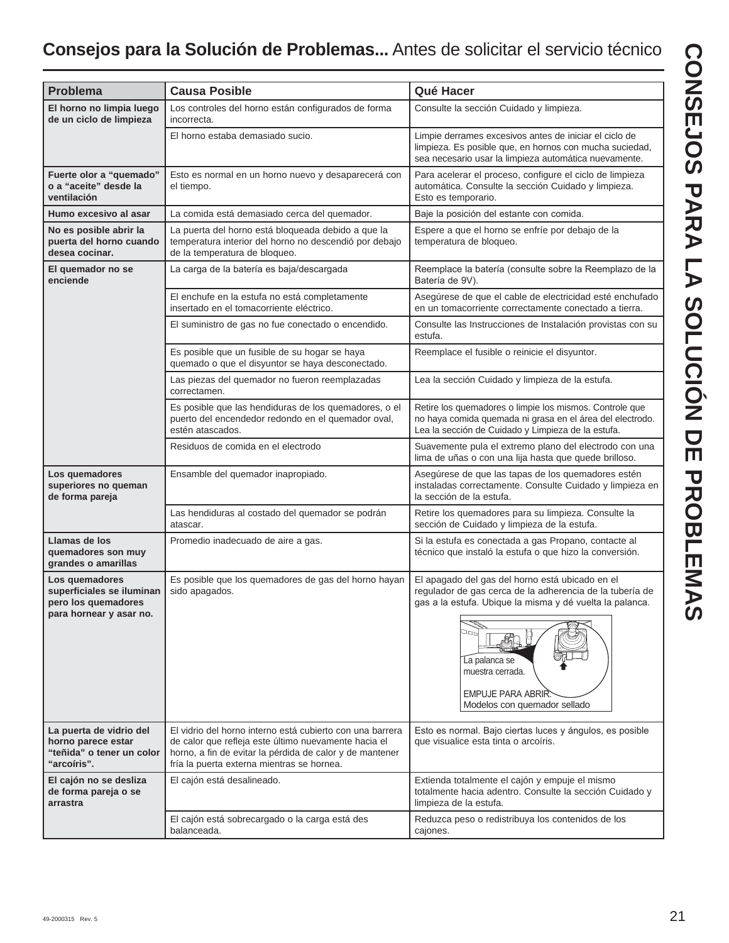# **Consejos para la Solución de Problemas...** Antes de solicitar el servicio técnico

| <b>Problema</b>                                                                               | <b>Causa Posible</b>                                                                                                                                                                                                        | Qué Hacer                                                                                                                                                                                                                                                                |
|-----------------------------------------------------------------------------------------------|-----------------------------------------------------------------------------------------------------------------------------------------------------------------------------------------------------------------------------|--------------------------------------------------------------------------------------------------------------------------------------------------------------------------------------------------------------------------------------------------------------------------|
| El horno no limpia luego<br>de un ciclo de limpieza                                           | Los controles del horno están configurados de forma<br>incorrecta.                                                                                                                                                          | Consulte la sección Cuidado y limpieza.                                                                                                                                                                                                                                  |
|                                                                                               | El horno estaba demasiado sucio.                                                                                                                                                                                            | Limpie derrames excesivos antes de iniciar el ciclo de<br>limpieza. Es posible que, en hornos con mucha suciedad,<br>sea necesario usar la limpieza automática nuevamente.                                                                                               |
| Fuerte olor a "quemado"<br>o a "aceite" desde la<br>ventilación                               | Esto es normal en un horno nuevo y desaparecerá con<br>el tiempo.                                                                                                                                                           | Para acelerar el proceso, configure el ciclo de limpieza<br>automática. Consulte la sección Cuidado y limpieza.<br>Esto es temporario.                                                                                                                                   |
| Humo excesivo al asar                                                                         | La comida está demasiado cerca del quemador.                                                                                                                                                                                | Baje la posición del estante con comida.                                                                                                                                                                                                                                 |
| No es posible abrir la<br>puerta del horno cuando<br>desea cocinar.                           | La puerta del horno está bloqueada debido a que la<br>temperatura interior del horno no descendió por debajo<br>de la temperatura de bloqueo.                                                                               | Espere a que el horno se enfríe por debajo de la<br>temperatura de bloqueo.                                                                                                                                                                                              |
| El quemador no se<br>enciende                                                                 | La carga de la batería es baja/descargada                                                                                                                                                                                   | Reemplace la batería (consulte sobre la Reemplazo de la<br>Batería de 9V).                                                                                                                                                                                               |
|                                                                                               | El enchufe en la estufa no está completamente<br>insertado en el tomacorriente eléctrico.                                                                                                                                   | Asegúrese de que el cable de electricidad esté enchufado<br>en un tomacorriente correctamente conectado a tierra.                                                                                                                                                        |
|                                                                                               | El suministro de gas no fue conectado o encendido.                                                                                                                                                                          | Consulte las Instrucciones de Instalación provistas con su<br>estufa.                                                                                                                                                                                                    |
|                                                                                               | Es posible que un fusible de su hogar se haya<br>quemado o que el disyuntor se haya desconectado.                                                                                                                           | Reemplace el fusible o reinicie el disyuntor.                                                                                                                                                                                                                            |
|                                                                                               | Las piezas del quemador no fueron reemplazadas<br>correctamen.                                                                                                                                                              | Lea la sección Cuidado y limpieza de la estufa.                                                                                                                                                                                                                          |
|                                                                                               | Es posible que las hendiduras de los quemadores, o el<br>puerto del encendedor redondo en el quemador oval,<br>estén atascados.                                                                                             | Retire los quemadores o limpie los mismos. Controle que<br>no haya comida quemada ni grasa en el área del electrodo.<br>Lea la sección de Cuidado y Limpieza de la estufa.                                                                                               |
|                                                                                               | Residuos de comida en el electrodo                                                                                                                                                                                          | Suavemente pula el extremo plano del electrodo con una<br>lima de uñas o con una lija hasta que quede brilloso.                                                                                                                                                          |
| Los quemadores<br>superiores no queman<br>de forma pareja                                     | Ensamble del quemador inapropiado.                                                                                                                                                                                          | Asegúrese de que las tapas de los quemadores estén<br>instaladas correctamente. Consulte Cuidado y limpieza en<br>la sección de la estufa.                                                                                                                               |
|                                                                                               | Las hendiduras al costado del quemador se podrán<br>atascar.                                                                                                                                                                | Retire los quemadores para su limpieza. Consulte la<br>sección de Cuidado y limpieza de la estufa.                                                                                                                                                                       |
| Llamas de los<br>quemadores son muy<br>grandes o amarillas                                    | Promedio inadecuado de aire a gas.                                                                                                                                                                                          | Si la estufa es conectada a gas Propano, contacte al<br>técnico que instaló la estufa o que hizo la conversión.                                                                                                                                                          |
| Los quemadores<br>superficiales se iluminan<br>pero los quemadores<br>para hornear y asar no. | Es posible que los quemadores de gas del horno hayan<br>sido apagados.                                                                                                                                                      | El apagado del gas del horno está ubicado en el<br>regulador de gas cerca de la adherencia de la tubería de<br>gas a la estufa. Ubique la misma y dé vuelta la palanca.<br>aac<br>La palanca se<br>muestra cerrada.<br>EMPUJE PARA ABRIR<br>Modelos con quemador sellado |
| La puerta de vidrio del<br>horno parece estar<br>"teñida" o tener un color<br>"arcoíris".     | El vidrio del horno interno está cubierto con una barrera<br>de calor que refleja este último nuevamente hacia el<br>horno, a fin de evitar la pérdida de calor y de mantener<br>fría la puerta externa mientras se hornea. | Esto es normal. Bajo ciertas luces y ángulos, es posible<br>que visualice esta tinta o arcoíris.                                                                                                                                                                         |
| El cajón no se desliza<br>de forma pareja o se<br>arrastra                                    | El cajón está desalineado.                                                                                                                                                                                                  | Extienda totalmente el cajón y empuje el mismo<br>totalmente hacia adentro. Consulte la sección Cuidado y<br>limpieza de la estufa.                                                                                                                                      |
|                                                                                               | El cajón está sobrecargado o la carga está des<br>balanceada.                                                                                                                                                               | Reduzca peso o redistribuya los contenidos de los<br>cajones.                                                                                                                                                                                                            |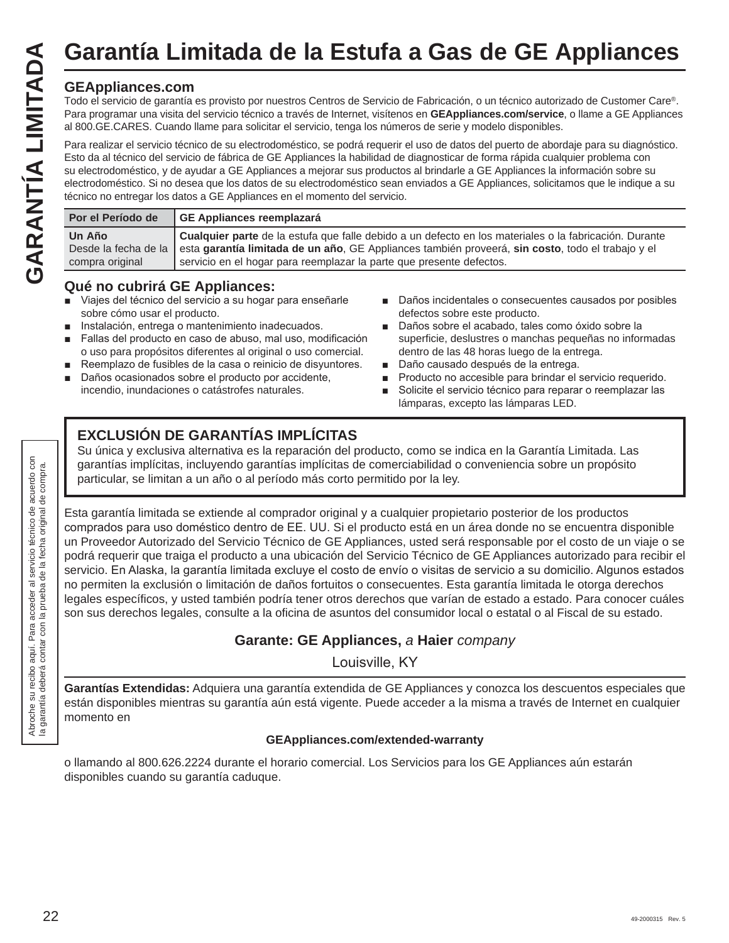# **GEAppliances.com**

Todo el servicio de garantía es provisto por nuestros Centros de Servicio de Fabricación, o un técnico autorizado de Customer Care®. Para programar una visita del servicio técnico a través de Internet, visítenos en **GEAppliances.com/service**, o llame a GE Appliances al 800.GE.CARES. Cuando llame para solicitar el servicio, tenga los números de serie y modelo disponibles.

Para realizar el servicio técnico de su electrodoméstico, se podrá requerir el uso de datos del puerto de abordaje para su diagnóstico. Esto da al técnico del servicio de fábrica de GE Appliances la habilidad de diagnosticar de forma rápida cualquier problema con su electrodoméstico, y de ayudar a GE Appliances a mejorar sus productos al brindarle a GE Appliances la información sobre su electrodoméstico. Si no desea que los datos de su electrodoméstico sean enviados a GE Appliances, solicitamos que le indique a su técnico no entregar los datos a GE Appliances en el momento del servicio. Garantía Limitada de la Estufa a Gas de GE Appliances<br>
Fodo el servicio de grantía es provisto por nuestros Centros de Servicio de Fabricación, o un técnico autorizado de Customer Care®.<br>
Para programar una visita del serv

| Por el Período de<br>GE Appliances reemplazará                                                                                                      |
|-----------------------------------------------------------------------------------------------------------------------------------------------------|
| Un Año<br>Desde la fecha de la esta garantía limitada de un año, GE Appliances también proveerá, sin costo, todo el trabajo y el<br>compra original |

# **Qué no cubrirá GE Appliances:**

- Viajes del técnico del servicio a su hogar para enseñarle sobre cómo usar el producto.
- Instalación, entrega o mantenimiento inadecuados.
- Fallas del producto en caso de abuso, mal uso, modificación o uso para propósitos diferentes al original o uso comercial.
- Reemplazo de fusibles de la casa o reinicio de disyuntores.
- Daños ocasionados sobre el producto por accidente. incendio, inundaciones o catástrofes naturales.
- Daños incidentales o consecuentes causados por posibles defectos sobre este producto.
- Daños sobre el acabado, tales como óxido sobre la superficie, deslustres o manchas pequeñas no informadas dentro de las 48 horas luego de la entrega.
- Daño causado después de la entrega.
- **Producto no accesible para brindar el servicio requerido.**
- Solicite el servicio técnico para reparar o reemplazar las lámparas, excepto las lámparas LED.

# **EXCLUSIÓN DE GARANTÍAS IMPLÍCITAS**

Su única y exclusiva alternativa es la reparación del producto, como se indica en la Garantía Limitada. Las garantías implícitas, incluyendo garantías implícitas de comerciabilidad o conveniencia sobre un propósito particular, se limitan a un año o al período más corto permitido por la ley.

Esta garantía limitada se extiende al comprador original y a cualquier propietario posterior de los productos comprados para uso doméstico dentro de EE. UU. Si el producto está en un área donde no se encuentra disponible un Proveedor Autorizado del Servicio Técnico de GE Appliances, usted será responsable por el costo de un viaje o se podrá requerir que traiga el producto a una ubicación del Servicio Técnico de GE Appliances autorizado para recibir el servicio. En Alaska, la garantía limitada excluye el costo de envío o visitas de servicio a su domicilio. Algunos estados no permiten la exclusión o limitación de daños fortuitos o consecuentes. Esta garantía limitada le otorga derechos legales específicos, y usted también podría tener otros derechos que varían de estado a estado. Para conocer cuáles son sus derechos legales, consulte a la oficina de asuntos del consumidor local o estatal o al Fiscal de su estado.

# **Garante: GE Appliances,** *a* **Haier** *company*

Louisville, KY

**Garantías Extendidas:** Adquiera una garantía extendida de GE Appliances y conozca los descuentos especiales que están disponibles mientras su garantía aún está vigente. Puede acceder a la misma a través de Internet en cualquier momento en

## **GEAppliances.com/extended-warranty**

o llamando al 800.626.2224 durante el horario comercial. Los Servicios para los GE Appliances aún estarán disponibles cuando su garantía caduque.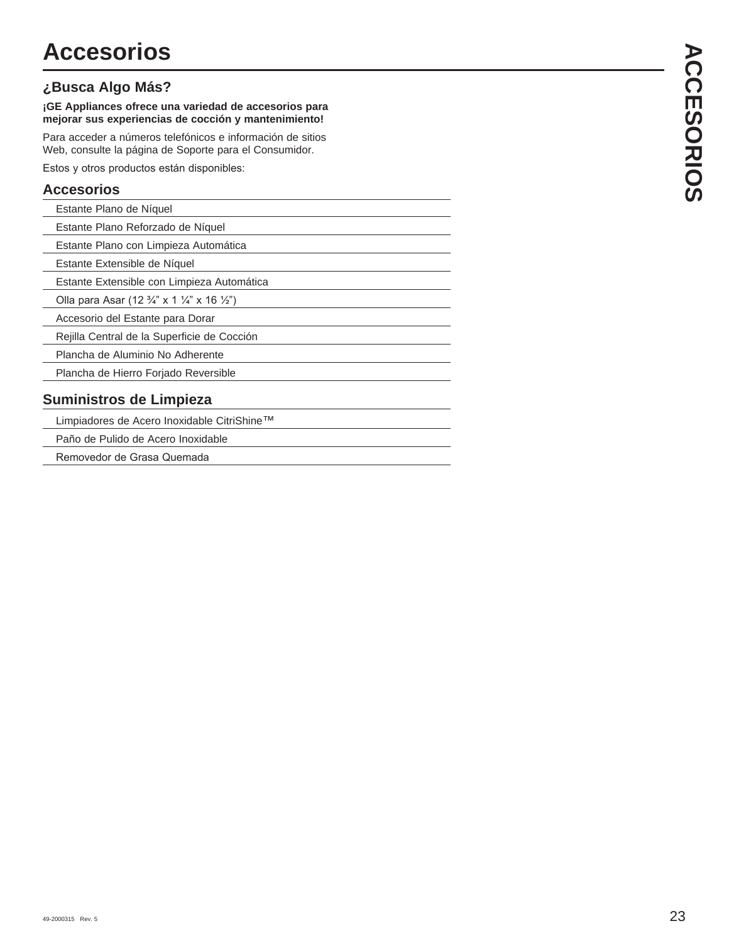# **¿Busca Algo Más?**

**¡GE Appliances ofrece una variedad de accesorios para mejorar sus experiencias de cocción y mantenimiento!**

Para acceder a números telefónicos e información de sitios Web, consulte la página de Soporte para el Consumidor.

Estos y otros productos están disponibles:

## **Accesorios**

| Estante Plano de Níquel |  |
|-------------------------|--|
|-------------------------|--|

Estante Plano Reforzado de Níquel

Estante Plano con Limpieza Automática

Estante Extensible de Níquel

Estante Extensible con Limpieza Automática

Olla para Asar (12  $\frac{3}{4}$ " x 1  $\frac{1}{4}$ " x 16  $\frac{1}{2}$ ")

Accesorio del Estante para Dorar

Rejilla Central de la Superficie de Cocción

Plancha de Aluminio No Adherente

Plancha de Hierro Forjado Reversible

## **Suministros de Limpieza**

Limpiadores de Acero Inoxidable CitriShine™

Paño de Pulido de Acero Inoxidable

Removedor de Grasa Quemada